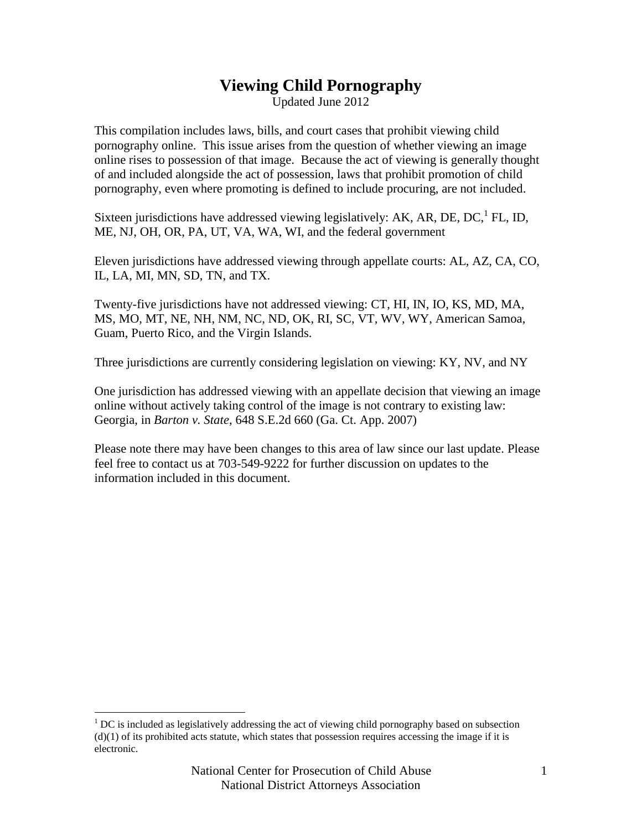### **Viewing Child Pornography**

Updated June 2012

This compilation includes laws, bills, and court cases that prohibit viewing child pornography online. This issue arises from the question of whether viewing an image online rises to possession of that image. Because the act of viewing is generally thought of and included alongside the act of possession, laws that prohibit promotion of child pornography, even where promoting is defined to include procuring, are not included.

Sixteen jurisdictions have addressed viewing legislatively: AK, AR, DE, DC, <sup>1</sup> FL, ID, ME, NJ, OH, OR, PA, UT, VA, WA, WI, and the federal government

Eleven jurisdictions have addressed viewing through appellate courts: AL, AZ, CA, CO, IL, LA, MI, MN, SD, TN, and TX.

Twenty-five jurisdictions have not addressed viewing: CT, HI, IN, IO, KS, MD, MA, MS, MO, MT, NE, NH, NM, NC, ND, OK, RI, SC, VT, WV, WY, American Samoa, Guam, Puerto Rico, and the Virgin Islands.

Three jurisdictions are currently considering legislation on viewing: KY, NV, and NY

One jurisdiction has addressed viewing with an appellate decision that viewing an image online without actively taking control of the image is not contrary to existing law: Georgia, in *Barton v. State*, 648 S.E.2d 660 (Ga. Ct. App. 2007)

Please note there may have been changes to this area of law since our last update. Please feel free to contact us at 703-549-9222 for further discussion on updates to the information included in this document.

 $\overline{a}$ 

 $<sup>1</sup>$  DC is included as legislatively addressing the act of viewing child pornography based on subsection</sup>  $(d)(1)$  of its prohibited acts statute, which states that possession requires accessing the image if it is electronic.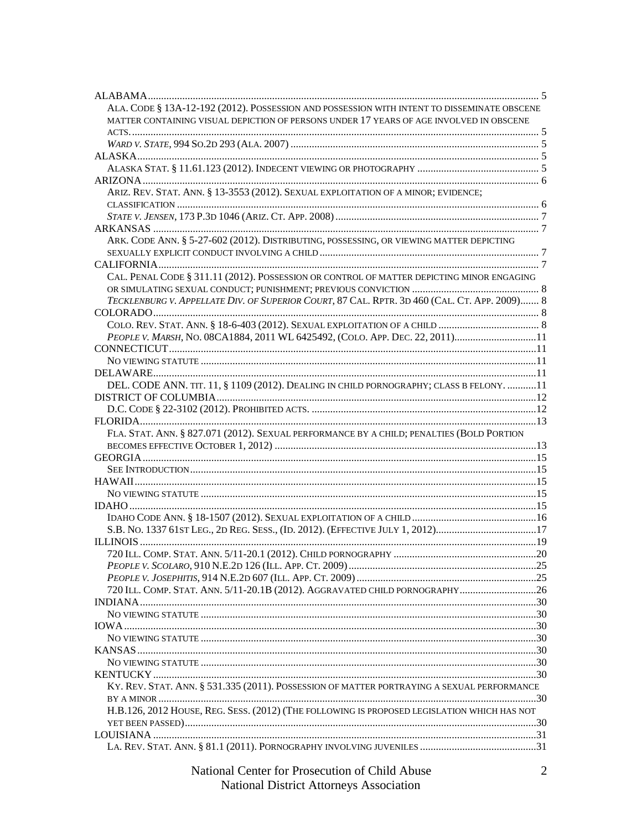| ALA. CODE § 13A-12-192 (2012). POSSESSION AND POSSESSION WITH INTENT TO DISSEMINATE OBSCENE  |   |
|----------------------------------------------------------------------------------------------|---|
| MATTER CONTAINING VISUAL DEPICTION OF PERSONS UNDER 17 YEARS OF AGE INVOLVED IN OBSCENE      |   |
|                                                                                              |   |
|                                                                                              |   |
|                                                                                              |   |
|                                                                                              |   |
|                                                                                              |   |
| ARIZ. REV. STAT. ANN. § 13-3553 (2012). SEXUAL EXPLOITATION OF A MINOR; EVIDENCE;            |   |
|                                                                                              |   |
|                                                                                              |   |
|                                                                                              |   |
| ARK. CODE ANN. § 5-27-602 (2012). DISTRIBUTING, POSSESSING, OR VIEWING MATTER DEPICTING      |   |
|                                                                                              |   |
|                                                                                              |   |
|                                                                                              |   |
| CAL. PENAL CODE § 311.11 (2012). POSSESSION OR CONTROL OF MATTER DEPICTING MINOR ENGAGING    |   |
|                                                                                              |   |
| TECKLENBURG V. APPELLATE DIV. OF SUPERIOR COURT, 87 CAL. RPTR. 3D 460 (CAL. CT. APP. 2009) 8 |   |
|                                                                                              |   |
|                                                                                              |   |
| PEOPLE V. MARSH, NO. 08CA1884, 2011 WL 6425492, (COLO. APP. DEC. 22, 2011)11                 |   |
|                                                                                              |   |
|                                                                                              |   |
|                                                                                              |   |
| DEL. CODE ANN. TIT. 11, § 1109 (2012). DEALING IN CHILD PORNOGRAPHY; CLASS B FELONY. 11      |   |
|                                                                                              |   |
|                                                                                              |   |
|                                                                                              |   |
| FLA. STAT. ANN. § 827.071 (2012). SEXUAL PERFORMANCE BY A CHILD; PENALTIES (BOLD PORTION     |   |
|                                                                                              |   |
|                                                                                              |   |
|                                                                                              |   |
|                                                                                              |   |
|                                                                                              |   |
|                                                                                              |   |
|                                                                                              |   |
|                                                                                              |   |
| S.B. No. 1337 61st Leg., 2d Reg. Sess., (Id. 2012). (EFFECTIVE JULY 1, 2012)17               |   |
|                                                                                              |   |
|                                                                                              |   |
|                                                                                              |   |
|                                                                                              |   |
| 720 ILL. COMP. STAT. ANN. 5/11-20.1B (2012). AGGRAVATED CHILD PORNOGRAPHY26                  |   |
|                                                                                              |   |
|                                                                                              |   |
|                                                                                              |   |
|                                                                                              |   |
|                                                                                              |   |
|                                                                                              |   |
|                                                                                              |   |
| KY. REV. STAT. ANN. § 531.335 (2011). POSSESSION OF MATTER PORTRAYING A SEXUAL PERFORMANCE   |   |
|                                                                                              |   |
| H.B.126, 2012 HOUSE, REG. SESS. (2012) (THE FOLLOWING IS PROPOSED LEGISLATION WHICH HAS NOT  |   |
|                                                                                              |   |
|                                                                                              |   |
|                                                                                              |   |
|                                                                                              |   |
| National Center for Prosecution of Child Abuse                                               | 2 |
|                                                                                              |   |

#### National District Attorneys Association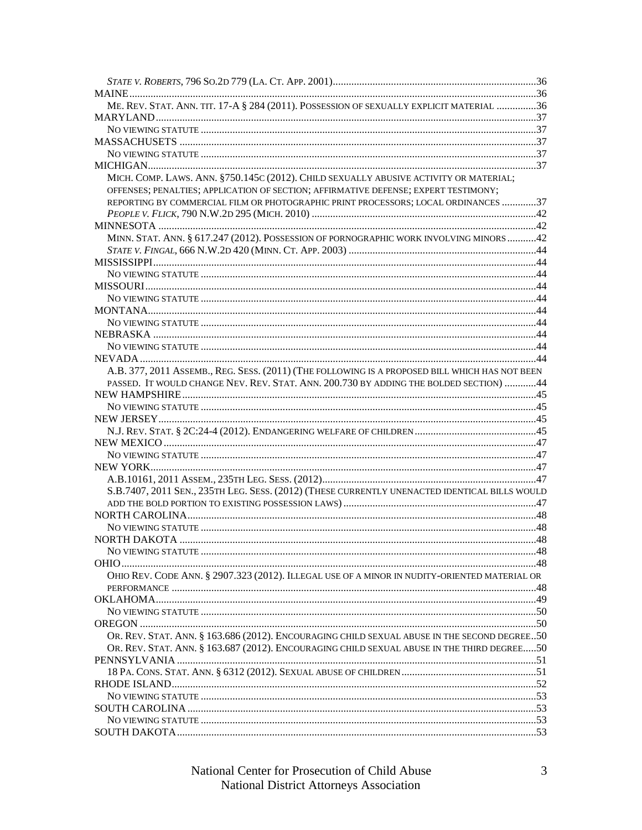| ME. REV. STAT. ANN. TIT. 17-A § 284 (2011). POSSESSION OF SEXUALLY EXPLICIT MATERIAL 36        |  |
|------------------------------------------------------------------------------------------------|--|
|                                                                                                |  |
|                                                                                                |  |
|                                                                                                |  |
|                                                                                                |  |
|                                                                                                |  |
| MICH. COMP. LAWS. ANN. §750.145C (2012). CHILD SEXUALLY ABUSIVE ACTIVITY OR MATERIAL;          |  |
| OFFENSES; PENALTIES; APPLICATION OF SECTION; AFFIRMATIVE DEFENSE; EXPERT TESTIMONY;            |  |
| REPORTING BY COMMERCIAL FILM OR PHOTOGRAPHIC PRINT PROCESSORS; LOCAL ORDINANCES 37             |  |
|                                                                                                |  |
|                                                                                                |  |
| MINN. STAT. ANN. § 617.247 (2012). POSSESSION OF PORNOGRAPHIC WORK INVOLVING MINORS 42         |  |
|                                                                                                |  |
|                                                                                                |  |
|                                                                                                |  |
|                                                                                                |  |
|                                                                                                |  |
|                                                                                                |  |
|                                                                                                |  |
|                                                                                                |  |
|                                                                                                |  |
|                                                                                                |  |
| A.B. 377, 2011 ASSEMB., REG. SESS. (2011) (THE FOLLOWING IS A PROPOSED BILL WHICH HAS NOT BEEN |  |
| PASSED. IT WOULD CHANGE NEV. REV. STAT. ANN. 200.730 BY ADDING THE BOLDED SECTION) 44          |  |
|                                                                                                |  |
|                                                                                                |  |
|                                                                                                |  |
|                                                                                                |  |
|                                                                                                |  |
|                                                                                                |  |
|                                                                                                |  |
|                                                                                                |  |
| S.B.7407, 2011 SEN., 235TH LEG. SESS. (2012) (THESE CURRENTLY UNENACTED IDENTICAL BILLS WOULD  |  |
|                                                                                                |  |
|                                                                                                |  |
|                                                                                                |  |
|                                                                                                |  |
|                                                                                                |  |
|                                                                                                |  |
| OHIO REV. CODE ANN. § 2907.323 (2012). ILLEGAL USE OF A MINOR IN NUDITY-ORIENTED MATERIAL OR   |  |
|                                                                                                |  |
|                                                                                                |  |
|                                                                                                |  |
|                                                                                                |  |
| OR. REV. STAT. ANN. § 163.686 (2012). ENCOURAGING CHILD SEXUAL ABUSE IN THE SECOND DEGREE50    |  |
| OR. REV. STAT. ANN. § 163.687 (2012). ENCOURAGING CHILD SEXUAL ABUSE IN THE THIRD DEGREE50     |  |
|                                                                                                |  |
|                                                                                                |  |
|                                                                                                |  |
|                                                                                                |  |
|                                                                                                |  |
|                                                                                                |  |
|                                                                                                |  |

#### National Center for Prosecution of Child Abuse National District Attorneys Association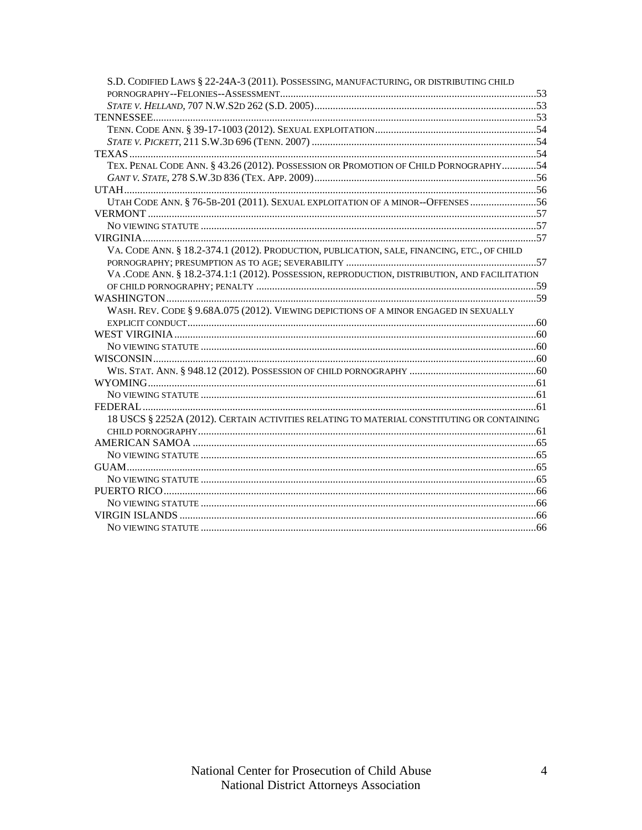| S.D. CODIFIED LAWS § 22-24A-3 (2011). POSSESSING, MANUFACTURING, OR DISTRIBUTING CHILD        |  |
|-----------------------------------------------------------------------------------------------|--|
|                                                                                               |  |
|                                                                                               |  |
|                                                                                               |  |
|                                                                                               |  |
|                                                                                               |  |
|                                                                                               |  |
| TEX. PENAL CODE ANN. § 43.26 (2012). POSSESSION OR PROMOTION OF CHILD PORNOGRAPHY54           |  |
|                                                                                               |  |
|                                                                                               |  |
|                                                                                               |  |
|                                                                                               |  |
|                                                                                               |  |
|                                                                                               |  |
| VA. CODE ANN. § 18.2-374.1 (2012). PRODUCTION, PUBLICATION, SALE, FINANCING, ETC., OF CHILD   |  |
|                                                                                               |  |
| VA. CODE ANN. § 18.2-374.1:1 (2012). POSSESSION, REPRODUCTION, DISTRIBUTION, AND FACILITATION |  |
|                                                                                               |  |
|                                                                                               |  |
| WASH. REV. CODE § 9.68A.075 (2012). VIEWING DEPICTIONS OF A MINOR ENGAGED IN SEXUALLY         |  |
|                                                                                               |  |
|                                                                                               |  |
|                                                                                               |  |
|                                                                                               |  |
|                                                                                               |  |
|                                                                                               |  |
|                                                                                               |  |
|                                                                                               |  |
| 18 USCS § 2252A (2012). CERTAIN ACTIVITIES RELATING TO MATERIAL CONSTITUTING OR CONTAINING    |  |
|                                                                                               |  |
|                                                                                               |  |
|                                                                                               |  |
|                                                                                               |  |
|                                                                                               |  |
|                                                                                               |  |
|                                                                                               |  |
|                                                                                               |  |
|                                                                                               |  |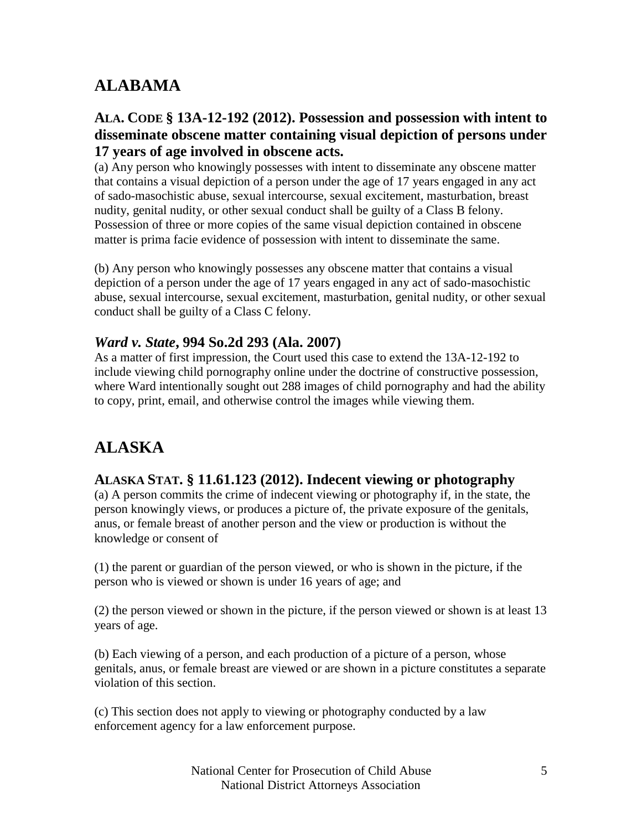# <span id="page-4-0"></span>**ALABAMA**

#### <span id="page-4-1"></span>**ALA. CODE § 13A-12-192 (2012). Possession and possession with intent to disseminate obscene matter containing visual depiction of persons under 17 years of age involved in obscene acts.**

(a) Any person who knowingly possesses with intent to disseminate any obscene matter that contains a visual depiction of a person under the age of 17 years engaged in any act of sado-masochistic abuse, sexual intercourse, sexual excitement, masturbation, breast nudity, genital nudity, or other sexual conduct shall be guilty of a Class B felony. Possession of three or more copies of the same visual depiction contained in obscene matter is prima facie evidence of possession with intent to disseminate the same.

(b) Any person who knowingly possesses any obscene matter that contains a visual depiction of a person under the age of 17 years engaged in any act of sado-masochistic abuse, sexual intercourse, sexual excitement, masturbation, genital nudity, or other sexual conduct shall be guilty of a Class C felony.

#### <span id="page-4-2"></span>*Ward v. State***, 994 So.2d 293 (Ala. 2007)**

As a matter of first impression, the Court used this case to extend the 13A-12-192 to include viewing child pornography online under the doctrine of constructive possession, where Ward intentionally sought out 288 images of child pornography and had the ability to copy, print, email, and otherwise control the images while viewing them.

# <span id="page-4-3"></span>**ALASKA**

#### <span id="page-4-4"></span>**ALASKA STAT. § 11.61.123 (2012). Indecent viewing or photography**

(a) A person commits the crime of indecent viewing or photography if, in the state, the person knowingly views, or produces a picture of, the private exposure of the genitals, anus, or female breast of another person and the view or production is without the knowledge or consent of

(1) the parent or guardian of the person viewed, or who is shown in the picture, if the person who is viewed or shown is under 16 years of age; and

(2) the person viewed or shown in the picture, if the person viewed or shown is at least 13 years of age.

(b) Each viewing of a person, and each production of a picture of a person, whose genitals, anus, or female breast are viewed or are shown in a picture constitutes a separate violation of this section.

(c) This section does not apply to viewing or photography conducted by a law enforcement agency for a law enforcement purpose.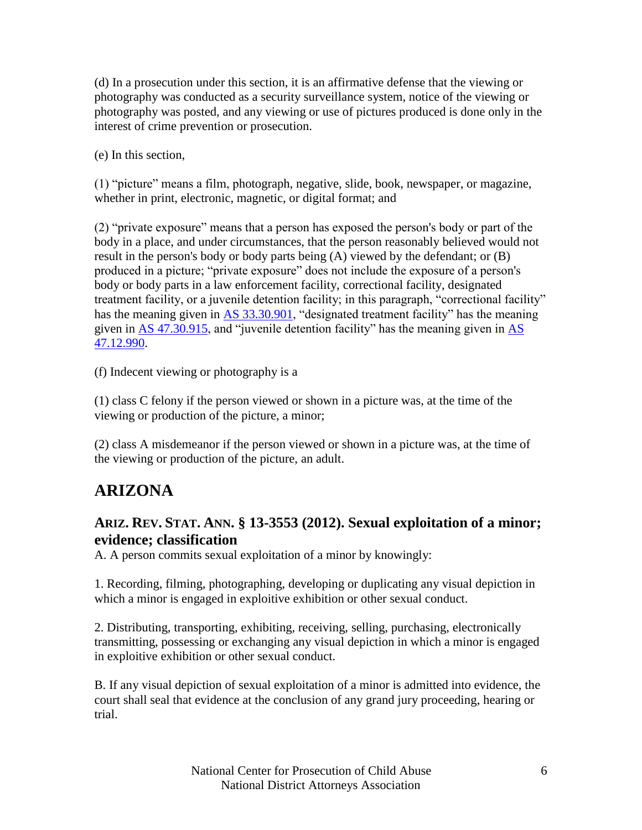(d) In a prosecution under this section, it is an affirmative defense that the viewing or photography was conducted as a security surveillance system, notice of the viewing or photography was posted, and any viewing or use of pictures produced is done only in the interest of crime prevention or prosecution.

(e) In this section,

(1) "picture" means a film, photograph, negative, slide, book, newspaper, or magazine, whether in print, electronic, magnetic, or digital format; and

(2) "private exposure" means that a person has exposed the person's body or part of the body in a place, and under circumstances, that the person reasonably believed would not result in the person's body or body parts being (A) viewed by the defendant; or (B) produced in a picture; "private exposure" does not include the exposure of a person's body or body parts in a law enforcement facility, correctional facility, designated treatment facility, or a juvenile detention facility; in this paragraph, "correctional facility" has the meaning given in [AS 33.30.901,](http://web2.westlaw.com/find/default.wl?mt=WestlawGC&db=1000003&rs=WLW12.04&docname=AKSTS33.30.901&rp=%2ffind%2fdefault.wl&findtype=L&ordoc=8532568&tc=-1&vr=2.0&fn=_top&sv=Split&tf=-1&pbc=582D744F&utid=%7bF73AE6BA-7B4E-4086-8848-1894C4558E02%7d) "designated treatment facility" has the meaning given in [AS 47.30.915,](http://web2.westlaw.com/find/default.wl?mt=WestlawGC&db=1000003&rs=WLW12.04&docname=AKSTS47.30.915&rp=%2ffind%2fdefault.wl&findtype=L&ordoc=8532568&tc=-1&vr=2.0&fn=_top&sv=Split&tf=-1&pbc=582D744F&utid=%7bF73AE6BA-7B4E-4086-8848-1894C4558E02%7d) and "juvenile detention facility" has the meaning given in [AS](http://web2.westlaw.com/find/default.wl?mt=WestlawGC&db=1000003&rs=WLW12.04&docname=AKSTS47.12.990&rp=%2ffind%2fdefault.wl&findtype=L&ordoc=8532568&tc=-1&vr=2.0&fn=_top&sv=Split&tf=-1&pbc=582D744F&utid=%7bF73AE6BA-7B4E-4086-8848-1894C4558E02%7d)  [47.12.990.](http://web2.westlaw.com/find/default.wl?mt=WestlawGC&db=1000003&rs=WLW12.04&docname=AKSTS47.12.990&rp=%2ffind%2fdefault.wl&findtype=L&ordoc=8532568&tc=-1&vr=2.0&fn=_top&sv=Split&tf=-1&pbc=582D744F&utid=%7bF73AE6BA-7B4E-4086-8848-1894C4558E02%7d)

(f) Indecent viewing or photography is a

(1) class C felony if the person viewed or shown in a picture was, at the time of the viewing or production of the picture, a minor;

(2) class A misdemeanor if the person viewed or shown in a picture was, at the time of the viewing or production of the picture, an adult.

# <span id="page-5-0"></span>**ARIZONA**

### <span id="page-5-1"></span>**ARIZ. REV. STAT. ANN. § 13-3553 (2012). Sexual exploitation of a minor; evidence; classification**

A. A person commits sexual exploitation of a minor by knowingly:

1. Recording, filming, photographing, developing or duplicating any visual depiction in which a minor is engaged in exploitive exhibition or other sexual conduct.

2. Distributing, transporting, exhibiting, receiving, selling, purchasing, electronically transmitting, possessing or exchanging any visual depiction in which a minor is engaged in exploitive exhibition or other sexual conduct.

B. If any visual depiction of sexual exploitation of a minor is admitted into evidence, the court shall seal that evidence at the conclusion of any grand jury proceeding, hearing or trial.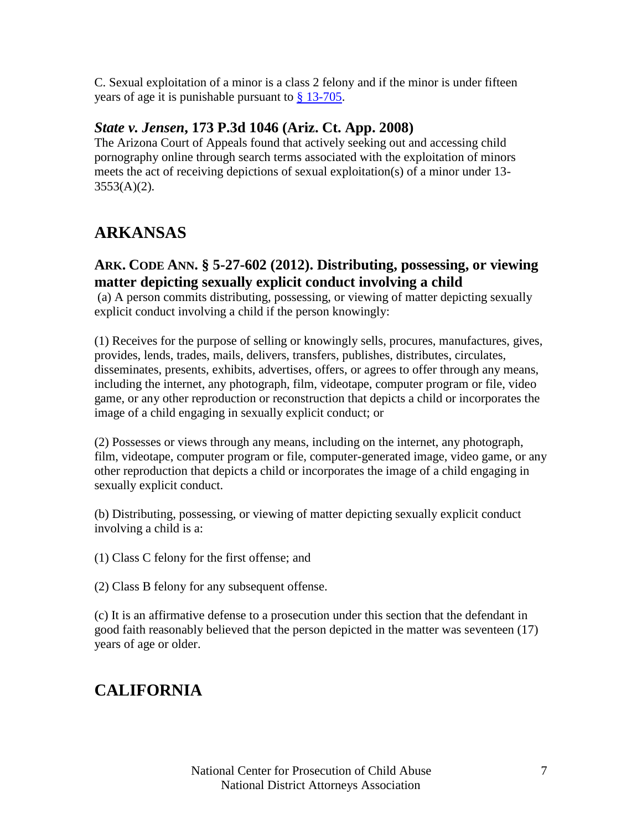C. Sexual exploitation of a minor is a class 2 felony and if the minor is under fifteen years of age it is punishable pursuant to [§ 13-705.](http://web2.westlaw.com/find/default.wl?mt=WestlawGC&db=1000251&rs=WLW12.04&docname=AZSTS13-705&rp=%2ffind%2fdefault.wl&findtype=L&ordoc=19850753&tc=-1&vr=2.0&fn=_top&sv=Split&tf=-1&pbc=4EB775C6&utid=%7bF73AE6BA-7B4E-4086-8848-1894C4558E02%7d)

#### <span id="page-6-0"></span>*State v. Jensen***, 173 P.3d 1046 (Ariz. Ct. App. 2008)**

The Arizona Court of Appeals found that actively seeking out and accessing child pornography online through search terms associated with the exploitation of minors meets the act of receiving depictions of sexual exploitation(s) of a minor under 13-  $3553(A)(2)$ .

## <span id="page-6-1"></span>**ARKANSAS**

#### <span id="page-6-2"></span>**ARK. CODE ANN. § 5-27-602 (2012). Distributing, possessing, or viewing matter depicting sexually explicit conduct involving a child**

(a) A person commits distributing, possessing, or viewing of matter depicting sexually explicit conduct involving a child if the person knowingly:

(1) Receives for the purpose of selling or knowingly sells, procures, manufactures, gives, provides, lends, trades, mails, delivers, transfers, publishes, distributes, circulates, disseminates, presents, exhibits, advertises, offers, or agrees to offer through any means, including the internet, any photograph, film, videotape, computer program or file, video game, or any other reproduction or reconstruction that depicts a child or incorporates the image of a child engaging in sexually explicit conduct; or

(2) Possesses or views through any means, including on the internet, any photograph, film, videotape, computer program or file, computer-generated image, video game, or any other reproduction that depicts a child or incorporates the image of a child engaging in sexually explicit conduct.

(b) Distributing, possessing, or viewing of matter depicting sexually explicit conduct involving a child is a:

(1) Class C felony for the first offense; and

(2) Class B felony for any subsequent offense.

(c) It is an affirmative defense to a prosecution under this section that the defendant in good faith reasonably believed that the person depicted in the matter was seventeen (17) years of age or older.

# <span id="page-6-3"></span>**CALIFORNIA**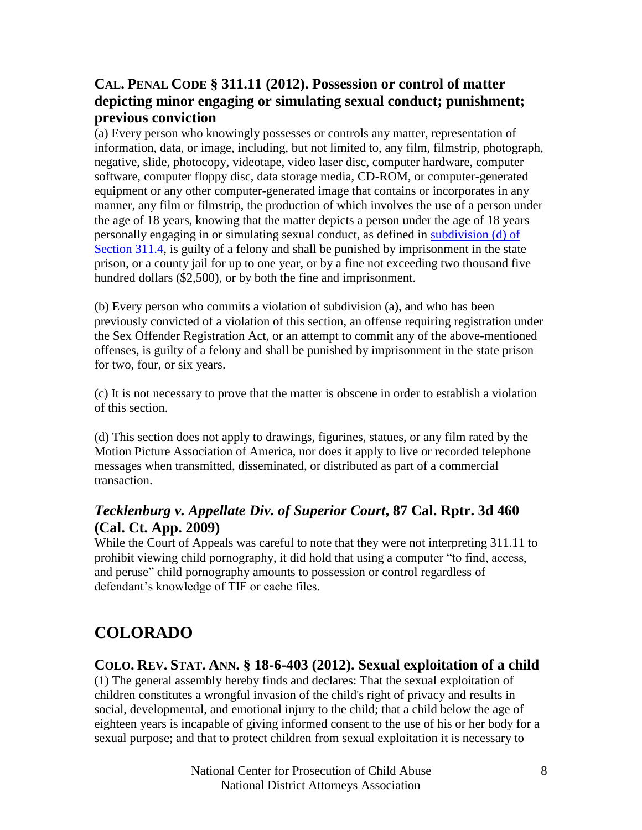#### <span id="page-7-0"></span>**CAL. PENAL CODE § 311.11 (2012). Possession or control of matter depicting minor engaging or simulating sexual conduct; punishment; previous conviction**

(a) Every person who knowingly possesses or controls any matter, representation of information, data, or image, including, but not limited to, any film, filmstrip, photograph, negative, slide, photocopy, videotape, video laser disc, computer hardware, computer software, computer floppy disc, data storage media, CD-ROM, or computer-generated equipment or any other computer-generated image that contains or incorporates in any manner, any film or filmstrip, the production of which involves the use of a person under the age of 18 years, knowing that the matter depicts a person under the age of 18 years personally engaging in or simulating sexual conduct, as defined in [subdivision \(d\) of](http://web2.westlaw.com/find/default.wl?mt=WestlawGC&db=1000217&rs=WLW12.04&docname=CAPES311.4&rp=%2ffind%2fdefault.wl&findtype=L&ordoc=17901568&tc=-1&vr=2.0&fn=_top&sv=Split&tf=-1&referencepositiontype=T&pbc=2BF09D8C&referenceposition=SP%3b5ba1000067d06&utid=%7bF73AE6BA-7B4E-4086-8848-1894C4558E02%7d)  [Section 311.4,](http://web2.westlaw.com/find/default.wl?mt=WestlawGC&db=1000217&rs=WLW12.04&docname=CAPES311.4&rp=%2ffind%2fdefault.wl&findtype=L&ordoc=17901568&tc=-1&vr=2.0&fn=_top&sv=Split&tf=-1&referencepositiontype=T&pbc=2BF09D8C&referenceposition=SP%3b5ba1000067d06&utid=%7bF73AE6BA-7B4E-4086-8848-1894C4558E02%7d) is guilty of a felony and shall be punished by imprisonment in the state prison, or a county jail for up to one year, or by a fine not exceeding two thousand five hundred dollars (\$2,500), or by both the fine and imprisonment.

(b) Every person who commits a violation of subdivision (a), and who has been previously convicted of a violation of this section, an offense requiring registration under the Sex Offender Registration Act, or an attempt to commit any of the above-mentioned offenses, is guilty of a felony and shall be punished by imprisonment in the state prison for two, four, or six years.

(c) It is not necessary to prove that the matter is obscene in order to establish a violation of this section.

(d) This section does not apply to drawings, figurines, statues, or any film rated by the Motion Picture Association of America, nor does it apply to live or recorded telephone messages when transmitted, disseminated, or distributed as part of a commercial transaction.

#### <span id="page-7-1"></span>*Tecklenburg v. Appellate Div. of Superior Court***, 87 Cal. Rptr. 3d 460 (Cal. Ct. App. 2009)**

While the Court of Appeals was careful to note that they were not interpreting 311.11 to prohibit viewing child pornography, it did hold that using a computer "to find, access, and peruse" child pornography amounts to possession or control regardless of defendant's knowledge of TIF or cache files.

# <span id="page-7-2"></span>**COLORADO**

#### <span id="page-7-3"></span>**COLO. REV. STAT. ANN. § 18-6-403 (2012). Sexual exploitation of a child**

(1) The general assembly hereby finds and declares: That the sexual exploitation of children constitutes a wrongful invasion of the child's right of privacy and results in social, developmental, and emotional injury to the child; that a child below the age of eighteen years is incapable of giving informed consent to the use of his or her body for a sexual purpose; and that to protect children from sexual exploitation it is necessary to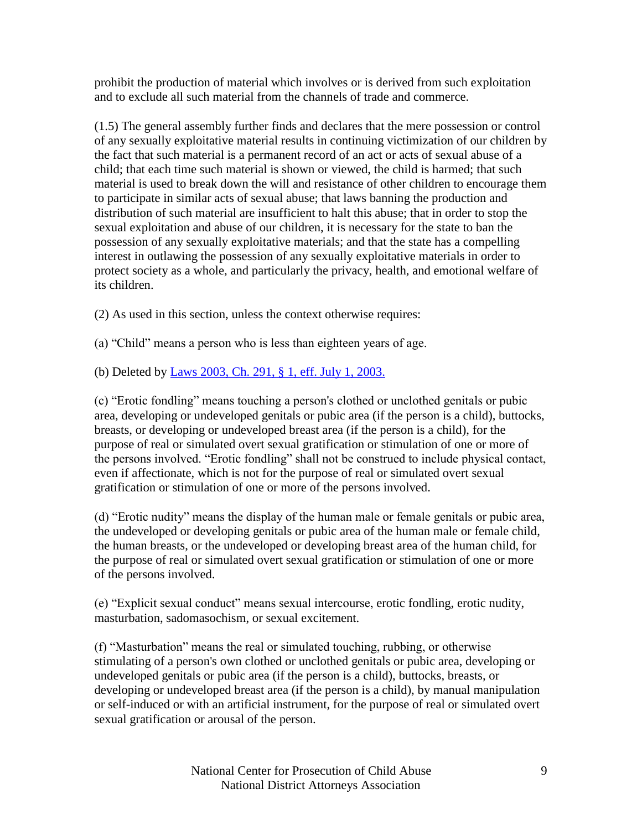prohibit the production of material which involves or is derived from such exploitation and to exclude all such material from the channels of trade and commerce.

(1.5) The general assembly further finds and declares that the mere possession or control of any sexually exploitative material results in continuing victimization of our children by the fact that such material is a permanent record of an act or acts of sexual abuse of a child; that each time such material is shown or viewed, the child is harmed; that such material is used to break down the will and resistance of other children to encourage them to participate in similar acts of sexual abuse; that laws banning the production and distribution of such material are insufficient to halt this abuse; that in order to stop the sexual exploitation and abuse of our children, it is necessary for the state to ban the possession of any sexually exploitative materials; and that the state has a compelling interest in outlawing the possession of any sexually exploitative materials in order to protect society as a whole, and particularly the privacy, health, and emotional welfare of its children.

(2) As used in this section, unless the context otherwise requires:

(a) "Child" means a person who is less than eighteen years of age.

(b) Deleted by [Laws 2003, Ch. 291, § 1, eff. July 1, 2003.](http://web2.westlaw.com/find/default.wl?mt=WestlawGC&db=1077005&rs=WLW12.04&docname=UUID(I61FA5D9FBC-A147F5AFC19-5FFFCB1C079)&rp=%2ffind%2fdefault.wl&findtype=l&ordoc=3692507&tc=-1&vr=2.0&fn=_top&sv=Split&tf=-1&pbc=B0D02174&utid=%7bF73AE6BA-7B4E-4086-8848-1894C4558E02%7d)

(c) "Erotic fondling" means touching a person's clothed or unclothed genitals or pubic area, developing or undeveloped genitals or pubic area (if the person is a child), buttocks, breasts, or developing or undeveloped breast area (if the person is a child), for the purpose of real or simulated overt sexual gratification or stimulation of one or more of the persons involved. "Erotic fondling" shall not be construed to include physical contact, even if affectionate, which is not for the purpose of real or simulated overt sexual gratification or stimulation of one or more of the persons involved.

(d) "Erotic nudity" means the display of the human male or female genitals or pubic area, the undeveloped or developing genitals or pubic area of the human male or female child, the human breasts, or the undeveloped or developing breast area of the human child, for the purpose of real or simulated overt sexual gratification or stimulation of one or more of the persons involved.

(e) "Explicit sexual conduct" means sexual intercourse, erotic fondling, erotic nudity, masturbation, sadomasochism, or sexual excitement.

(f) "Masturbation" means the real or simulated touching, rubbing, or otherwise stimulating of a person's own clothed or unclothed genitals or pubic area, developing or undeveloped genitals or pubic area (if the person is a child), buttocks, breasts, or developing or undeveloped breast area (if the person is a child), by manual manipulation or self-induced or with an artificial instrument, for the purpose of real or simulated overt sexual gratification or arousal of the person.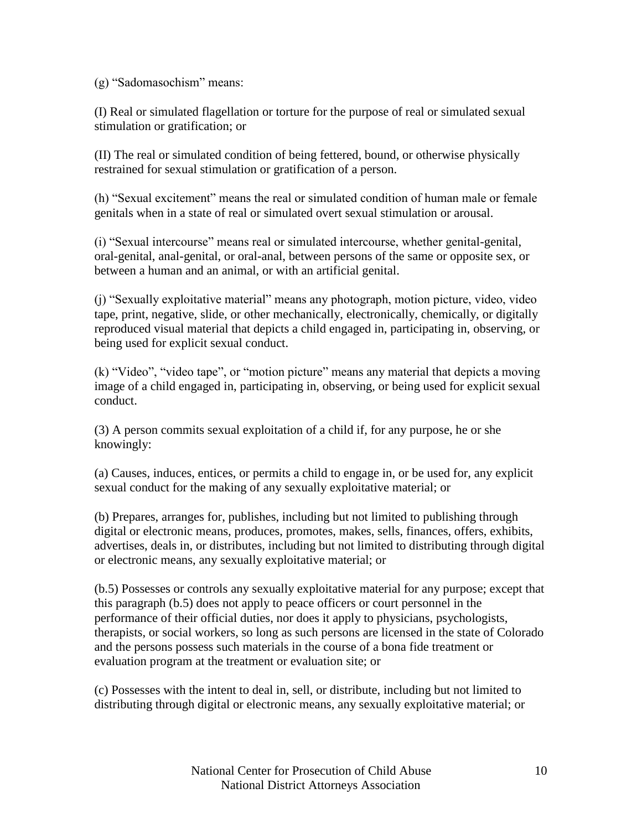(g) "Sadomasochism" means:

(I) Real or simulated flagellation or torture for the purpose of real or simulated sexual stimulation or gratification; or

(II) The real or simulated condition of being fettered, bound, or otherwise physically restrained for sexual stimulation or gratification of a person.

(h) "Sexual excitement" means the real or simulated condition of human male or female genitals when in a state of real or simulated overt sexual stimulation or arousal.

(i) "Sexual intercourse" means real or simulated intercourse, whether genital-genital, oral-genital, anal-genital, or oral-anal, between persons of the same or opposite sex, or between a human and an animal, or with an artificial genital.

(j) "Sexually exploitative material" means any photograph, motion picture, video, video tape, print, negative, slide, or other mechanically, electronically, chemically, or digitally reproduced visual material that depicts a child engaged in, participating in, observing, or being used for explicit sexual conduct.

(k) "Video", "video tape", or "motion picture" means any material that depicts a moving image of a child engaged in, participating in, observing, or being used for explicit sexual conduct.

(3) A person commits sexual exploitation of a child if, for any purpose, he or she knowingly:

(a) Causes, induces, entices, or permits a child to engage in, or be used for, any explicit sexual conduct for the making of any sexually exploitative material; or

(b) Prepares, arranges for, publishes, including but not limited to publishing through digital or electronic means, produces, promotes, makes, sells, finances, offers, exhibits, advertises, deals in, or distributes, including but not limited to distributing through digital or electronic means, any sexually exploitative material; or

(b.5) Possesses or controls any sexually exploitative material for any purpose; except that this paragraph (b.5) does not apply to peace officers or court personnel in the performance of their official duties, nor does it apply to physicians, psychologists, therapists, or social workers, so long as such persons are licensed in the state of Colorado and the persons possess such materials in the course of a bona fide treatment or evaluation program at the treatment or evaluation site; or

(c) Possesses with the intent to deal in, sell, or distribute, including but not limited to distributing through digital or electronic means, any sexually exploitative material; or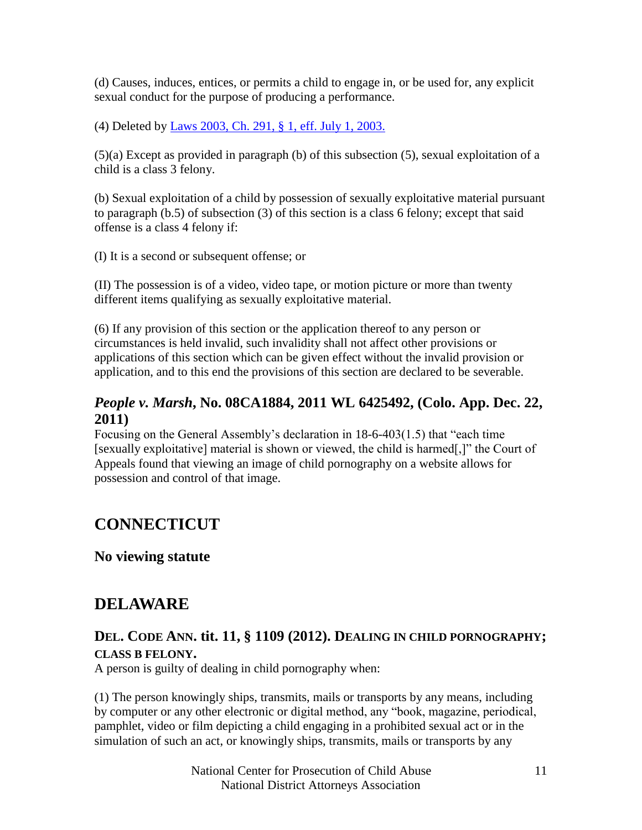(d) Causes, induces, entices, or permits a child to engage in, or be used for, any explicit sexual conduct for the purpose of producing a performance.

(4) Deleted by [Laws 2003, Ch. 291, § 1, eff. July 1, 2003.](http://web2.westlaw.com/find/default.wl?mt=WestlawGC&db=1077005&rs=WLW12.04&docname=UUID(I61FA5D9FBC-A147F5AFC19-5FFFCB1C079)&rp=%2ffind%2fdefault.wl&findtype=l&ordoc=3692507&tc=-1&vr=2.0&fn=_top&sv=Split&tf=-1&pbc=B0D02174&utid=%7bF73AE6BA-7B4E-4086-8848-1894C4558E02%7d)

(5)(a) Except as provided in paragraph (b) of this subsection (5), sexual exploitation of a child is a class 3 felony.

(b) Sexual exploitation of a child by possession of sexually exploitative material pursuant to paragraph (b.5) of subsection (3) of this section is a class 6 felony; except that said offense is a class 4 felony if:

(I) It is a second or subsequent offense; or

(II) The possession is of a video, video tape, or motion picture or more than twenty different items qualifying as sexually exploitative material.

(6) If any provision of this section or the application thereof to any person or circumstances is held invalid, such invalidity shall not affect other provisions or applications of this section which can be given effect without the invalid provision or application, and to this end the provisions of this section are declared to be severable.

### <span id="page-10-0"></span>*People v. Marsh***, No. 08CA1884, 2011 WL 6425492, (Colo. App. Dec. 22, 2011)**

Focusing on the General Assembly's declaration in 18-6-403(1.5) that "each time [sexually exploitative] material is shown or viewed, the child is harmed[,]" the Court of Appeals found that viewing an image of child pornography on a website allows for possession and control of that image.

# <span id="page-10-1"></span>**CONNECTICUT**

### <span id="page-10-2"></span>**No viewing statute**

## <span id="page-10-3"></span>**DELAWARE**

#### <span id="page-10-4"></span>**DEL. CODE ANN. tit. 11, § 1109 (2012). DEALING IN CHILD PORNOGRAPHY; CLASS B FELONY.**

A person is guilty of dealing in child pornography when:

(1) The person knowingly ships, transmits, mails or transports by any means, including by computer or any other electronic or digital method, any "book, magazine, periodical, pamphlet, video or film depicting a child engaging in a prohibited sexual act or in the simulation of such an act, or knowingly ships, transmits, mails or transports by any

> National Center for Prosecution of Child Abuse National District Attorneys Association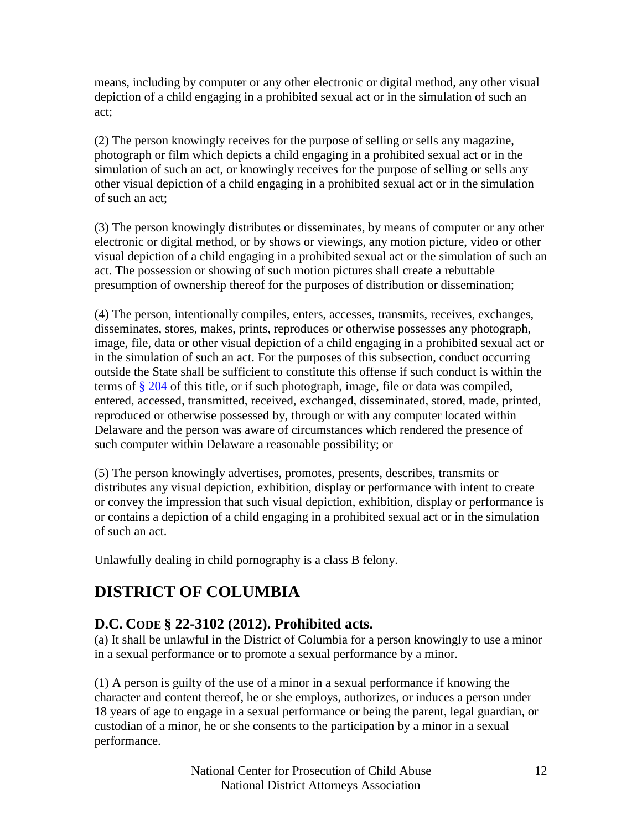means, including by computer or any other electronic or digital method, any other visual depiction of a child engaging in a prohibited sexual act or in the simulation of such an act;

(2) The person knowingly receives for the purpose of selling or sells any magazine, photograph or film which depicts a child engaging in a prohibited sexual act or in the simulation of such an act, or knowingly receives for the purpose of selling or sells any other visual depiction of a child engaging in a prohibited sexual act or in the simulation of such an act;

(3) The person knowingly distributes or disseminates, by means of computer or any other electronic or digital method, or by shows or viewings, any motion picture, video or other visual depiction of a child engaging in a prohibited sexual act or the simulation of such an act. The possession or showing of such motion pictures shall create a rebuttable presumption of ownership thereof for the purposes of distribution or dissemination;

(4) The person, intentionally compiles, enters, accesses, transmits, receives, exchanges, disseminates, stores, makes, prints, reproduces or otherwise possesses any photograph, image, file, data or other visual depiction of a child engaging in a prohibited sexual act or in the simulation of such an act. For the purposes of this subsection, conduct occurring outside the State shall be sufficient to constitute this offense if such conduct is within the terms of [§ 204](http://web2.westlaw.com/find/default.wl?mt=WestlawGC&db=1000005&rs=WLW12.04&docname=DESTT11S204&rp=%2ffind%2fdefault.wl&findtype=L&ordoc=8952981&tc=-1&vr=2.0&fn=_top&sv=Split&tf=-1&pbc=D5DE8058&utid=%7bF73AE6BA-7B4E-4086-8848-1894C4558E02%7d) of this title, or if such photograph, image, file or data was compiled, entered, accessed, transmitted, received, exchanged, disseminated, stored, made, printed, reproduced or otherwise possessed by, through or with any computer located within Delaware and the person was aware of circumstances which rendered the presence of such computer within Delaware a reasonable possibility; or

(5) The person knowingly advertises, promotes, presents, describes, transmits or distributes any visual depiction, exhibition, display or performance with intent to create or convey the impression that such visual depiction, exhibition, display or performance is or contains a depiction of a child engaging in a prohibited sexual act or in the simulation of such an act.

Unlawfully dealing in child pornography is a class B felony.

# <span id="page-11-0"></span>**DISTRICT OF COLUMBIA**

### <span id="page-11-1"></span>**D.C. CODE § 22-3102 (2012). Prohibited acts.**

(a) It shall be unlawful in the District of Columbia for a person knowingly to use a minor in a sexual performance or to promote a sexual performance by a minor.

(1) A person is guilty of the use of a minor in a sexual performance if knowing the character and content thereof, he or she employs, authorizes, or induces a person under 18 years of age to engage in a sexual performance or being the parent, legal guardian, or custodian of a minor, he or she consents to the participation by a minor in a sexual performance.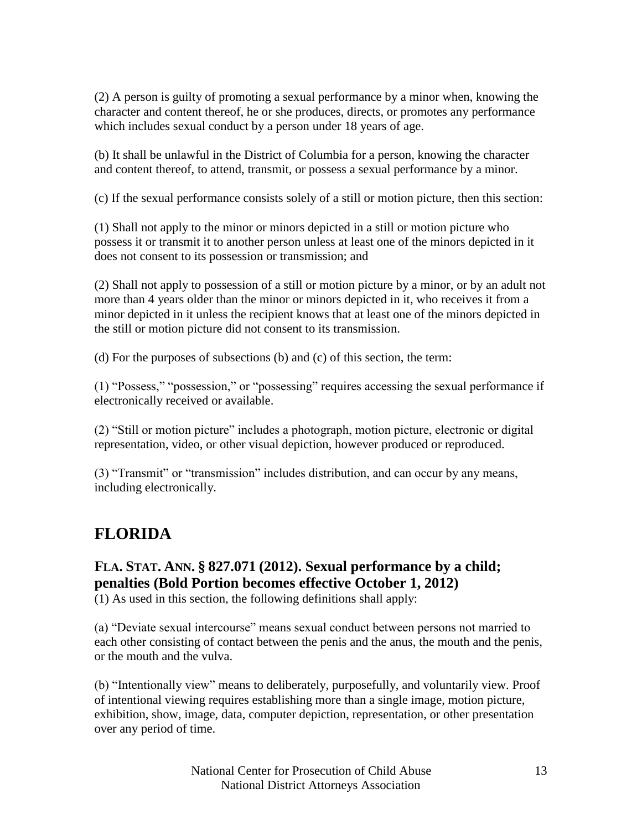(2) A person is guilty of promoting a sexual performance by a minor when, knowing the character and content thereof, he or she produces, directs, or promotes any performance which includes sexual conduct by a person under 18 years of age.

(b) It shall be unlawful in the District of Columbia for a person, knowing the character and content thereof, to attend, transmit, or possess a sexual performance by a minor.

(c) If the sexual performance consists solely of a still or motion picture, then this section:

(1) Shall not apply to the minor or minors depicted in a still or motion picture who possess it or transmit it to another person unless at least one of the minors depicted in it does not consent to its possession or transmission; and

(2) Shall not apply to possession of a still or motion picture by a minor, or by an adult not more than 4 years older than the minor or minors depicted in it, who receives it from a minor depicted in it unless the recipient knows that at least one of the minors depicted in the still or motion picture did not consent to its transmission.

(d) For the purposes of subsections (b) and (c) of this section, the term:

(1) "Possess," "possession," or "possessing" requires accessing the sexual performance if electronically received or available.

(2) "Still or motion picture" includes a photograph, motion picture, electronic or digital representation, video, or other visual depiction, however produced or reproduced.

(3) "Transmit" or "transmission" includes distribution, and can occur by any means, including electronically.

# <span id="page-12-0"></span>**FLORIDA**

### <span id="page-12-1"></span>**FLA. STAT. ANN. § 827.071 (2012). Sexual performance by a child; penalties (Bold Portion becomes effective October 1, 2012)**

(1) As used in this section, the following definitions shall apply:

(a) "Deviate sexual intercourse" means sexual conduct between persons not married to each other consisting of contact between the penis and the anus, the mouth and the penis, or the mouth and the vulva.

(b) "Intentionally view" means to deliberately, purposefully, and voluntarily view. Proof of intentional viewing requires establishing more than a single image, motion picture, exhibition, show, image, data, computer depiction, representation, or other presentation over any period of time.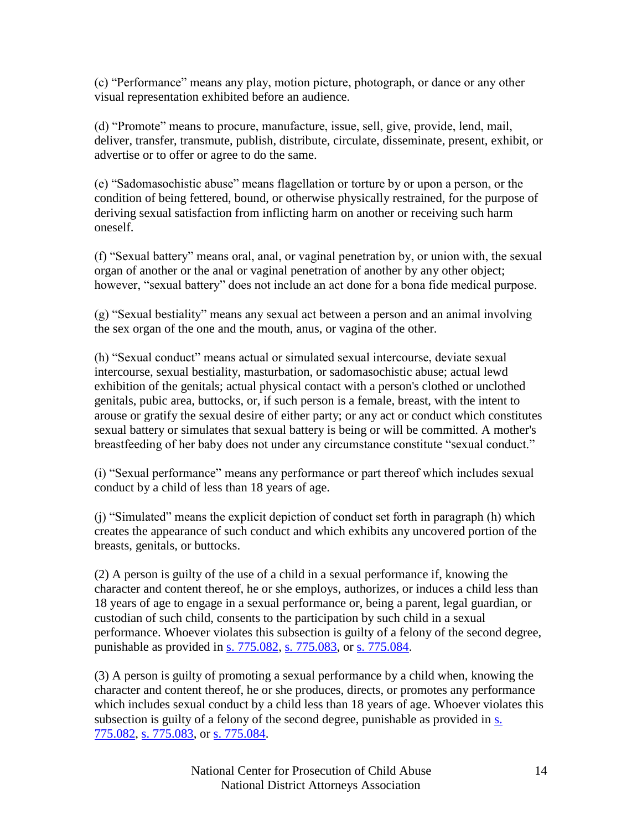(c) "Performance" means any play, motion picture, photograph, or dance or any other visual representation exhibited before an audience.

(d) "Promote" means to procure, manufacture, issue, sell, give, provide, lend, mail, deliver, transfer, transmute, publish, distribute, circulate, disseminate, present, exhibit, or advertise or to offer or agree to do the same.

(e) "Sadomasochistic abuse" means flagellation or torture by or upon a person, or the condition of being fettered, bound, or otherwise physically restrained, for the purpose of deriving sexual satisfaction from inflicting harm on another or receiving such harm oneself.

(f) "Sexual battery" means oral, anal, or vaginal penetration by, or union with, the sexual organ of another or the anal or vaginal penetration of another by any other object; however, "sexual battery" does not include an act done for a bona fide medical purpose.

(g) "Sexual bestiality" means any sexual act between a person and an animal involving the sex organ of the one and the mouth, anus, or vagina of the other.

(h) "Sexual conduct" means actual or simulated sexual intercourse, deviate sexual intercourse, sexual bestiality, masturbation, or sadomasochistic abuse; actual lewd exhibition of the genitals; actual physical contact with a person's clothed or unclothed genitals, pubic area, buttocks, or, if such person is a female, breast, with the intent to arouse or gratify the sexual desire of either party; or any act or conduct which constitutes sexual battery or simulates that sexual battery is being or will be committed. A mother's breastfeeding of her baby does not under any circumstance constitute "sexual conduct."

(i) "Sexual performance" means any performance or part thereof which includes sexual conduct by a child of less than 18 years of age.

(j) "Simulated" means the explicit depiction of conduct set forth in paragraph (h) which creates the appearance of such conduct and which exhibits any uncovered portion of the breasts, genitals, or buttocks.

(2) A person is guilty of the use of a child in a sexual performance if, knowing the character and content thereof, he or she employs, authorizes, or induces a child less than 18 years of age to engage in a sexual performance or, being a parent, legal guardian, or custodian of such child, consents to the participation by such child in a sexual performance. Whoever violates this subsection is guilty of a felony of the second degree, punishable as provided in [s. 775.082,](http://web2.westlaw.com/find/default.wl?mt=WestlawGC&db=1000006&rs=WLW12.04&docname=FLSTS775.082&rp=%2ffind%2fdefault.wl&findtype=L&ordoc=687236&tc=-1&vr=2.0&fn=_top&sv=Split&tf=-1&pbc=B305DBDE&utid=%7bF73AE6BA-7B4E-4086-8848-1894C4558E02%7d) [s. 775.083,](http://web2.westlaw.com/find/default.wl?mt=WestlawGC&db=1000006&rs=WLW12.04&docname=FLSTS775.083&rp=%2ffind%2fdefault.wl&findtype=L&ordoc=687236&tc=-1&vr=2.0&fn=_top&sv=Split&tf=-1&pbc=B305DBDE&utid=%7bF73AE6BA-7B4E-4086-8848-1894C4558E02%7d) or [s. 775.084.](http://web2.westlaw.com/find/default.wl?mt=WestlawGC&db=1000006&rs=WLW12.04&docname=FLSTS775.084&rp=%2ffind%2fdefault.wl&findtype=L&ordoc=687236&tc=-1&vr=2.0&fn=_top&sv=Split&tf=-1&pbc=B305DBDE&utid=%7bF73AE6BA-7B4E-4086-8848-1894C4558E02%7d)

(3) A person is guilty of promoting a sexual performance by a child when, knowing the character and content thereof, he or she produces, directs, or promotes any performance which includes sexual conduct by a child less than 18 years of age. Whoever violates this subsection is guilty of a felony of the second degree, punishable as provided in s. [775.082,](http://web2.westlaw.com/find/default.wl?mt=WestlawGC&db=1000006&rs=WLW12.04&docname=FLSTS775.082&rp=%2ffind%2fdefault.wl&findtype=L&ordoc=687236&tc=-1&vr=2.0&fn=_top&sv=Split&tf=-1&pbc=B305DBDE&utid=%7bF73AE6BA-7B4E-4086-8848-1894C4558E02%7d) [s. 775.083,](http://web2.westlaw.com/find/default.wl?mt=WestlawGC&db=1000006&rs=WLW12.04&docname=FLSTS775.083&rp=%2ffind%2fdefault.wl&findtype=L&ordoc=687236&tc=-1&vr=2.0&fn=_top&sv=Split&tf=-1&pbc=B305DBDE&utid=%7bF73AE6BA-7B4E-4086-8848-1894C4558E02%7d) or [s. 775.084.](http://web2.westlaw.com/find/default.wl?mt=WestlawGC&db=1000006&rs=WLW12.04&docname=FLSTS775.084&rp=%2ffind%2fdefault.wl&findtype=L&ordoc=687236&tc=-1&vr=2.0&fn=_top&sv=Split&tf=-1&pbc=B305DBDE&utid=%7bF73AE6BA-7B4E-4086-8848-1894C4558E02%7d)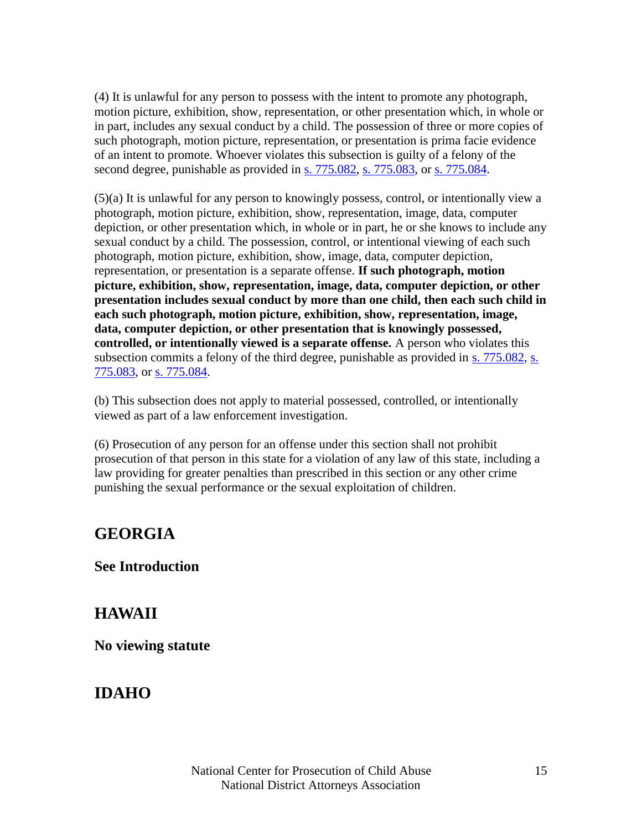(4) It is unlawful for any person to possess with the intent to promote any photograph, motion picture, exhibition, show, representation, or other presentation which, in whole or in part, includes any sexual conduct by a child. The possession of three or more copies of such photograph, motion picture, representation, or presentation is prima facie evidence of an intent to promote. Whoever violates this subsection is guilty of a felony of the second degree, punishable as provided in [s. 775.082,](http://web2.westlaw.com/find/default.wl?mt=WestlawGC&db=1000006&rs=WLW12.04&docname=FLSTS775.082&rp=%2ffind%2fdefault.wl&findtype=L&ordoc=687236&tc=-1&vr=2.0&fn=_top&sv=Split&tf=-1&pbc=B305DBDE&utid=%7bF73AE6BA-7B4E-4086-8848-1894C4558E02%7d) [s. 775.083,](http://web2.westlaw.com/find/default.wl?mt=WestlawGC&db=1000006&rs=WLW12.04&docname=FLSTS775.083&rp=%2ffind%2fdefault.wl&findtype=L&ordoc=687236&tc=-1&vr=2.0&fn=_top&sv=Split&tf=-1&pbc=B305DBDE&utid=%7bF73AE6BA-7B4E-4086-8848-1894C4558E02%7d) or [s. 775.084.](http://web2.westlaw.com/find/default.wl?mt=WestlawGC&db=1000006&rs=WLW12.04&docname=FLSTS775.084&rp=%2ffind%2fdefault.wl&findtype=L&ordoc=687236&tc=-1&vr=2.0&fn=_top&sv=Split&tf=-1&pbc=B305DBDE&utid=%7bF73AE6BA-7B4E-4086-8848-1894C4558E02%7d)

(5)(a) It is unlawful for any person to knowingly possess, control, or intentionally view a photograph, motion picture, exhibition, show, representation, image, data, computer depiction, or other presentation which, in whole or in part, he or she knows to include any sexual conduct by a child. The possession, control, or intentional viewing of each such photograph, motion picture, exhibition, show, image, data, computer depiction, representation, or presentation is a separate offense. **If such photograph, motion picture, exhibition, show, representation, image, data, computer depiction, or other presentation includes sexual conduct by more than one child, then each such child in each such photograph, motion picture, exhibition, show, representation, image, data, computer depiction, or other presentation that is knowingly possessed, controlled, or intentionally viewed is a separate offense.** A person who violates this subsection commits a felony of the third degree, punishable as provided in  $\frac{\text{s}}{\text{s}}$ . 775.082, s. [775.083,](http://web2.westlaw.com/find/default.wl?mt=WestlawGC&db=1000006&rs=WLW12.04&docname=FLSTS775.083&rp=%2ffind%2fdefault.wl&findtype=L&ordoc=687236&tc=-1&vr=2.0&fn=_top&sv=Split&tf=-1&pbc=B305DBDE&utid=%7bF73AE6BA-7B4E-4086-8848-1894C4558E02%7d) or [s. 775.084.](http://web2.westlaw.com/find/default.wl?mt=WestlawGC&db=1000006&rs=WLW12.04&docname=FLSTS775.084&rp=%2ffind%2fdefault.wl&findtype=L&ordoc=687236&tc=-1&vr=2.0&fn=_top&sv=Split&tf=-1&pbc=B305DBDE&utid=%7bF73AE6BA-7B4E-4086-8848-1894C4558E02%7d)

(b) This subsection does not apply to material possessed, controlled, or intentionally viewed as part of a law enforcement investigation.

(6) Prosecution of any person for an offense under this section shall not prohibit prosecution of that person in this state for a violation of any law of this state, including a law providing for greater penalties than prescribed in this section or any other crime punishing the sexual performance or the sexual exploitation of children.

### <span id="page-14-0"></span>**GEORGIA**

<span id="page-14-1"></span>**See Introduction**

### <span id="page-14-2"></span>**HAWAII**

<span id="page-14-3"></span>**No viewing statute**

### <span id="page-14-4"></span>**IDAHO**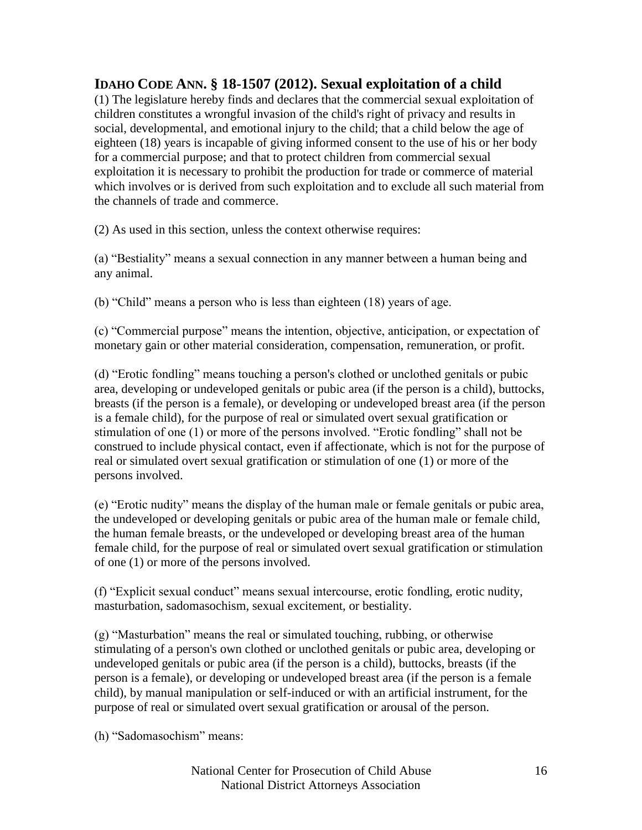#### <span id="page-15-0"></span>**IDAHO CODE ANN. § 18-1507 (2012). Sexual exploitation of a child**

(1) The legislature hereby finds and declares that the commercial sexual exploitation of children constitutes a wrongful invasion of the child's right of privacy and results in social, developmental, and emotional injury to the child; that a child below the age of eighteen (18) years is incapable of giving informed consent to the use of his or her body for a commercial purpose; and that to protect children from commercial sexual exploitation it is necessary to prohibit the production for trade or commerce of material which involves or is derived from such exploitation and to exclude all such material from the channels of trade and commerce.

(2) As used in this section, unless the context otherwise requires:

(a) "Bestiality" means a sexual connection in any manner between a human being and any animal.

(b) "Child" means a person who is less than eighteen (18) years of age.

(c) "Commercial purpose" means the intention, objective, anticipation, or expectation of monetary gain or other material consideration, compensation, remuneration, or profit.

(d) "Erotic fondling" means touching a person's clothed or unclothed genitals or pubic area, developing or undeveloped genitals or pubic area (if the person is a child), buttocks, breasts (if the person is a female), or developing or undeveloped breast area (if the person is a female child), for the purpose of real or simulated overt sexual gratification or stimulation of one (1) or more of the persons involved. "Erotic fondling" shall not be construed to include physical contact, even if affectionate, which is not for the purpose of real or simulated overt sexual gratification or stimulation of one (1) or more of the persons involved.

(e) "Erotic nudity" means the display of the human male or female genitals or pubic area, the undeveloped or developing genitals or pubic area of the human male or female child, the human female breasts, or the undeveloped or developing breast area of the human female child, for the purpose of real or simulated overt sexual gratification or stimulation of one (1) or more of the persons involved.

(f) "Explicit sexual conduct" means sexual intercourse, erotic fondling, erotic nudity, masturbation, sadomasochism, sexual excitement, or bestiality.

(g) "Masturbation" means the real or simulated touching, rubbing, or otherwise stimulating of a person's own clothed or unclothed genitals or pubic area, developing or undeveloped genitals or pubic area (if the person is a child), buttocks, breasts (if the person is a female), or developing or undeveloped breast area (if the person is a female child), by manual manipulation or self-induced or with an artificial instrument, for the purpose of real or simulated overt sexual gratification or arousal of the person.

(h) "Sadomasochism" means: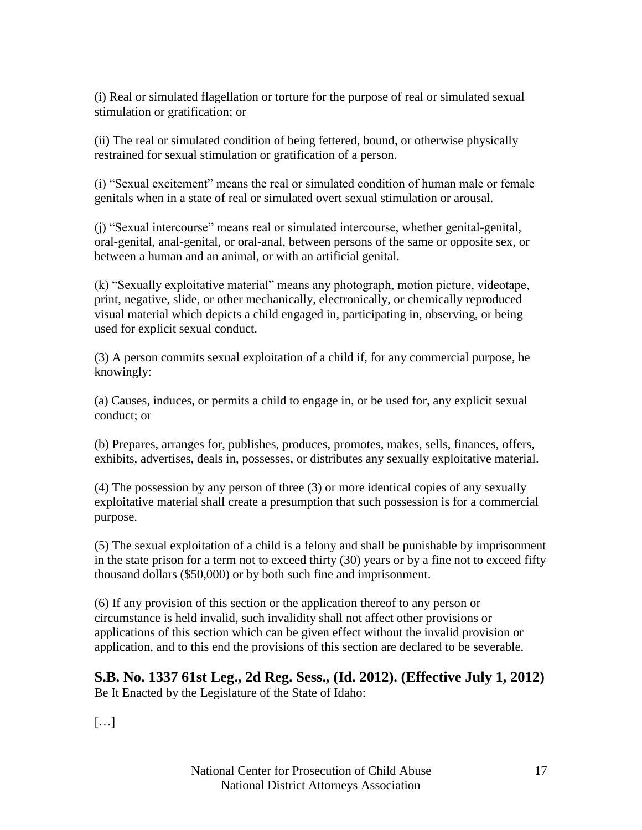(i) Real or simulated flagellation or torture for the purpose of real or simulated sexual stimulation or gratification; or

(ii) The real or simulated condition of being fettered, bound, or otherwise physically restrained for sexual stimulation or gratification of a person.

(i) "Sexual excitement" means the real or simulated condition of human male or female genitals when in a state of real or simulated overt sexual stimulation or arousal.

(j) "Sexual intercourse" means real or simulated intercourse, whether genital-genital, oral-genital, anal-genital, or oral-anal, between persons of the same or opposite sex, or between a human and an animal, or with an artificial genital.

(k) "Sexually exploitative material" means any photograph, motion picture, videotape, print, negative, slide, or other mechanically, electronically, or chemically reproduced visual material which depicts a child engaged in, participating in, observing, or being used for explicit sexual conduct.

(3) A person commits sexual exploitation of a child if, for any commercial purpose, he knowingly:

(a) Causes, induces, or permits a child to engage in, or be used for, any explicit sexual conduct; or

(b) Prepares, arranges for, publishes, produces, promotes, makes, sells, finances, offers, exhibits, advertises, deals in, possesses, or distributes any sexually exploitative material.

(4) The possession by any person of three (3) or more identical copies of any sexually exploitative material shall create a presumption that such possession is for a commercial purpose.

(5) The sexual exploitation of a child is a felony and shall be punishable by imprisonment in the state prison for a term not to exceed thirty (30) years or by a fine not to exceed fifty thousand dollars (\$50,000) or by both such fine and imprisonment.

(6) If any provision of this section or the application thereof to any person or circumstance is held invalid, such invalidity shall not affect other provisions or applications of this section which can be given effect without the invalid provision or application, and to this end the provisions of this section are declared to be severable.

#### <span id="page-16-0"></span>**S.B. No. 1337 61st Leg., 2d Reg. Sess., (Id. 2012). (Effective July 1, 2012)** Be It Enacted by the Legislature of the State of Idaho:

[…]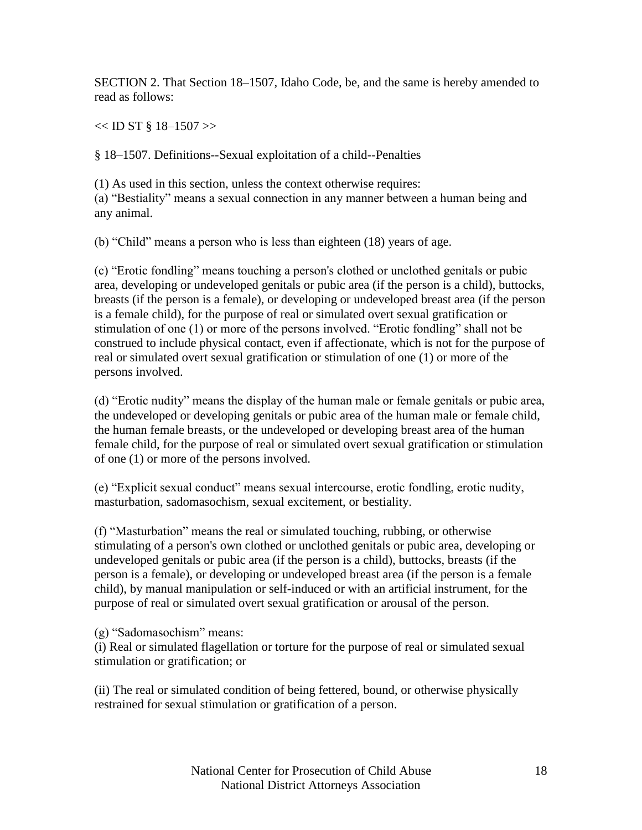SECTION 2. That Section 18–1507, Idaho Code, be, and the same is hereby amended to read as follows:

 $<<$  ID ST § 18–1507 >>

§ 18–1507. Definitions--Sexual exploitation of a child--Penalties

(1) As used in this section, unless the context otherwise requires: (a) "Bestiality" means a sexual connection in any manner between a human being and any animal.

(b) "Child" means a person who is less than eighteen (18) years of age.

(c) "Erotic fondling" means touching a person's clothed or unclothed genitals or pubic area, developing or undeveloped genitals or pubic area (if the person is a child), buttocks, breasts (if the person is a female), or developing or undeveloped breast area (if the person is a female child), for the purpose of real or simulated overt sexual gratification or stimulation of one (1) or more of the persons involved. "Erotic fondling" shall not be construed to include physical contact, even if affectionate, which is not for the purpose of real or simulated overt sexual gratification or stimulation of one (1) or more of the persons involved.

(d) "Erotic nudity" means the display of the human male or female genitals or pubic area, the undeveloped or developing genitals or pubic area of the human male or female child, the human female breasts, or the undeveloped or developing breast area of the human female child, for the purpose of real or simulated overt sexual gratification or stimulation of one (1) or more of the persons involved.

(e) "Explicit sexual conduct" means sexual intercourse, erotic fondling, erotic nudity, masturbation, sadomasochism, sexual excitement, or bestiality.

(f) "Masturbation" means the real or simulated touching, rubbing, or otherwise stimulating of a person's own clothed or unclothed genitals or pubic area, developing or undeveloped genitals or pubic area (if the person is a child), buttocks, breasts (if the person is a female), or developing or undeveloped breast area (if the person is a female child), by manual manipulation or self-induced or with an artificial instrument, for the purpose of real or simulated overt sexual gratification or arousal of the person.

(g) "Sadomasochism" means:

(i) Real or simulated flagellation or torture for the purpose of real or simulated sexual stimulation or gratification; or

(ii) The real or simulated condition of being fettered, bound, or otherwise physically restrained for sexual stimulation or gratification of a person.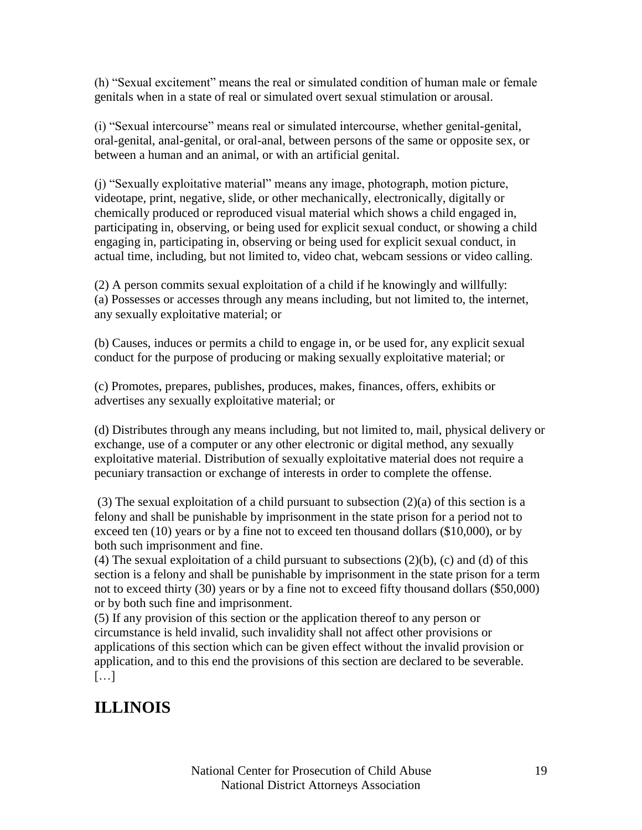(h) "Sexual excitement" means the real or simulated condition of human male or female genitals when in a state of real or simulated overt sexual stimulation or arousal.

(i) "Sexual intercourse" means real or simulated intercourse, whether genital-genital, oral-genital, anal-genital, or oral-anal, between persons of the same or opposite sex, or between a human and an animal, or with an artificial genital.

(j) "Sexually exploitative material" means any image, photograph, motion picture, videotape, print, negative, slide, or other mechanically, electronically, digitally or chemically produced or reproduced visual material which shows a child engaged in, participating in, observing, or being used for explicit sexual conduct, or showing a child engaging in, participating in, observing or being used for explicit sexual conduct, in actual time, including, but not limited to, video chat, webcam sessions or video calling.

(2) A person commits sexual exploitation of a child if he knowingly and willfully: (a) Possesses or accesses through any means including, but not limited to, the internet, any sexually exploitative material; or

(b) Causes, induces or permits a child to engage in, or be used for, any explicit sexual conduct for the purpose of producing or making sexually exploitative material; or

(c) Promotes, prepares, publishes, produces, makes, finances, offers, exhibits or advertises any sexually exploitative material; or

(d) Distributes through any means including, but not limited to, mail, physical delivery or exchange, use of a computer or any other electronic or digital method, any sexually exploitative material. Distribution of sexually exploitative material does not require a pecuniary transaction or exchange of interests in order to complete the offense.

(3) The sexual exploitation of a child pursuant to subsection  $(2)(a)$  of this section is a felony and shall be punishable by imprisonment in the state prison for a period not to exceed ten (10) years or by a fine not to exceed ten thousand dollars (\$10,000), or by both such imprisonment and fine.

(4) The sexual exploitation of a child pursuant to subsections  $(2)(b)$ , (c) and (d) of this section is a felony and shall be punishable by imprisonment in the state prison for a term not to exceed thirty (30) years or by a fine not to exceed fifty thousand dollars (\$50,000) or by both such fine and imprisonment.

(5) If any provision of this section or the application thereof to any person or circumstance is held invalid, such invalidity shall not affect other provisions or applications of this section which can be given effect without the invalid provision or application, and to this end the provisions of this section are declared to be severable. […]

# <span id="page-18-0"></span>**ILLINOIS**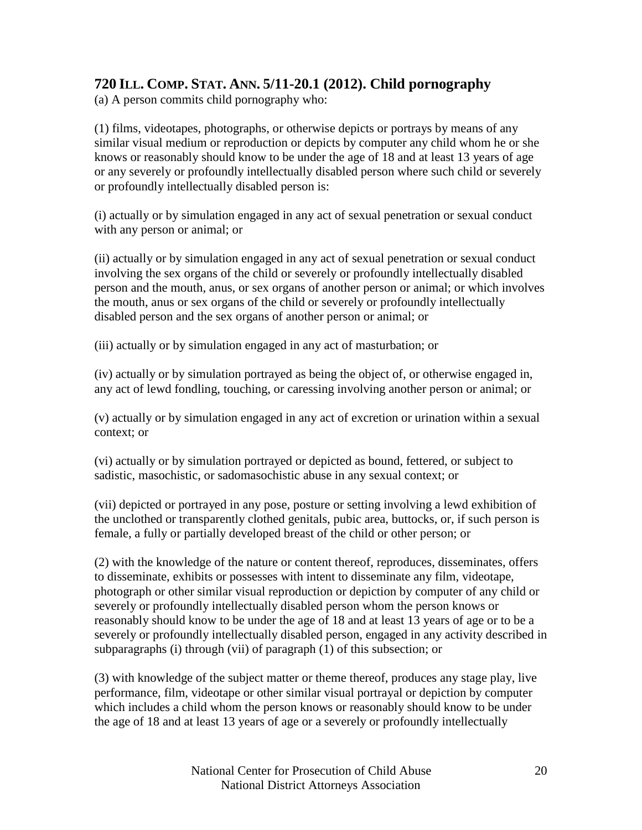#### <span id="page-19-0"></span>**720 ILL. COMP. STAT. ANN. 5/11-20.1 (2012). Child pornography**

(a) A person commits child pornography who:

(1) films, videotapes, photographs, or otherwise depicts or portrays by means of any similar visual medium or reproduction or depicts by computer any child whom he or she knows or reasonably should know to be under the age of 18 and at least 13 years of age or any severely or profoundly intellectually disabled person where such child or severely or profoundly intellectually disabled person is:

(i) actually or by simulation engaged in any act of sexual penetration or sexual conduct with any person or animal; or

(ii) actually or by simulation engaged in any act of sexual penetration or sexual conduct involving the sex organs of the child or severely or profoundly intellectually disabled person and the mouth, anus, or sex organs of another person or animal; or which involves the mouth, anus or sex organs of the child or severely or profoundly intellectually disabled person and the sex organs of another person or animal; or

(iii) actually or by simulation engaged in any act of masturbation; or

(iv) actually or by simulation portrayed as being the object of, or otherwise engaged in, any act of lewd fondling, touching, or caressing involving another person or animal; or

(v) actually or by simulation engaged in any act of excretion or urination within a sexual context; or

(vi) actually or by simulation portrayed or depicted as bound, fettered, or subject to sadistic, masochistic, or sadomasochistic abuse in any sexual context; or

(vii) depicted or portrayed in any pose, posture or setting involving a lewd exhibition of the unclothed or transparently clothed genitals, pubic area, buttocks, or, if such person is female, a fully or partially developed breast of the child or other person; or

(2) with the knowledge of the nature or content thereof, reproduces, disseminates, offers to disseminate, exhibits or possesses with intent to disseminate any film, videotape, photograph or other similar visual reproduction or depiction by computer of any child or severely or profoundly intellectually disabled person whom the person knows or reasonably should know to be under the age of 18 and at least 13 years of age or to be a severely or profoundly intellectually disabled person, engaged in any activity described in subparagraphs (i) through (vii) of paragraph (1) of this subsection; or

(3) with knowledge of the subject matter or theme thereof, produces any stage play, live performance, film, videotape or other similar visual portrayal or depiction by computer which includes a child whom the person knows or reasonably should know to be under the age of 18 and at least 13 years of age or a severely or profoundly intellectually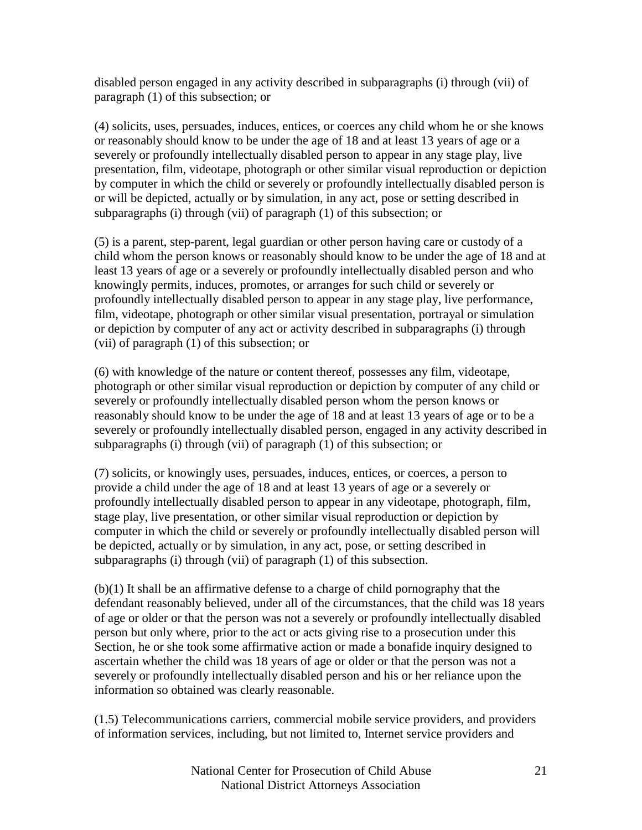disabled person engaged in any activity described in subparagraphs (i) through (vii) of paragraph (1) of this subsection; or

(4) solicits, uses, persuades, induces, entices, or coerces any child whom he or she knows or reasonably should know to be under the age of 18 and at least 13 years of age or a severely or profoundly intellectually disabled person to appear in any stage play, live presentation, film, videotape, photograph or other similar visual reproduction or depiction by computer in which the child or severely or profoundly intellectually disabled person is or will be depicted, actually or by simulation, in any act, pose or setting described in subparagraphs (i) through (vii) of paragraph (1) of this subsection; or

(5) is a parent, step-parent, legal guardian or other person having care or custody of a child whom the person knows or reasonably should know to be under the age of 18 and at least 13 years of age or a severely or profoundly intellectually disabled person and who knowingly permits, induces, promotes, or arranges for such child or severely or profoundly intellectually disabled person to appear in any stage play, live performance, film, videotape, photograph or other similar visual presentation, portrayal or simulation or depiction by computer of any act or activity described in subparagraphs (i) through (vii) of paragraph (1) of this subsection; or

(6) with knowledge of the nature or content thereof, possesses any film, videotape, photograph or other similar visual reproduction or depiction by computer of any child or severely or profoundly intellectually disabled person whom the person knows or reasonably should know to be under the age of 18 and at least 13 years of age or to be a severely or profoundly intellectually disabled person, engaged in any activity described in subparagraphs (i) through (vii) of paragraph (1) of this subsection; or

(7) solicits, or knowingly uses, persuades, induces, entices, or coerces, a person to provide a child under the age of 18 and at least 13 years of age or a severely or profoundly intellectually disabled person to appear in any videotape, photograph, film, stage play, live presentation, or other similar visual reproduction or depiction by computer in which the child or severely or profoundly intellectually disabled person will be depicted, actually or by simulation, in any act, pose, or setting described in subparagraphs (i) through (vii) of paragraph (1) of this subsection.

(b)(1) It shall be an affirmative defense to a charge of child pornography that the defendant reasonably believed, under all of the circumstances, that the child was 18 years of age or older or that the person was not a severely or profoundly intellectually disabled person but only where, prior to the act or acts giving rise to a prosecution under this Section, he or she took some affirmative action or made a bonafide inquiry designed to ascertain whether the child was 18 years of age or older or that the person was not a severely or profoundly intellectually disabled person and his or her reliance upon the information so obtained was clearly reasonable.

(1.5) Telecommunications carriers, commercial mobile service providers, and providers of information services, including, but not limited to, Internet service providers and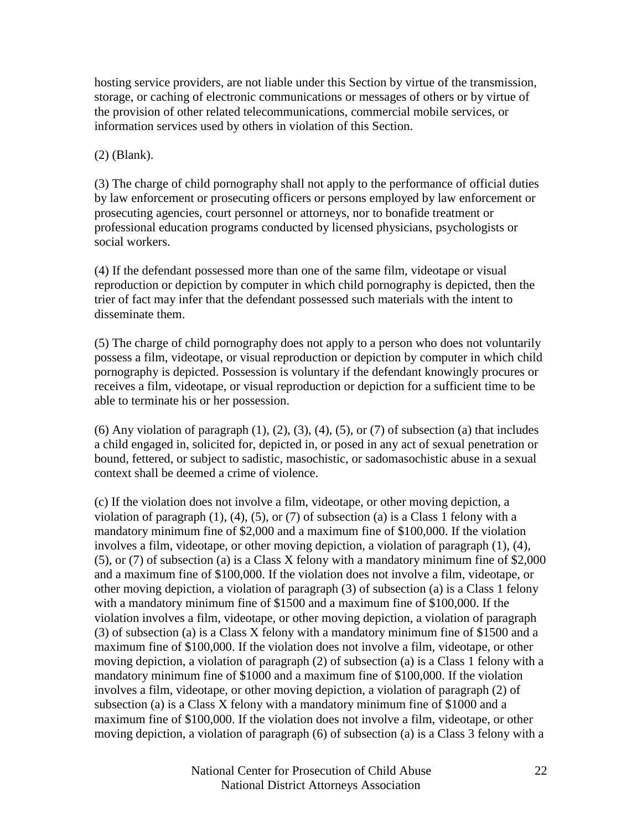hosting service providers, are not liable under this Section by virtue of the transmission, storage, or caching of electronic communications or messages of others or by virtue of the provision of other related telecommunications, commercial mobile services, or information services used by others in violation of this Section.

(2) (Blank).

(3) The charge of child pornography shall not apply to the performance of official duties by law enforcement or prosecuting officers or persons employed by law enforcement or prosecuting agencies, court personnel or attorneys, nor to bonafide treatment or professional education programs conducted by licensed physicians, psychologists or social workers.

(4) If the defendant possessed more than one of the same film, videotape or visual reproduction or depiction by computer in which child pornography is depicted, then the trier of fact may infer that the defendant possessed such materials with the intent to disseminate them.

(5) The charge of child pornography does not apply to a person who does not voluntarily possess a film, videotape, or visual reproduction or depiction by computer in which child pornography is depicted. Possession is voluntary if the defendant knowingly procures or receives a film, videotape, or visual reproduction or depiction for a sufficient time to be able to terminate his or her possession.

(6) Any violation of paragraph  $(1)$ ,  $(2)$ ,  $(3)$ ,  $(4)$ ,  $(5)$ , or  $(7)$  of subsection (a) that includes a child engaged in, solicited for, depicted in, or posed in any act of sexual penetration or bound, fettered, or subject to sadistic, masochistic, or sadomasochistic abuse in a sexual context shall be deemed a crime of violence.

(c) If the violation does not involve a film, videotape, or other moving depiction, a violation of paragraph  $(1)$ ,  $(4)$ ,  $(5)$ , or  $(7)$  of subsection  $(a)$  is a Class 1 felony with a mandatory minimum fine of \$2,000 and a maximum fine of \$100,000. If the violation involves a film, videotape, or other moving depiction, a violation of paragraph (1), (4), (5), or (7) of subsection (a) is a Class X felony with a mandatory minimum fine of \$2,000 and a maximum fine of \$100,000. If the violation does not involve a film, videotape, or other moving depiction, a violation of paragraph (3) of subsection (a) is a Class 1 felony with a mandatory minimum fine of \$1500 and a maximum fine of \$100,000. If the violation involves a film, videotape, or other moving depiction, a violation of paragraph (3) of subsection (a) is a Class X felony with a mandatory minimum fine of \$1500 and a maximum fine of \$100,000. If the violation does not involve a film, videotape, or other moving depiction, a violation of paragraph (2) of subsection (a) is a Class 1 felony with a mandatory minimum fine of \$1000 and a maximum fine of \$100,000. If the violation involves a film, videotape, or other moving depiction, a violation of paragraph (2) of subsection (a) is a Class X felony with a mandatory minimum fine of \$1000 and a maximum fine of \$100,000. If the violation does not involve a film, videotape, or other moving depiction, a violation of paragraph (6) of subsection (a) is a Class 3 felony with a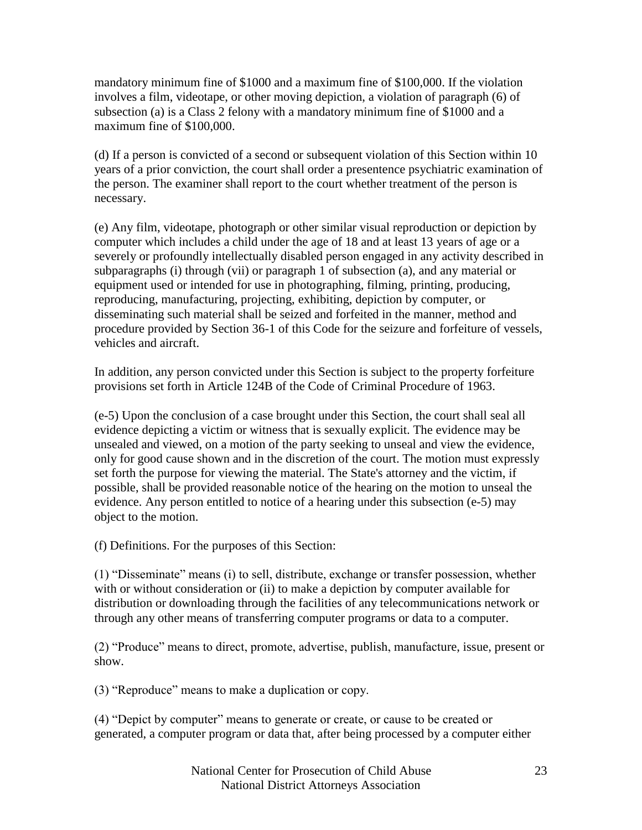mandatory minimum fine of \$1000 and a maximum fine of \$100,000. If the violation involves a film, videotape, or other moving depiction, a violation of paragraph (6) of subsection (a) is a Class 2 felony with a mandatory minimum fine of \$1000 and a maximum fine of \$100,000.

(d) If a person is convicted of a second or subsequent violation of this Section within 10 years of a prior conviction, the court shall order a presentence psychiatric examination of the person. The examiner shall report to the court whether treatment of the person is necessary.

(e) Any film, videotape, photograph or other similar visual reproduction or depiction by computer which includes a child under the age of 18 and at least 13 years of age or a severely or profoundly intellectually disabled person engaged in any activity described in subparagraphs (i) through (vii) or paragraph 1 of subsection (a), and any material or equipment used or intended for use in photographing, filming, printing, producing, reproducing, manufacturing, projecting, exhibiting, depiction by computer, or disseminating such material shall be seized and forfeited in the manner, method and procedure provided by Section 36-1 of this Code for the seizure and forfeiture of vessels, vehicles and aircraft.

In addition, any person convicted under this Section is subject to the property forfeiture provisions set forth in Article 124B of the Code of Criminal Procedure of 1963.

(e-5) Upon the conclusion of a case brought under this Section, the court shall seal all evidence depicting a victim or witness that is sexually explicit. The evidence may be unsealed and viewed, on a motion of the party seeking to unseal and view the evidence, only for good cause shown and in the discretion of the court. The motion must expressly set forth the purpose for viewing the material. The State's attorney and the victim, if possible, shall be provided reasonable notice of the hearing on the motion to unseal the evidence. Any person entitled to notice of a hearing under this subsection (e-5) may object to the motion.

(f) Definitions. For the purposes of this Section:

(1) "Disseminate" means (i) to sell, distribute, exchange or transfer possession, whether with or without consideration or (ii) to make a depiction by computer available for distribution or downloading through the facilities of any telecommunications network or through any other means of transferring computer programs or data to a computer.

(2) "Produce" means to direct, promote, advertise, publish, manufacture, issue, present or show.

(3) "Reproduce" means to make a duplication or copy.

(4) "Depict by computer" means to generate or create, or cause to be created or generated, a computer program or data that, after being processed by a computer either

> National Center for Prosecution of Child Abuse National District Attorneys Association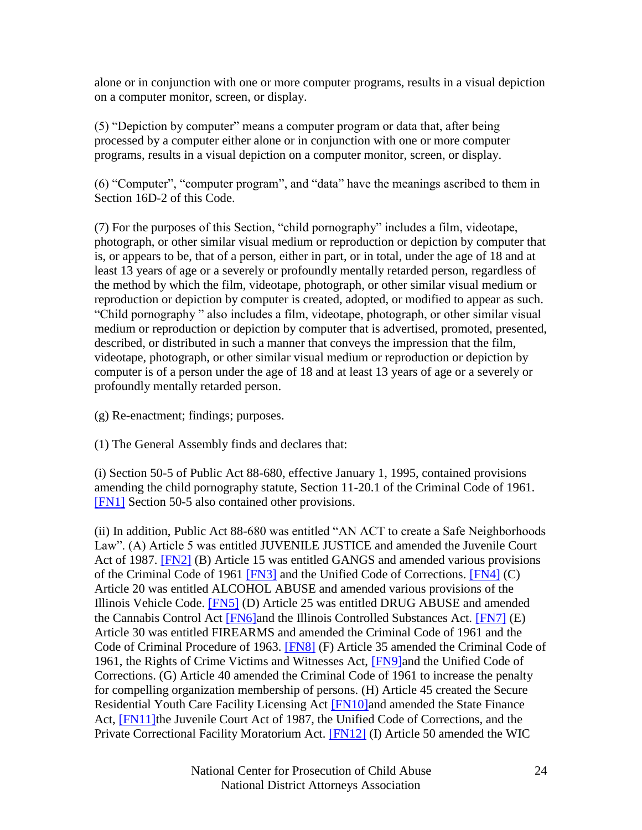alone or in conjunction with one or more computer programs, results in a visual depiction on a computer monitor, screen, or display.

(5) "Depiction by computer" means a computer program or data that, after being processed by a computer either alone or in conjunction with one or more computer programs, results in a visual depiction on a computer monitor, screen, or display.

(6) "Computer", "computer program", and "data" have the meanings ascribed to them in Section 16D-2 of this Code.

(7) For the purposes of this Section, "child pornography" includes a film, videotape, photograph, or other similar visual medium or reproduction or depiction by computer that is, or appears to be, that of a person, either in part, or in total, under the age of 18 and at least 13 years of age or a severely or profoundly mentally retarded person, regardless of the method by which the film, videotape, photograph, or other similar visual medium or reproduction or depiction by computer is created, adopted, or modified to appear as such. "Child pornography " also includes a film, videotape, photograph, or other similar visual medium or reproduction or depiction by computer that is advertised, promoted, presented, described, or distributed in such a manner that conveys the impression that the film, videotape, photograph, or other similar visual medium or reproduction or depiction by computer is of a person under the age of 18 and at least 13 years of age or a severely or profoundly mentally retarded person.

(g) Re-enactment; findings; purposes.

(1) The General Assembly finds and declares that:

(i) Section 50-5 of Public Act 88-680, effective January 1, 1995, contained provisions amending the child pornography statute, Section 11-20.1 of the Criminal Code of 1961. [\[FN1\]](http://web2.westlaw.com/result/%09%09%09%09%09%09#ID45F5D91F8DF11E0AF31C067CCA413AB) Section 50-5 also contained other provisions.

(ii) In addition, Public Act 88-680 was entitled "AN ACT to create a Safe Neighborhoods Law". (A) Article 5 was entitled JUVENILE JUSTICE and amended the Juvenile Court Act of 1987. [\[FN2\]](http://web2.westlaw.com/result/%09%09%09%09%09%09#IFBCD0DF1F8DF11E0AF31C067CCA413AB) (B) Article 15 was entitled GANGS and amended various provisions of the Criminal Code of 1961 [\[FN3\]](http://web2.westlaw.com/result/%09%09%09%09%09%09#IE2758431F8E011E0AF31C067CCA413AB) and the Unified Code of Corrections. [\[FN4\]](http://web2.westlaw.com/result/%09%09%09%09%09%09#IEEC00801F8E011E0AF31C067CCA413AB) (C) Article 20 was entitled ALCOHOL ABUSE and amended various provisions of the Illinois Vehicle Code. [\[FN5\]](http://web2.westlaw.com/result/%09%09%09%09%09%09#I004E81F1F8E111E0AF31C067CCA413AB) (D) Article 25 was entitled DRUG ABUSE and amended the Cannabis Control Act [\[FN6\]a](http://web2.westlaw.com/result/%09%09%09%09%09%09#I0DB26500F8E111E0AF31C067CCA413AB)nd the Illinois Controlled Substances Act. [\[FN7\]](http://web2.westlaw.com/result/%09%09%09%09%09%09#I25D7BAE1F8E111E0AF31C067CCA413AB) (E) Article 30 was entitled FIREARMS and amended the Criminal Code of 1961 and the Code of Criminal Procedure of 1963. [\[FN8\]](http://web2.westlaw.com/result/%09%09%09%09%09%09#I3FF5D381F8E111E0AF31C067CCA413AB) (F) Article 35 amended the Criminal Code of 1961, the Rights of Crime Victims and Witnesses Act, [\[FN9\]a](http://web2.westlaw.com/result/%09%09%09%09%09%09#I4F6E8CD1F8E111E0AF31C067CCA413AB)nd the Unified Code of Corrections. (G) Article 40 amended the Criminal Code of 1961 to increase the penalty for compelling organization membership of persons. (H) Article 45 created the Secure Residential Youth Care Facility Licensing Act [\[FN10\]a](http://web2.westlaw.com/result/%09%09%09%09%09%09#I62C4CE71F8E111E0AF31C067CCA413AB)nd amended the State Finance Act, [FN11] the Juvenile Court Act of 1987, the Unified Code of Corrections, and the Private Correctional Facility Moratorium Act. [\[FN12\]](http://web2.westlaw.com/result/%09%09%09%09%09%09#I8764DFE1F8E111E0AF31C067CCA413AB) (I) Article 50 amended the WIC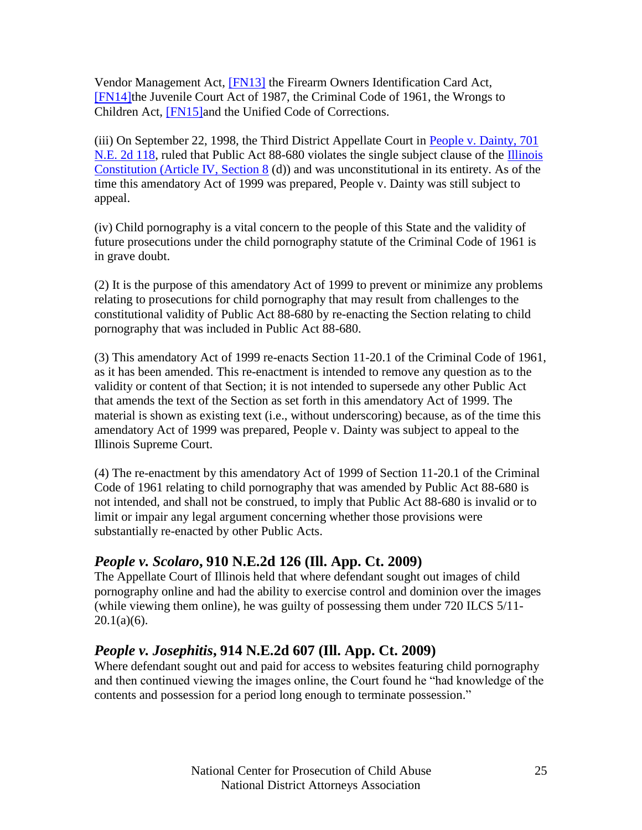Vendor Management Act, [\[FN13\]](http://web2.westlaw.com/result/%09%09%09%09%09%09#I99629661F8E111E0AF31C067CCA413AB) the Firearm Owners Identification Card Act, [\[FN14\]t](http://web2.westlaw.com/result/%09%09%09%09%09%09#IADE57121F8E111E0AF31C067CCA413AB)he Juvenile Court Act of 1987, the Criminal Code of 1961, the Wrongs to Children Act, [\[FN15\]a](http://web2.westlaw.com/result/%09%09%09%09%09%09#IBB5BA3B1F8E111E0AF31C067CCA413AB)nd the Unified Code of Corrections.

(iii) On September 22, 1998, the Third District Appellate Court in [People v. Dainty, 701](http://web2.westlaw.com/find/default.wl?mt=WestlawGC&db=0000578&rs=WLW12.04&tc=-1&rp=%2ffind%2fdefault.wl&findtype=Y&ordoc=2214476&serialnum=1998196820&vr=2.0&fn=_top&sv=Split&tf=-1&pbc=40678883&utid=%7bF73AE6BA-7B4E-4086-8848-1894C4558E02%7d)  [N.E. 2d 118,](http://web2.westlaw.com/find/default.wl?mt=WestlawGC&db=0000578&rs=WLW12.04&tc=-1&rp=%2ffind%2fdefault.wl&findtype=Y&ordoc=2214476&serialnum=1998196820&vr=2.0&fn=_top&sv=Split&tf=-1&pbc=40678883&utid=%7bF73AE6BA-7B4E-4086-8848-1894C4558E02%7d) ruled that Public Act 88-680 violates the single subject clause of the [Illinois](http://web2.westlaw.com/find/default.wl?mt=WestlawGC&db=1000240&rs=WLW12.04&docname=ILCNART4S8&rp=%2ffind%2fdefault.wl&findtype=L&ordoc=2214476&tc=-1&vr=2.0&fn=_top&sv=Split&tf=-1&pbc=40678883&utid=%7bF73AE6BA-7B4E-4086-8848-1894C4558E02%7d)  [Constitution \(Article IV, Section 8](http://web2.westlaw.com/find/default.wl?mt=WestlawGC&db=1000240&rs=WLW12.04&docname=ILCNART4S8&rp=%2ffind%2fdefault.wl&findtype=L&ordoc=2214476&tc=-1&vr=2.0&fn=_top&sv=Split&tf=-1&pbc=40678883&utid=%7bF73AE6BA-7B4E-4086-8848-1894C4558E02%7d) (d)) and was unconstitutional in its entirety. As of the time this amendatory Act of 1999 was prepared, People v. Dainty was still subject to appeal.

(iv) Child pornography is a vital concern to the people of this State and the validity of future prosecutions under the child pornography statute of the Criminal Code of 1961 is in grave doubt.

(2) It is the purpose of this amendatory Act of 1999 to prevent or minimize any problems relating to prosecutions for child pornography that may result from challenges to the constitutional validity of Public Act 88-680 by re-enacting the Section relating to child pornography that was included in Public Act 88-680.

(3) This amendatory Act of 1999 re-enacts Section 11-20.1 of the Criminal Code of 1961, as it has been amended. This re-enactment is intended to remove any question as to the validity or content of that Section; it is not intended to supersede any other Public Act that amends the text of the Section as set forth in this amendatory Act of 1999. The material is shown as existing text (i.e., without underscoring) because, as of the time this amendatory Act of 1999 was prepared, People v. Dainty was subject to appeal to the Illinois Supreme Court.

(4) The re-enactment by this amendatory Act of 1999 of Section 11-20.1 of the Criminal Code of 1961 relating to child pornography that was amended by Public Act 88-680 is not intended, and shall not be construed, to imply that Public Act 88-680 is invalid or to limit or impair any legal argument concerning whether those provisions were substantially re-enacted by other Public Acts.

#### <span id="page-24-0"></span>*People v. Scolaro***, 910 N.E.2d 126 (Ill. App. Ct. 2009)**

The Appellate Court of Illinois held that where defendant sought out images of child pornography online and had the ability to exercise control and dominion over the images (while viewing them online), he was guilty of possessing them under 720 ILCS 5/11- 20.1(a)(6).

#### <span id="page-24-1"></span>*People v. Josephitis***, 914 N.E.2d 607 (Ill. App. Ct. 2009)**

Where defendant sought out and paid for access to websites featuring child pornography and then continued viewing the images online, the Court found he "had knowledge of the contents and possession for a period long enough to terminate possession."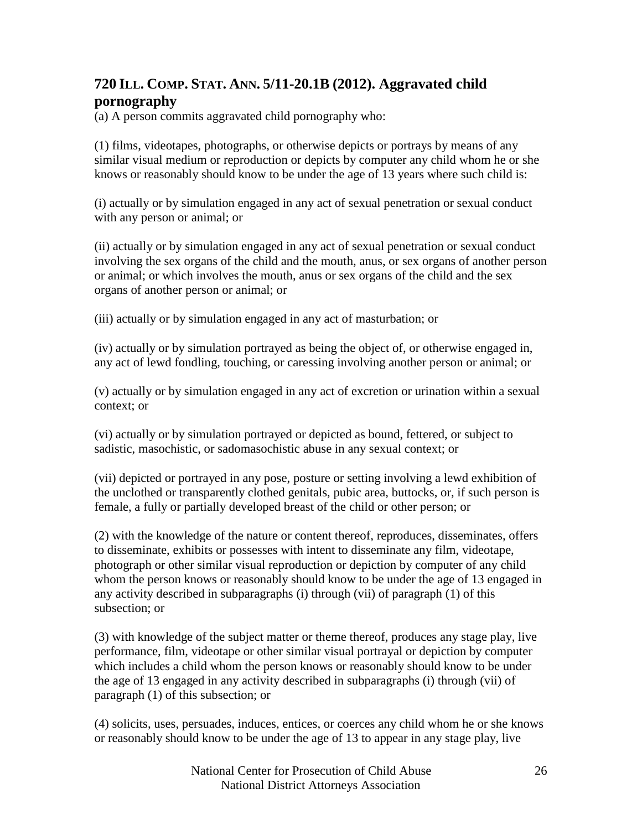### <span id="page-25-0"></span>**720 ILL. COMP. STAT. ANN. 5/11-20.1B (2012). Aggravated child pornography**

(a) A person commits aggravated child pornography who:

(1) films, videotapes, photographs, or otherwise depicts or portrays by means of any similar visual medium or reproduction or depicts by computer any child whom he or she knows or reasonably should know to be under the age of 13 years where such child is:

(i) actually or by simulation engaged in any act of sexual penetration or sexual conduct with any person or animal; or

(ii) actually or by simulation engaged in any act of sexual penetration or sexual conduct involving the sex organs of the child and the mouth, anus, or sex organs of another person or animal; or which involves the mouth, anus or sex organs of the child and the sex organs of another person or animal; or

(iii) actually or by simulation engaged in any act of masturbation; or

(iv) actually or by simulation portrayed as being the object of, or otherwise engaged in, any act of lewd fondling, touching, or caressing involving another person or animal; or

(v) actually or by simulation engaged in any act of excretion or urination within a sexual context; or

(vi) actually or by simulation portrayed or depicted as bound, fettered, or subject to sadistic, masochistic, or sadomasochistic abuse in any sexual context; or

(vii) depicted or portrayed in any pose, posture or setting involving a lewd exhibition of the unclothed or transparently clothed genitals, pubic area, buttocks, or, if such person is female, a fully or partially developed breast of the child or other person; or

(2) with the knowledge of the nature or content thereof, reproduces, disseminates, offers to disseminate, exhibits or possesses with intent to disseminate any film, videotape, photograph or other similar visual reproduction or depiction by computer of any child whom the person knows or reasonably should know to be under the age of 13 engaged in any activity described in subparagraphs (i) through (vii) of paragraph (1) of this subsection; or

(3) with knowledge of the subject matter or theme thereof, produces any stage play, live performance, film, videotape or other similar visual portrayal or depiction by computer which includes a child whom the person knows or reasonably should know to be under the age of 13 engaged in any activity described in subparagraphs (i) through (vii) of paragraph (1) of this subsection; or

(4) solicits, uses, persuades, induces, entices, or coerces any child whom he or she knows or reasonably should know to be under the age of 13 to appear in any stage play, live

> National Center for Prosecution of Child Abuse National District Attorneys Association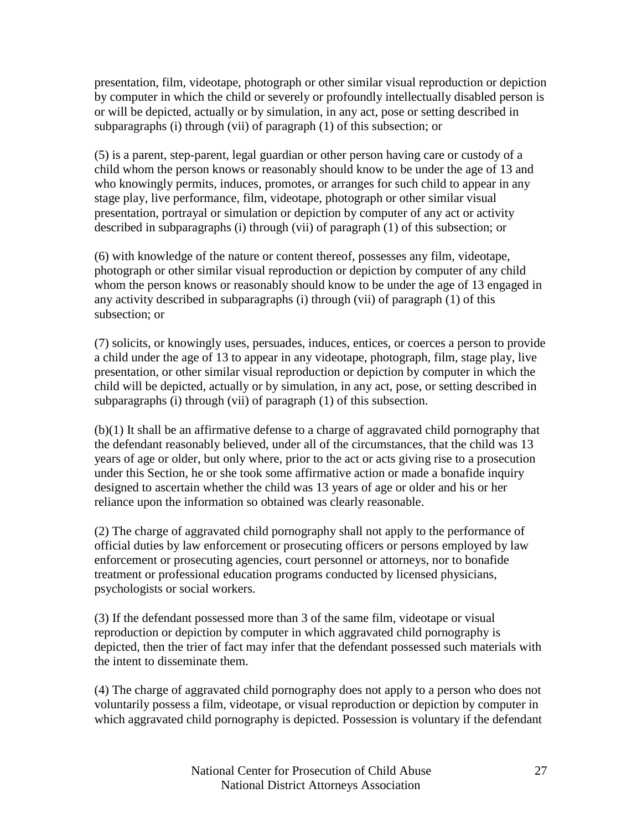presentation, film, videotape, photograph or other similar visual reproduction or depiction by computer in which the child or severely or profoundly intellectually disabled person is or will be depicted, actually or by simulation, in any act, pose or setting described in subparagraphs (i) through (vii) of paragraph (1) of this subsection; or

(5) is a parent, step-parent, legal guardian or other person having care or custody of a child whom the person knows or reasonably should know to be under the age of 13 and who knowingly permits, induces, promotes, or arranges for such child to appear in any stage play, live performance, film, videotape, photograph or other similar visual presentation, portrayal or simulation or depiction by computer of any act or activity described in subparagraphs (i) through (vii) of paragraph (1) of this subsection; or

(6) with knowledge of the nature or content thereof, possesses any film, videotape, photograph or other similar visual reproduction or depiction by computer of any child whom the person knows or reasonably should know to be under the age of 13 engaged in any activity described in subparagraphs (i) through (vii) of paragraph (1) of this subsection; or

(7) solicits, or knowingly uses, persuades, induces, entices, or coerces a person to provide a child under the age of 13 to appear in any videotape, photograph, film, stage play, live presentation, or other similar visual reproduction or depiction by computer in which the child will be depicted, actually or by simulation, in any act, pose, or setting described in subparagraphs (i) through (vii) of paragraph (1) of this subsection.

(b)(1) It shall be an affirmative defense to a charge of aggravated child pornography that the defendant reasonably believed, under all of the circumstances, that the child was 13 years of age or older, but only where, prior to the act or acts giving rise to a prosecution under this Section, he or she took some affirmative action or made a bonafide inquiry designed to ascertain whether the child was 13 years of age or older and his or her reliance upon the information so obtained was clearly reasonable.

(2) The charge of aggravated child pornography shall not apply to the performance of official duties by law enforcement or prosecuting officers or persons employed by law enforcement or prosecuting agencies, court personnel or attorneys, nor to bonafide treatment or professional education programs conducted by licensed physicians, psychologists or social workers.

(3) If the defendant possessed more than 3 of the same film, videotape or visual reproduction or depiction by computer in which aggravated child pornography is depicted, then the trier of fact may infer that the defendant possessed such materials with the intent to disseminate them.

(4) The charge of aggravated child pornography does not apply to a person who does not voluntarily possess a film, videotape, or visual reproduction or depiction by computer in which aggravated child pornography is depicted. Possession is voluntary if the defendant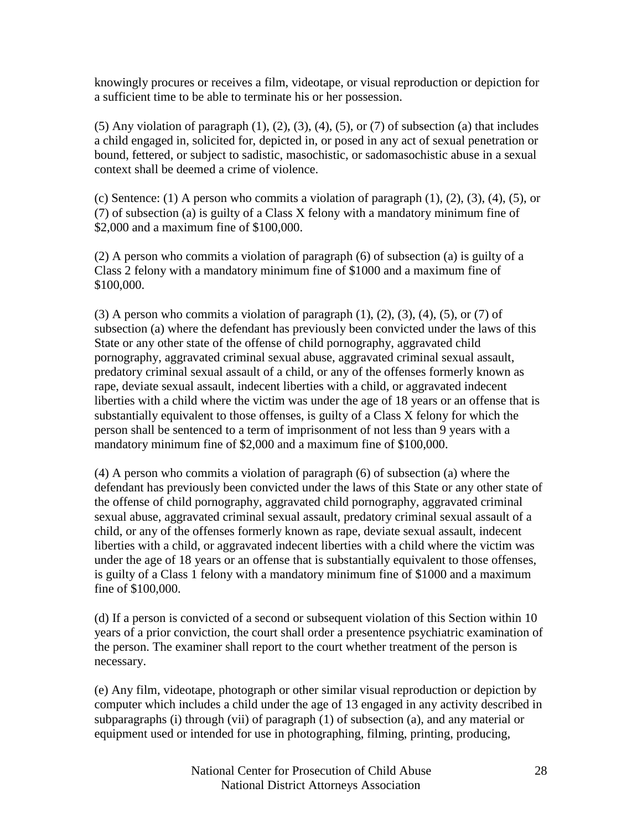knowingly procures or receives a film, videotape, or visual reproduction or depiction for a sufficient time to be able to terminate his or her possession.

(5) Any violation of paragraph  $(1)$ ,  $(2)$ ,  $(3)$ ,  $(4)$ ,  $(5)$ , or  $(7)$  of subsection (a) that includes a child engaged in, solicited for, depicted in, or posed in any act of sexual penetration or bound, fettered, or subject to sadistic, masochistic, or sadomasochistic abuse in a sexual context shall be deemed a crime of violence.

(c) Sentence: (1) A person who commits a violation of paragraph  $(1)$ ,  $(2)$ ,  $(3)$ ,  $(4)$ ,  $(5)$ , or (7) of subsection (a) is guilty of a Class X felony with a mandatory minimum fine of \$2,000 and a maximum fine of \$100,000.

(2) A person who commits a violation of paragraph (6) of subsection (a) is guilty of a Class 2 felony with a mandatory minimum fine of \$1000 and a maximum fine of \$100,000.

 $(3)$  A person who commits a violation of paragraph  $(1)$ ,  $(2)$ ,  $(3)$ ,  $(4)$ ,  $(5)$ , or  $(7)$  of subsection (a) where the defendant has previously been convicted under the laws of this State or any other state of the offense of child pornography, aggravated child pornography, aggravated criminal sexual abuse, aggravated criminal sexual assault, predatory criminal sexual assault of a child, or any of the offenses formerly known as rape, deviate sexual assault, indecent liberties with a child, or aggravated indecent liberties with a child where the victim was under the age of 18 years or an offense that is substantially equivalent to those offenses, is guilty of a Class X felony for which the person shall be sentenced to a term of imprisonment of not less than 9 years with a mandatory minimum fine of \$2,000 and a maximum fine of \$100,000.

(4) A person who commits a violation of paragraph (6) of subsection (a) where the defendant has previously been convicted under the laws of this State or any other state of the offense of child pornography, aggravated child pornography, aggravated criminal sexual abuse, aggravated criminal sexual assault, predatory criminal sexual assault of a child, or any of the offenses formerly known as rape, deviate sexual assault, indecent liberties with a child, or aggravated indecent liberties with a child where the victim was under the age of 18 years or an offense that is substantially equivalent to those offenses, is guilty of a Class 1 felony with a mandatory minimum fine of \$1000 and a maximum fine of \$100,000.

(d) If a person is convicted of a second or subsequent violation of this Section within 10 years of a prior conviction, the court shall order a presentence psychiatric examination of the person. The examiner shall report to the court whether treatment of the person is necessary.

(e) Any film, videotape, photograph or other similar visual reproduction or depiction by computer which includes a child under the age of 13 engaged in any activity described in subparagraphs (i) through (vii) of paragraph (1) of subsection (a), and any material or equipment used or intended for use in photographing, filming, printing, producing,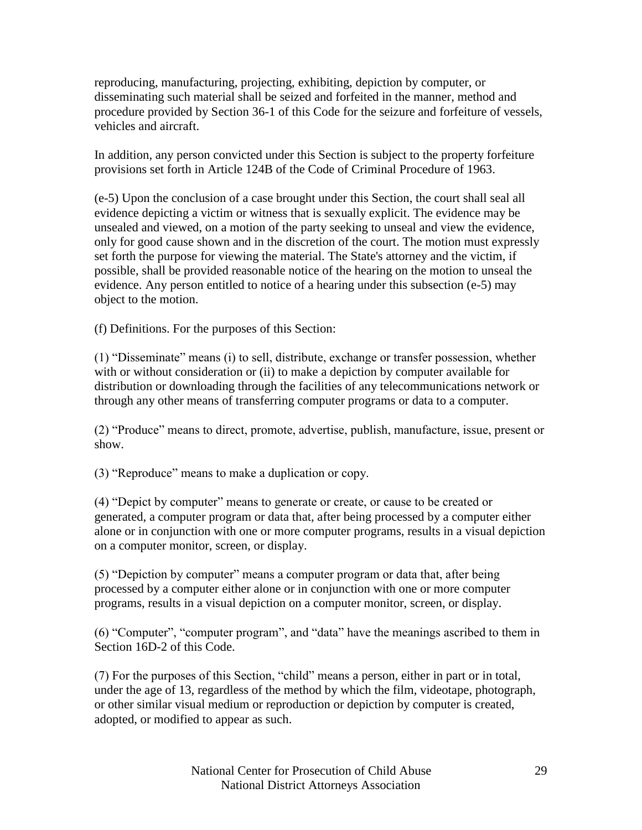reproducing, manufacturing, projecting, exhibiting, depiction by computer, or disseminating such material shall be seized and forfeited in the manner, method and procedure provided by Section 36-1 of this Code for the seizure and forfeiture of vessels, vehicles and aircraft.

In addition, any person convicted under this Section is subject to the property forfeiture provisions set forth in Article 124B of the Code of Criminal Procedure of 1963.

(e-5) Upon the conclusion of a case brought under this Section, the court shall seal all evidence depicting a victim or witness that is sexually explicit. The evidence may be unsealed and viewed, on a motion of the party seeking to unseal and view the evidence, only for good cause shown and in the discretion of the court. The motion must expressly set forth the purpose for viewing the material. The State's attorney and the victim, if possible, shall be provided reasonable notice of the hearing on the motion to unseal the evidence. Any person entitled to notice of a hearing under this subsection (e-5) may object to the motion.

(f) Definitions. For the purposes of this Section:

(1) "Disseminate" means (i) to sell, distribute, exchange or transfer possession, whether with or without consideration or (ii) to make a depiction by computer available for distribution or downloading through the facilities of any telecommunications network or through any other means of transferring computer programs or data to a computer.

(2) "Produce" means to direct, promote, advertise, publish, manufacture, issue, present or show.

(3) "Reproduce" means to make a duplication or copy.

(4) "Depict by computer" means to generate or create, or cause to be created or generated, a computer program or data that, after being processed by a computer either alone or in conjunction with one or more computer programs, results in a visual depiction on a computer monitor, screen, or display.

(5) "Depiction by computer" means a computer program or data that, after being processed by a computer either alone or in conjunction with one or more computer programs, results in a visual depiction on a computer monitor, screen, or display.

(6) "Computer", "computer program", and "data" have the meanings ascribed to them in Section 16D-2 of this Code.

(7) For the purposes of this Section, "child" means a person, either in part or in total, under the age of 13, regardless of the method by which the film, videotape, photograph, or other similar visual medium or reproduction or depiction by computer is created, adopted, or modified to appear as such.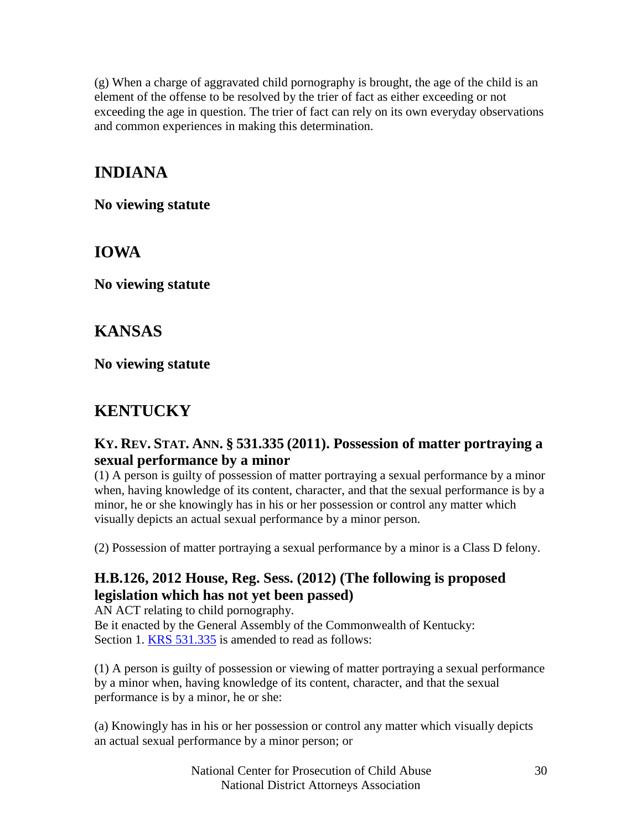(g) When a charge of aggravated child pornography is brought, the age of the child is an element of the offense to be resolved by the trier of fact as either exceeding or not exceeding the age in question. The trier of fact can rely on its own everyday observations and common experiences in making this determination.

## <span id="page-29-0"></span>**INDIANA**

<span id="page-29-1"></span>**No viewing statute** 

### <span id="page-29-2"></span>**IOWA**

<span id="page-29-3"></span>**No viewing statute** 

### <span id="page-29-4"></span>**KANSAS**

<span id="page-29-5"></span>**No viewing statute** 

## <span id="page-29-6"></span>**KENTUCKY**

### <span id="page-29-7"></span>**KY. REV. STAT. ANN. § 531.335 (2011). Possession of matter portraying a sexual performance by a minor**

(1) A person is guilty of possession of matter portraying a sexual performance by a minor when, having knowledge of its content, character, and that the sexual performance is by a minor, he or she knowingly has in his or her possession or control any matter which visually depicts an actual sexual performance by a minor person.

(2) Possession of matter portraying a sexual performance by a minor is a Class D felony.

#### <span id="page-29-8"></span>**H.B.126, 2012 House, Reg. Sess. (2012) (The following is proposed legislation which has not yet been passed)**

AN ACT relating to child pornography. Be it enacted by the General Assembly of the Commonwealth of Kentucky: Section 1. [KRS 531.335](http://web2.westlaw.com/find/default.wl?mt=WestlawGC&db=1000010&rs=WLW12.04&docname=KYSTS531.335&rp=%2ffind%2fdefault.wl&findtype=L&ordoc=I9B0C8C51585911E18B0381A5B5F973E5&tc=-1&vr=2.0&fn=_top&sv=Split&tf=-1&pbc=3B076C6F&utid=%7bF73AE6BA-7B4E-4086-8848-1894C4558E02%7d) is amended to read as follows:

(1) A person is guilty of possession or viewing of matter portraying a sexual performance by a minor when, having knowledge of its content, character, and that the sexual performance is by a minor, he or she:

(a) Knowingly has in his or her possession or control any matter which visually depicts an actual sexual performance by a minor person; or

> National Center for Prosecution of Child Abuse National District Attorneys Association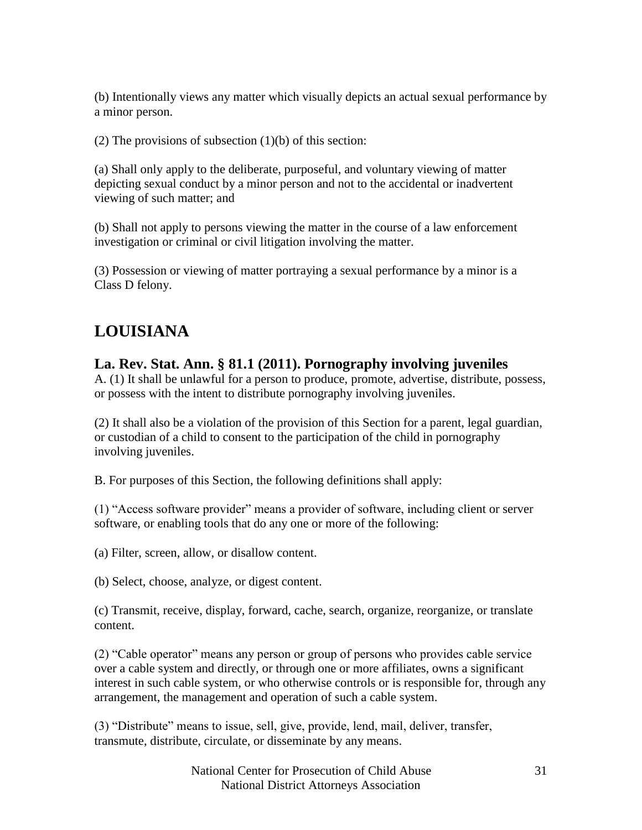(b) Intentionally views any matter which visually depicts an actual sexual performance by a minor person.

(2) The provisions of subsection  $(1)(b)$  of this section:

(a) Shall only apply to the deliberate, purposeful, and voluntary viewing of matter depicting sexual conduct by a minor person and not to the accidental or inadvertent viewing of such matter; and

(b) Shall not apply to persons viewing the matter in the course of a law enforcement investigation or criminal or civil litigation involving the matter.

(3) Possession or viewing of matter portraying a sexual performance by a minor is a Class D felony.

## <span id="page-30-0"></span>**LOUISIANA**

#### <span id="page-30-1"></span>**La. Rev. Stat. Ann. § 81.1 (2011). Pornography involving juveniles**

A. (1) It shall be unlawful for a person to produce, promote, advertise, distribute, possess, or possess with the intent to distribute pornography involving juveniles.

(2) It shall also be a violation of the provision of this Section for a parent, legal guardian, or custodian of a child to consent to the participation of the child in pornography involving juveniles.

B. For purposes of this Section, the following definitions shall apply:

(1) "Access software provider" means a provider of software, including client or server software, or enabling tools that do any one or more of the following:

(a) Filter, screen, allow, or disallow content.

(b) Select, choose, analyze, or digest content.

(c) Transmit, receive, display, forward, cache, search, organize, reorganize, or translate content.

(2) "Cable operator" means any person or group of persons who provides cable service over a cable system and directly, or through one or more affiliates, owns a significant interest in such cable system, or who otherwise controls or is responsible for, through any arrangement, the management and operation of such a cable system.

(3) "Distribute" means to issue, sell, give, provide, lend, mail, deliver, transfer, transmute, distribute, circulate, or disseminate by any means.

> National Center for Prosecution of Child Abuse National District Attorneys Association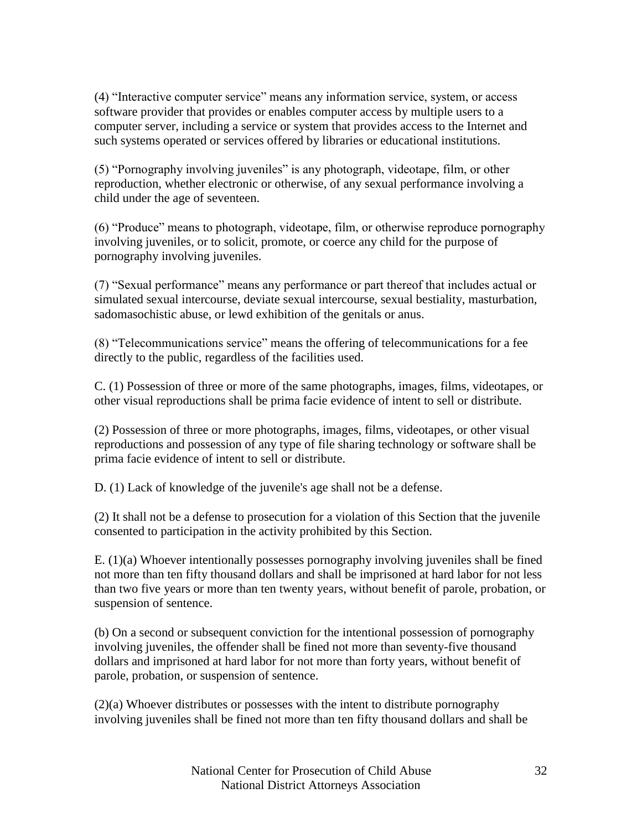(4) "Interactive computer service" means any information service, system, or access software provider that provides or enables computer access by multiple users to a computer server, including a service or system that provides access to the Internet and such systems operated or services offered by libraries or educational institutions.

(5) "Pornography involving juveniles" is any photograph, videotape, film, or other reproduction, whether electronic or otherwise, of any sexual performance involving a child under the age of seventeen.

(6) "Produce" means to photograph, videotape, film, or otherwise reproduce pornography involving juveniles, or to solicit, promote, or coerce any child for the purpose of pornography involving juveniles.

(7) "Sexual performance" means any performance or part thereof that includes actual or simulated sexual intercourse, deviate sexual intercourse, sexual bestiality, masturbation, sadomasochistic abuse, or lewd exhibition of the genitals or anus.

(8) "Telecommunications service" means the offering of telecommunications for a fee directly to the public, regardless of the facilities used.

C. (1) Possession of three or more of the same photographs, images, films, videotapes, or other visual reproductions shall be prima facie evidence of intent to sell or distribute.

(2) Possession of three or more photographs, images, films, videotapes, or other visual reproductions and possession of any type of file sharing technology or software shall be prima facie evidence of intent to sell or distribute.

D. (1) Lack of knowledge of the juvenile's age shall not be a defense.

(2) It shall not be a defense to prosecution for a violation of this Section that the juvenile consented to participation in the activity prohibited by this Section.

E. (1)(a) Whoever intentionally possesses pornography involving juveniles shall be fined not more than ten fifty thousand dollars and shall be imprisoned at hard labor for not less than two five years or more than ten twenty years, without benefit of parole, probation, or suspension of sentence.

(b) On a second or subsequent conviction for the intentional possession of pornography involving juveniles, the offender shall be fined not more than seventy-five thousand dollars and imprisoned at hard labor for not more than forty years, without benefit of parole, probation, or suspension of sentence.

(2)(a) Whoever distributes or possesses with the intent to distribute pornography involving juveniles shall be fined not more than ten fifty thousand dollars and shall be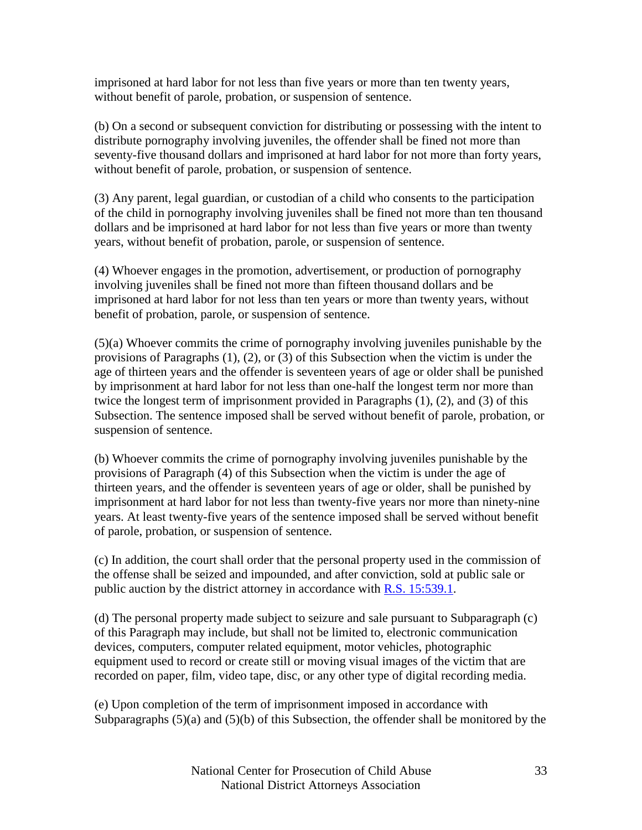imprisoned at hard labor for not less than five years or more than ten twenty years, without benefit of parole, probation, or suspension of sentence.

(b) On a second or subsequent conviction for distributing or possessing with the intent to distribute pornography involving juveniles, the offender shall be fined not more than seventy-five thousand dollars and imprisoned at hard labor for not more than forty years, without benefit of parole, probation, or suspension of sentence.

(3) Any parent, legal guardian, or custodian of a child who consents to the participation of the child in pornography involving juveniles shall be fined not more than ten thousand dollars and be imprisoned at hard labor for not less than five years or more than twenty years, without benefit of probation, parole, or suspension of sentence.

(4) Whoever engages in the promotion, advertisement, or production of pornography involving juveniles shall be fined not more than fifteen thousand dollars and be imprisoned at hard labor for not less than ten years or more than twenty years, without benefit of probation, parole, or suspension of sentence.

(5)(a) Whoever commits the crime of pornography involving juveniles punishable by the provisions of Paragraphs (1), (2), or (3) of this Subsection when the victim is under the age of thirteen years and the offender is seventeen years of age or older shall be punished by imprisonment at hard labor for not less than one-half the longest term nor more than twice the longest term of imprisonment provided in Paragraphs (1), (2), and (3) of this Subsection. The sentence imposed shall be served without benefit of parole, probation, or suspension of sentence.

(b) Whoever commits the crime of pornography involving juveniles punishable by the provisions of Paragraph (4) of this Subsection when the victim is under the age of thirteen years, and the offender is seventeen years of age or older, shall be punished by imprisonment at hard labor for not less than twenty-five years nor more than ninety-nine years. At least twenty-five years of the sentence imposed shall be served without benefit of parole, probation, or suspension of sentence.

(c) In addition, the court shall order that the personal property used in the commission of the offense shall be seized and impounded, and after conviction, sold at public sale or public auction by the district attorney in accordance with  $R.S.$  15:539.1.

(d) The personal property made subject to seizure and sale pursuant to Subparagraph (c) of this Paragraph may include, but shall not be limited to, electronic communication devices, computers, computer related equipment, motor vehicles, photographic equipment used to record or create still or moving visual images of the victim that are recorded on paper, film, video tape, disc, or any other type of digital recording media.

(e) Upon completion of the term of imprisonment imposed in accordance with Subparagraphs (5)(a) and (5)(b) of this Subsection, the offender shall be monitored by the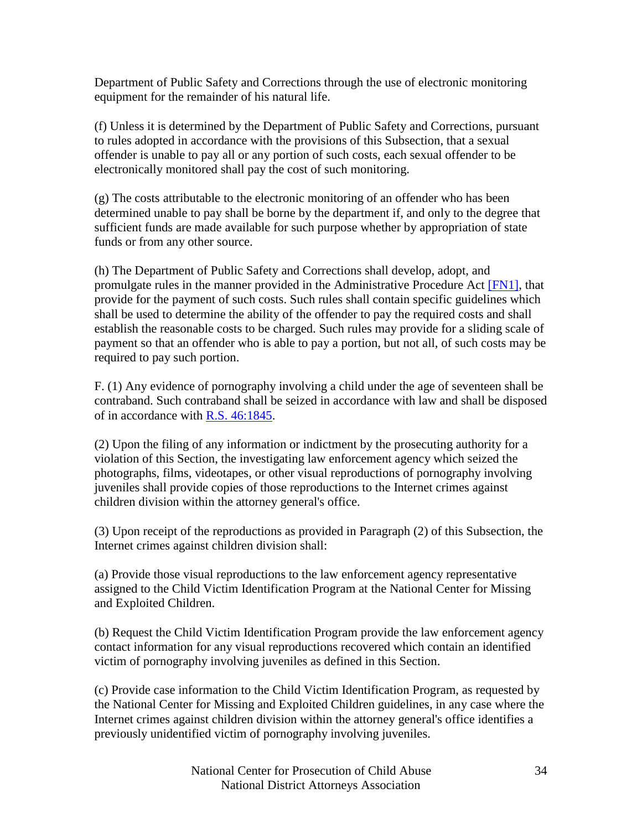Department of Public Safety and Corrections through the use of electronic monitoring equipment for the remainder of his natural life.

(f) Unless it is determined by the Department of Public Safety and Corrections, pursuant to rules adopted in accordance with the provisions of this Subsection, that a sexual offender is unable to pay all or any portion of such costs, each sexual offender to be electronically monitored shall pay the cost of such monitoring.

(g) The costs attributable to the electronic monitoring of an offender who has been determined unable to pay shall be borne by the department if, and only to the degree that sufficient funds are made available for such purpose whether by appropriation of state funds or from any other source.

(h) The Department of Public Safety and Corrections shall develop, adopt, and promulgate rules in the manner provided in the Administrative Procedure Act [\[FN1\],](http://web2.westlaw.com/result/%09%09%09%09%09%09#IDD761C212AFA11DFB5DBFB50E9AAAA68) that provide for the payment of such costs. Such rules shall contain specific guidelines which shall be used to determine the ability of the offender to pay the required costs and shall establish the reasonable costs to be charged. Such rules may provide for a sliding scale of payment so that an offender who is able to pay a portion, but not all, of such costs may be required to pay such portion.

F. (1) Any evidence of pornography involving a child under the age of seventeen shall be contraband. Such contraband shall be seized in accordance with law and shall be disposed of in accordance with [R.S. 46:1845.](http://web2.westlaw.com/find/default.wl?mt=WestlawGC&db=1000011&rs=WLW12.04&docname=LARS46%3a1845&rp=%2ffind%2fdefault.wl&findtype=L&ordoc=775210&tc=-1&vr=2.0&fn=_top&sv=Split&tf=-1&pbc=EF0B3899&utid=%7bF73AE6BA-7B4E-4086-8848-1894C4558E02%7d)

(2) Upon the filing of any information or indictment by the prosecuting authority for a violation of this Section, the investigating law enforcement agency which seized the photographs, films, videotapes, or other visual reproductions of pornography involving juveniles shall provide copies of those reproductions to the Internet crimes against children division within the attorney general's office.

(3) Upon receipt of the reproductions as provided in Paragraph (2) of this Subsection, the Internet crimes against children division shall:

(a) Provide those visual reproductions to the law enforcement agency representative assigned to the Child Victim Identification Program at the National Center for Missing and Exploited Children.

(b) Request the Child Victim Identification Program provide the law enforcement agency contact information for any visual reproductions recovered which contain an identified victim of pornography involving juveniles as defined in this Section.

(c) Provide case information to the Child Victim Identification Program, as requested by the National Center for Missing and Exploited Children guidelines, in any case where the Internet crimes against children division within the attorney general's office identifies a previously unidentified victim of pornography involving juveniles.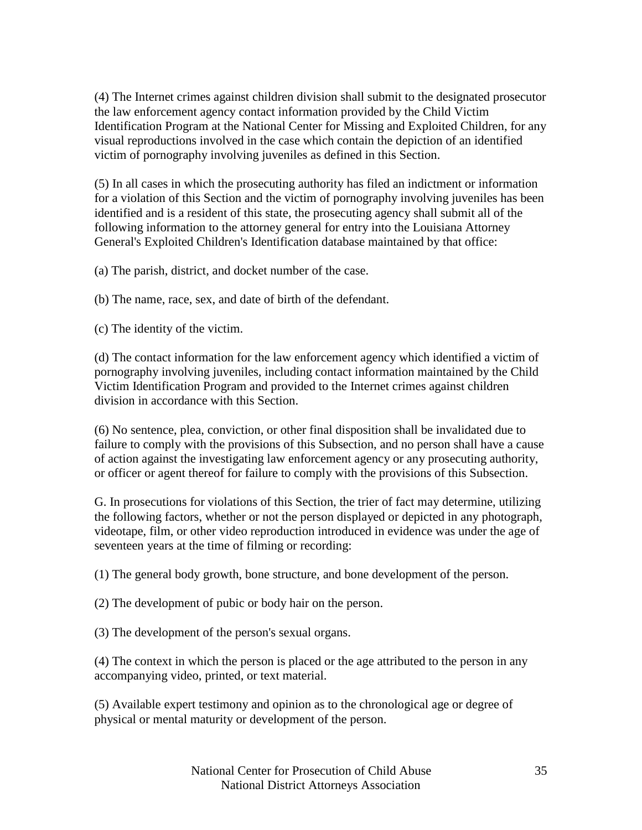(4) The Internet crimes against children division shall submit to the designated prosecutor the law enforcement agency contact information provided by the Child Victim Identification Program at the National Center for Missing and Exploited Children, for any visual reproductions involved in the case which contain the depiction of an identified victim of pornography involving juveniles as defined in this Section.

(5) In all cases in which the prosecuting authority has filed an indictment or information for a violation of this Section and the victim of pornography involving juveniles has been identified and is a resident of this state, the prosecuting agency shall submit all of the following information to the attorney general for entry into the Louisiana Attorney General's Exploited Children's Identification database maintained by that office:

(a) The parish, district, and docket number of the case.

(b) The name, race, sex, and date of birth of the defendant.

(c) The identity of the victim.

(d) The contact information for the law enforcement agency which identified a victim of pornography involving juveniles, including contact information maintained by the Child Victim Identification Program and provided to the Internet crimes against children division in accordance with this Section.

(6) No sentence, plea, conviction, or other final disposition shall be invalidated due to failure to comply with the provisions of this Subsection, and no person shall have a cause of action against the investigating law enforcement agency or any prosecuting authority, or officer or agent thereof for failure to comply with the provisions of this Subsection.

G. In prosecutions for violations of this Section, the trier of fact may determine, utilizing the following factors, whether or not the person displayed or depicted in any photograph, videotape, film, or other video reproduction introduced in evidence was under the age of seventeen years at the time of filming or recording:

(1) The general body growth, bone structure, and bone development of the person.

(2) The development of pubic or body hair on the person.

(3) The development of the person's sexual organs.

(4) The context in which the person is placed or the age attributed to the person in any accompanying video, printed, or text material.

(5) Available expert testimony and opinion as to the chronological age or degree of physical or mental maturity or development of the person.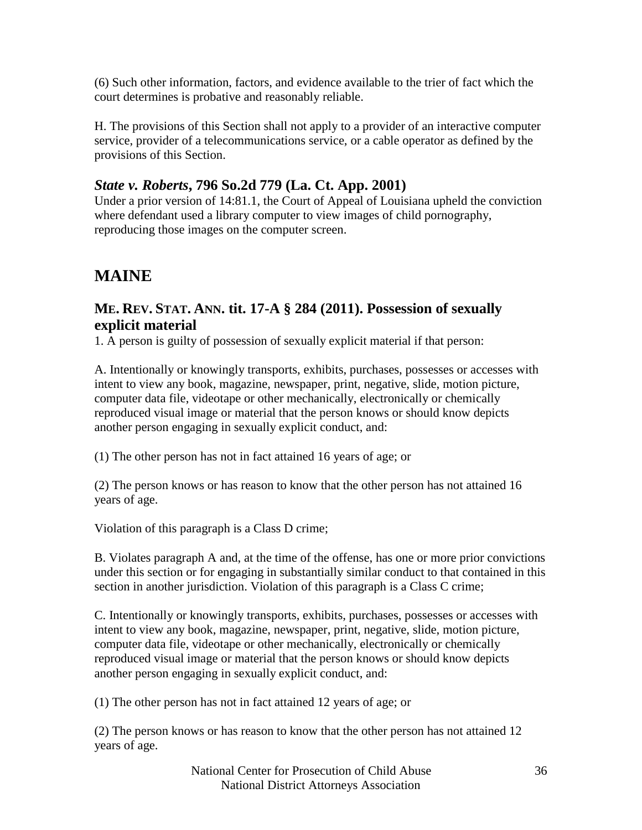(6) Such other information, factors, and evidence available to the trier of fact which the court determines is probative and reasonably reliable.

H. The provisions of this Section shall not apply to a provider of an interactive computer service, provider of a telecommunications service, or a cable operator as defined by the provisions of this Section.

#### <span id="page-35-0"></span>*State v. Roberts***, 796 So.2d 779 (La. Ct. App. 2001)**

Under a prior version of 14:81.1, the Court of Appeal of Louisiana upheld the conviction where defendant used a library computer to view images of child pornography, reproducing those images on the computer screen.

### <span id="page-35-1"></span>**MAINE**

#### <span id="page-35-2"></span>**ME. REV. STAT. ANN. tit. 17-A § 284 (2011). Possession of sexually explicit material**

1. A person is guilty of possession of sexually explicit material if that person:

A. Intentionally or knowingly transports, exhibits, purchases, possesses or accesses with intent to view any book, magazine, newspaper, print, negative, slide, motion picture, computer data file, videotape or other mechanically, electronically or chemically reproduced visual image or material that the person knows or should know depicts another person engaging in sexually explicit conduct, and:

(1) The other person has not in fact attained 16 years of age; or

(2) The person knows or has reason to know that the other person has not attained 16 years of age.

Violation of this paragraph is a Class D crime;

B. Violates paragraph A and, at the time of the offense, has one or more prior convictions under this section or for engaging in substantially similar conduct to that contained in this section in another jurisdiction. Violation of this paragraph is a Class C crime;

C. Intentionally or knowingly transports, exhibits, purchases, possesses or accesses with intent to view any book, magazine, newspaper, print, negative, slide, motion picture, computer data file, videotape or other mechanically, electronically or chemically reproduced visual image or material that the person knows or should know depicts another person engaging in sexually explicit conduct, and:

(1) The other person has not in fact attained 12 years of age; or

(2) The person knows or has reason to know that the other person has not attained 12 years of age.

> National Center for Prosecution of Child Abuse National District Attorneys Association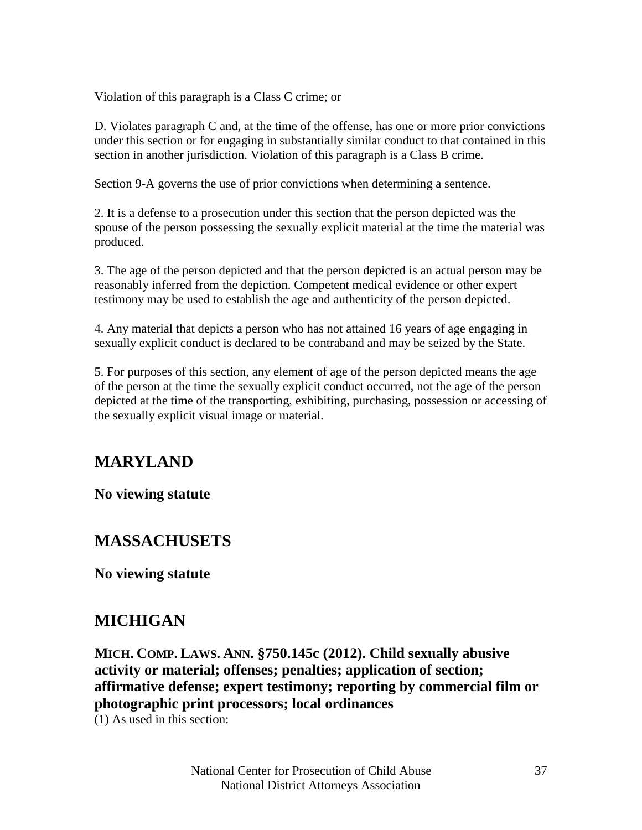Violation of this paragraph is a Class C crime; or

D. Violates paragraph C and, at the time of the offense, has one or more prior convictions under this section or for engaging in substantially similar conduct to that contained in this section in another jurisdiction. Violation of this paragraph is a Class B crime.

Section 9-A governs the use of prior convictions when determining a sentence.

2. It is a defense to a prosecution under this section that the person depicted was the spouse of the person possessing the sexually explicit material at the time the material was produced.

3. The age of the person depicted and that the person depicted is an actual person may be reasonably inferred from the depiction. Competent medical evidence or other expert testimony may be used to establish the age and authenticity of the person depicted.

4. Any material that depicts a person who has not attained 16 years of age engaging in sexually explicit conduct is declared to be contraband and may be seized by the State.

5. For purposes of this section, any element of age of the person depicted means the age of the person at the time the sexually explicit conduct occurred, not the age of the person depicted at the time of the transporting, exhibiting, purchasing, possession or accessing of the sexually explicit visual image or material.

### <span id="page-36-0"></span>**MARYLAND**

<span id="page-36-1"></span>**No viewing statute** 

### <span id="page-36-2"></span>**MASSACHUSETS**

<span id="page-36-3"></span>**No viewing statute** 

### <span id="page-36-4"></span>**MICHIGAN**

<span id="page-36-5"></span>**MICH. COMP. LAWS. ANN. §750.145c (2012). Child sexually abusive activity or material; offenses; penalties; application of section; affirmative defense; expert testimony; reporting by commercial film or photographic print processors; local ordinances**

(1) As used in this section: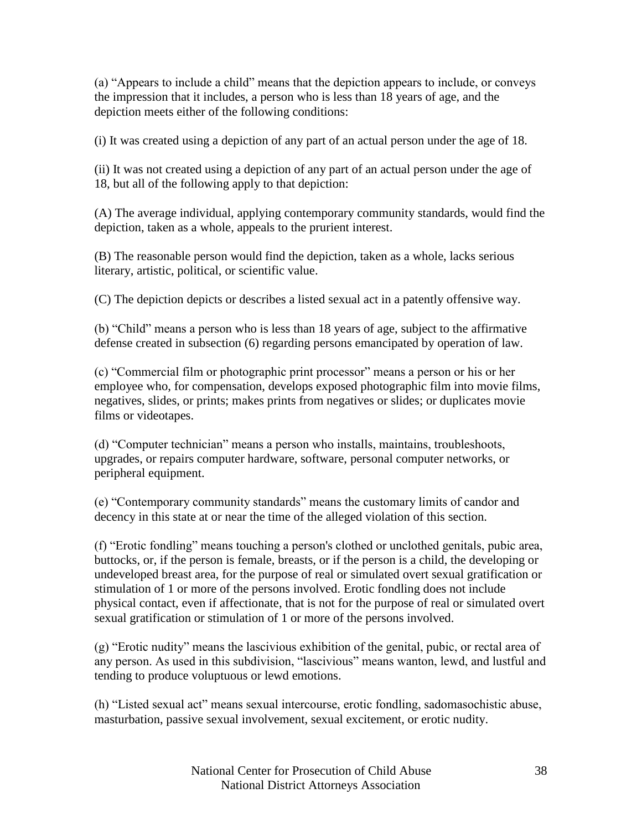(a) "Appears to include a child" means that the depiction appears to include, or conveys the impression that it includes, a person who is less than 18 years of age, and the depiction meets either of the following conditions:

(i) It was created using a depiction of any part of an actual person under the age of 18.

(ii) It was not created using a depiction of any part of an actual person under the age of 18, but all of the following apply to that depiction:

(A) The average individual, applying contemporary community standards, would find the depiction, taken as a whole, appeals to the prurient interest.

(B) The reasonable person would find the depiction, taken as a whole, lacks serious literary, artistic, political, or scientific value.

(C) The depiction depicts or describes a listed sexual act in a patently offensive way.

(b) "Child" means a person who is less than 18 years of age, subject to the affirmative defense created in subsection (6) regarding persons emancipated by operation of law.

(c) "Commercial film or photographic print processor" means a person or his or her employee who, for compensation, develops exposed photographic film into movie films, negatives, slides, or prints; makes prints from negatives or slides; or duplicates movie films or videotapes.

(d) "Computer technician" means a person who installs, maintains, troubleshoots, upgrades, or repairs computer hardware, software, personal computer networks, or peripheral equipment.

(e) "Contemporary community standards" means the customary limits of candor and decency in this state at or near the time of the alleged violation of this section.

(f) "Erotic fondling" means touching a person's clothed or unclothed genitals, pubic area, buttocks, or, if the person is female, breasts, or if the person is a child, the developing or undeveloped breast area, for the purpose of real or simulated overt sexual gratification or stimulation of 1 or more of the persons involved. Erotic fondling does not include physical contact, even if affectionate, that is not for the purpose of real or simulated overt sexual gratification or stimulation of 1 or more of the persons involved.

(g) "Erotic nudity" means the lascivious exhibition of the genital, pubic, or rectal area of any person. As used in this subdivision, "lascivious" means wanton, lewd, and lustful and tending to produce voluptuous or lewd emotions.

(h) "Listed sexual act" means sexual intercourse, erotic fondling, sadomasochistic abuse, masturbation, passive sexual involvement, sexual excitement, or erotic nudity.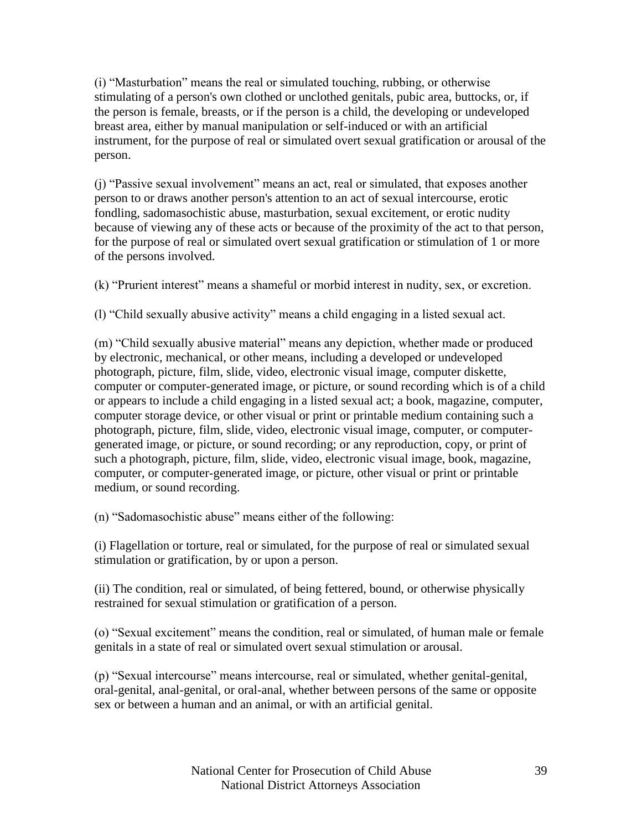(i) "Masturbation" means the real or simulated touching, rubbing, or otherwise stimulating of a person's own clothed or unclothed genitals, pubic area, buttocks, or, if the person is female, breasts, or if the person is a child, the developing or undeveloped breast area, either by manual manipulation or self-induced or with an artificial instrument, for the purpose of real or simulated overt sexual gratification or arousal of the person.

(j) "Passive sexual involvement" means an act, real or simulated, that exposes another person to or draws another person's attention to an act of sexual intercourse, erotic fondling, sadomasochistic abuse, masturbation, sexual excitement, or erotic nudity because of viewing any of these acts or because of the proximity of the act to that person, for the purpose of real or simulated overt sexual gratification or stimulation of 1 or more of the persons involved.

(k) "Prurient interest" means a shameful or morbid interest in nudity, sex, or excretion.

(l) "Child sexually abusive activity" means a child engaging in a listed sexual act.

(m) "Child sexually abusive material" means any depiction, whether made or produced by electronic, mechanical, or other means, including a developed or undeveloped photograph, picture, film, slide, video, electronic visual image, computer diskette, computer or computer-generated image, or picture, or sound recording which is of a child or appears to include a child engaging in a listed sexual act; a book, magazine, computer, computer storage device, or other visual or print or printable medium containing such a photograph, picture, film, slide, video, electronic visual image, computer, or computergenerated image, or picture, or sound recording; or any reproduction, copy, or print of such a photograph, picture, film, slide, video, electronic visual image, book, magazine, computer, or computer-generated image, or picture, other visual or print or printable medium, or sound recording.

(n) "Sadomasochistic abuse" means either of the following:

(i) Flagellation or torture, real or simulated, for the purpose of real or simulated sexual stimulation or gratification, by or upon a person.

(ii) The condition, real or simulated, of being fettered, bound, or otherwise physically restrained for sexual stimulation or gratification of a person.

(o) "Sexual excitement" means the condition, real or simulated, of human male or female genitals in a state of real or simulated overt sexual stimulation or arousal.

(p) "Sexual intercourse" means intercourse, real or simulated, whether genital-genital, oral-genital, anal-genital, or oral-anal, whether between persons of the same or opposite sex or between a human and an animal, or with an artificial genital.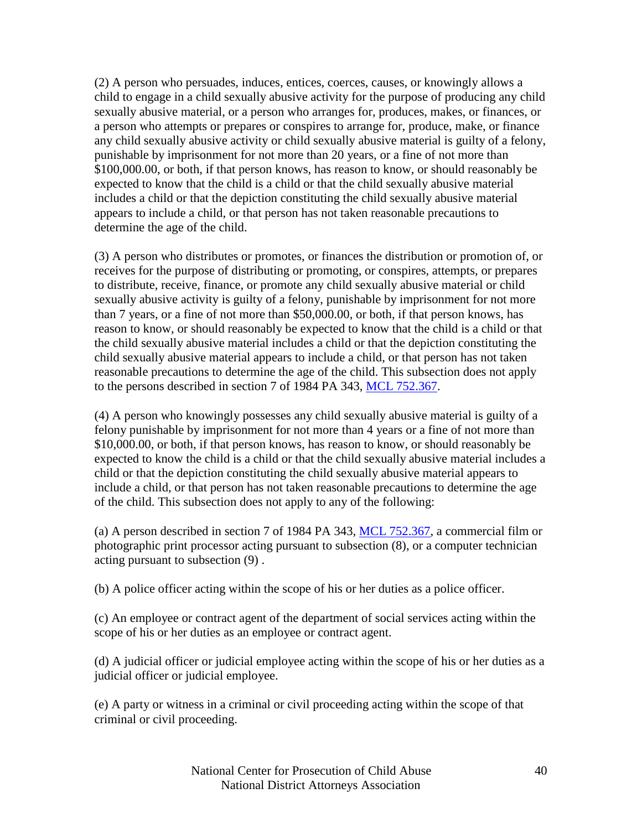(2) A person who persuades, induces, entices, coerces, causes, or knowingly allows a child to engage in a child sexually abusive activity for the purpose of producing any child sexually abusive material, or a person who arranges for, produces, makes, or finances, or a person who attempts or prepares or conspires to arrange for, produce, make, or finance any child sexually abusive activity or child sexually abusive material is guilty of a felony, punishable by imprisonment for not more than 20 years, or a fine of not more than \$100,000.00, or both, if that person knows, has reason to know, or should reasonably be expected to know that the child is a child or that the child sexually abusive material includes a child or that the depiction constituting the child sexually abusive material appears to include a child, or that person has not taken reasonable precautions to determine the age of the child.

(3) A person who distributes or promotes, or finances the distribution or promotion of, or receives for the purpose of distributing or promoting, or conspires, attempts, or prepares to distribute, receive, finance, or promote any child sexually abusive material or child sexually abusive activity is guilty of a felony, punishable by imprisonment for not more than 7 years, or a fine of not more than \$50,000.00, or both, if that person knows, has reason to know, or should reasonably be expected to know that the child is a child or that the child sexually abusive material includes a child or that the depiction constituting the child sexually abusive material appears to include a child, or that person has not taken reasonable precautions to determine the age of the child. This subsection does not apply to the persons described in section 7 of 1984 PA 343, [MCL 752.367.](http://web2.westlaw.com/find/default.wl?mt=WestlawGC&db=1000043&rs=WLW12.04&docname=MIST752.367&rp=%2ffind%2fdefault.wl&findtype=L&ordoc=11229333&tc=-1&vr=2.0&fn=_top&sv=Split&tf=-1&pbc=BA30B740&utid=%7bF73AE6BA-7B4E-4086-8848-1894C4558E02%7d)

(4) A person who knowingly possesses any child sexually abusive material is guilty of a felony punishable by imprisonment for not more than 4 years or a fine of not more than \$10,000.00, or both, if that person knows, has reason to know, or should reasonably be expected to know the child is a child or that the child sexually abusive material includes a child or that the depiction constituting the child sexually abusive material appears to include a child, or that person has not taken reasonable precautions to determine the age of the child. This subsection does not apply to any of the following:

(a) A person described in section 7 of 1984 PA 343, [MCL 752.367,](http://web2.westlaw.com/find/default.wl?mt=WestlawGC&db=1000043&rs=WLW12.04&docname=MIST752.367&rp=%2ffind%2fdefault.wl&findtype=L&ordoc=11229333&tc=-1&vr=2.0&fn=_top&sv=Split&tf=-1&pbc=BA30B740&utid=%7bF73AE6BA-7B4E-4086-8848-1894C4558E02%7d) a commercial film or photographic print processor acting pursuant to subsection (8), or a computer technician acting pursuant to subsection (9) .

(b) A police officer acting within the scope of his or her duties as a police officer.

(c) An employee or contract agent of the department of social services acting within the scope of his or her duties as an employee or contract agent.

(d) A judicial officer or judicial employee acting within the scope of his or her duties as a judicial officer or judicial employee.

(e) A party or witness in a criminal or civil proceeding acting within the scope of that criminal or civil proceeding.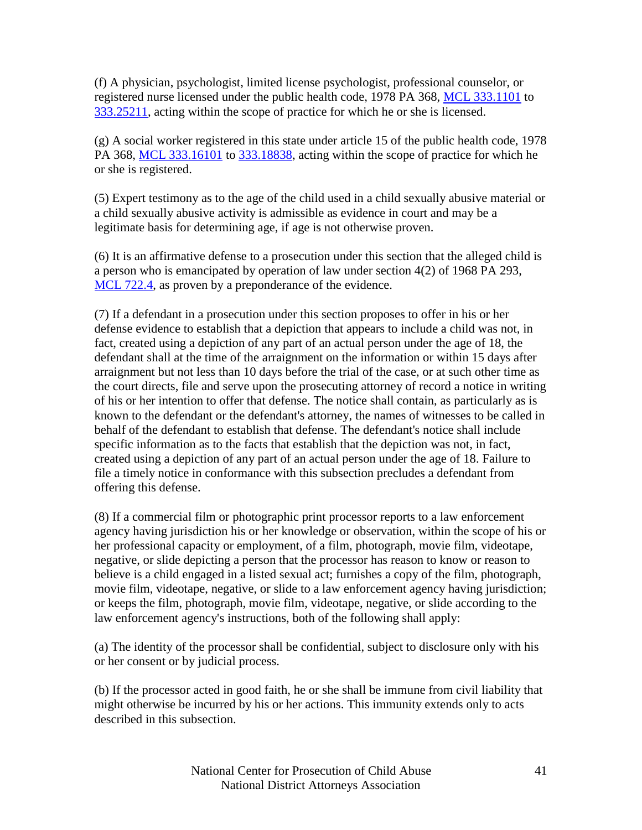(f) A physician, psychologist, limited license psychologist, professional counselor, or registered nurse licensed under the public health code, 1978 PA 368, [MCL 333.1101](http://web2.westlaw.com/find/default.wl?mt=WestlawGC&db=1000043&rs=WLW12.04&docname=MIST333.1101&rp=%2ffind%2fdefault.wl&findtype=L&ordoc=11229333&tc=-1&vr=2.0&fn=_top&sv=Split&tf=-1&pbc=BA30B740&utid=%7bF73AE6BA-7B4E-4086-8848-1894C4558E02%7d) to [333.25211,](http://web2.westlaw.com/find/default.wl?mt=WestlawGC&db=1000043&rs=WLW12.04&docname=MIST333.25211&rp=%2ffind%2fdefault.wl&findtype=L&ordoc=11229333&tc=-1&vr=2.0&fn=_top&sv=Split&tf=-1&pbc=BA30B740&utid=%7bF73AE6BA-7B4E-4086-8848-1894C4558E02%7d) acting within the scope of practice for which he or she is licensed.

(g) A social worker registered in this state under article 15 of the public health code, 1978 PA 368, [MCL 333.16101](http://web2.westlaw.com/find/default.wl?mt=WestlawGC&db=1000043&rs=WLW12.04&docname=MIST333.16101&rp=%2ffind%2fdefault.wl&findtype=L&ordoc=11229333&tc=-1&vr=2.0&fn=_top&sv=Split&tf=-1&pbc=BA30B740&utid=%7bF73AE6BA-7B4E-4086-8848-1894C4558E02%7d) to [333.18838,](http://web2.westlaw.com/find/default.wl?mt=WestlawGC&db=1000043&rs=WLW12.04&docname=MIST333.18838&rp=%2ffind%2fdefault.wl&findtype=L&ordoc=11229333&tc=-1&vr=2.0&fn=_top&sv=Split&tf=-1&pbc=BA30B740&utid=%7bF73AE6BA-7B4E-4086-8848-1894C4558E02%7d) acting within the scope of practice for which he or she is registered.

(5) Expert testimony as to the age of the child used in a child sexually abusive material or a child sexually abusive activity is admissible as evidence in court and may be a legitimate basis for determining age, if age is not otherwise proven.

(6) It is an affirmative defense to a prosecution under this section that the alleged child is a person who is emancipated by operation of law under section 4(2) of 1968 PA 293, [MCL 722.4,](http://web2.westlaw.com/find/default.wl?mt=WestlawGC&db=1000043&rs=WLW12.04&docname=MIST722.4&rp=%2ffind%2fdefault.wl&findtype=L&ordoc=11229333&tc=-1&vr=2.0&fn=_top&sv=Split&tf=-1&pbc=BA30B740&utid=%7bF73AE6BA-7B4E-4086-8848-1894C4558E02%7d) as proven by a preponderance of the evidence.

(7) If a defendant in a prosecution under this section proposes to offer in his or her defense evidence to establish that a depiction that appears to include a child was not, in fact, created using a depiction of any part of an actual person under the age of 18, the defendant shall at the time of the arraignment on the information or within 15 days after arraignment but not less than 10 days before the trial of the case, or at such other time as the court directs, file and serve upon the prosecuting attorney of record a notice in writing of his or her intention to offer that defense. The notice shall contain, as particularly as is known to the defendant or the defendant's attorney, the names of witnesses to be called in behalf of the defendant to establish that defense. The defendant's notice shall include specific information as to the facts that establish that the depiction was not, in fact, created using a depiction of any part of an actual person under the age of 18. Failure to file a timely notice in conformance with this subsection precludes a defendant from offering this defense.

(8) If a commercial film or photographic print processor reports to a law enforcement agency having jurisdiction his or her knowledge or observation, within the scope of his or her professional capacity or employment, of a film, photograph, movie film, videotape, negative, or slide depicting a person that the processor has reason to know or reason to believe is a child engaged in a listed sexual act; furnishes a copy of the film, photograph, movie film, videotape, negative, or slide to a law enforcement agency having jurisdiction; or keeps the film, photograph, movie film, videotape, negative, or slide according to the law enforcement agency's instructions, both of the following shall apply:

(a) The identity of the processor shall be confidential, subject to disclosure only with his or her consent or by judicial process.

(b) If the processor acted in good faith, he or she shall be immune from civil liability that might otherwise be incurred by his or her actions. This immunity extends only to acts described in this subsection.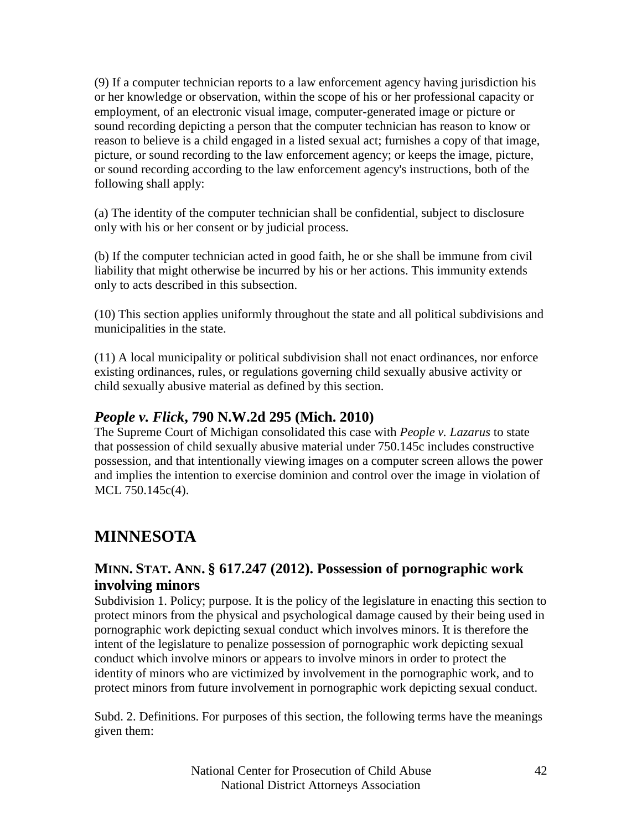(9) If a computer technician reports to a law enforcement agency having jurisdiction his or her knowledge or observation, within the scope of his or her professional capacity or employment, of an electronic visual image, computer-generated image or picture or sound recording depicting a person that the computer technician has reason to know or reason to believe is a child engaged in a listed sexual act; furnishes a copy of that image, picture, or sound recording to the law enforcement agency; or keeps the image, picture, or sound recording according to the law enforcement agency's instructions, both of the following shall apply:

(a) The identity of the computer technician shall be confidential, subject to disclosure only with his or her consent or by judicial process.

(b) If the computer technician acted in good faith, he or she shall be immune from civil liability that might otherwise be incurred by his or her actions. This immunity extends only to acts described in this subsection.

(10) This section applies uniformly throughout the state and all political subdivisions and municipalities in the state.

(11) A local municipality or political subdivision shall not enact ordinances, nor enforce existing ordinances, rules, or regulations governing child sexually abusive activity or child sexually abusive material as defined by this section.

#### <span id="page-41-0"></span>*People v. Flick***, 790 N.W.2d 295 (Mich. 2010)**

The Supreme Court of Michigan consolidated this case with *People v. Lazarus* to state that possession of child sexually abusive material under 750.145c includes constructive possession, and that intentionally viewing images on a computer screen allows the power and implies the intention to exercise dominion and control over the image in violation of MCL 750.145c(4).

## <span id="page-41-1"></span>**MINNESOTA**

#### <span id="page-41-2"></span>**MINN. STAT. ANN. § 617.247 (2012). Possession of pornographic work involving minors**

Subdivision 1. Policy; purpose. It is the policy of the legislature in enacting this section to protect minors from the physical and psychological damage caused by their being used in pornographic work depicting sexual conduct which involves minors. It is therefore the intent of the legislature to penalize possession of pornographic work depicting sexual conduct which involve minors or appears to involve minors in order to protect the identity of minors who are victimized by involvement in the pornographic work, and to protect minors from future involvement in pornographic work depicting sexual conduct.

Subd. 2. Definitions. For purposes of this section, the following terms have the meanings given them: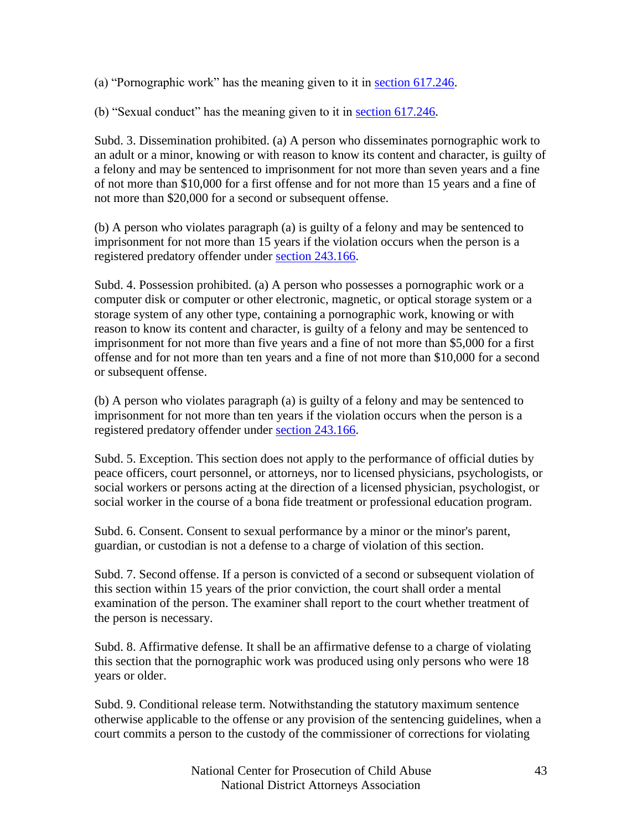(a) "Pornographic work" has the meaning given to it in [section 617.246.](http://web2.westlaw.com/find/default.wl?mt=WestlawGC&db=1000044&rs=WLW12.04&docname=MNSTS617.246&rp=%2ffind%2fdefault.wl&findtype=L&ordoc=3579288&tc=-1&vr=2.0&fn=_top&sv=Split&tf=-1&pbc=043844C3&utid=%7bF73AE6BA-7B4E-4086-8848-1894C4558E02%7d)

(b) "Sexual conduct" has the meaning given to it in [section 617.246.](http://web2.westlaw.com/find/default.wl?mt=WestlawGC&db=1000044&rs=WLW12.04&docname=MNSTS617.246&rp=%2ffind%2fdefault.wl&findtype=L&ordoc=3579288&tc=-1&vr=2.0&fn=_top&sv=Split&tf=-1&pbc=043844C3&utid=%7bF73AE6BA-7B4E-4086-8848-1894C4558E02%7d)

Subd. 3. Dissemination prohibited. (a) A person who disseminates pornographic work to an adult or a minor, knowing or with reason to know its content and character, is guilty of a felony and may be sentenced to imprisonment for not more than seven years and a fine of not more than \$10,000 for a first offense and for not more than 15 years and a fine of not more than \$20,000 for a second or subsequent offense.

(b) A person who violates paragraph (a) is guilty of a felony and may be sentenced to imprisonment for not more than 15 years if the violation occurs when the person is a registered predatory offender under [section 243.166.](http://web2.westlaw.com/find/default.wl?mt=WestlawGC&db=1000044&rs=WLW12.04&docname=MNSTS243.166&rp=%2ffind%2fdefault.wl&findtype=L&ordoc=3579288&tc=-1&vr=2.0&fn=_top&sv=Split&tf=-1&pbc=043844C3&utid=%7bF73AE6BA-7B4E-4086-8848-1894C4558E02%7d)

Subd. 4. Possession prohibited. (a) A person who possesses a pornographic work or a computer disk or computer or other electronic, magnetic, or optical storage system or a storage system of any other type, containing a pornographic work, knowing or with reason to know its content and character, is guilty of a felony and may be sentenced to imprisonment for not more than five years and a fine of not more than \$5,000 for a first offense and for not more than ten years and a fine of not more than \$10,000 for a second or subsequent offense.

(b) A person who violates paragraph (a) is guilty of a felony and may be sentenced to imprisonment for not more than ten years if the violation occurs when the person is a registered predatory offender under [section 243.166.](http://web2.westlaw.com/find/default.wl?mt=WestlawGC&db=1000044&rs=WLW12.04&docname=MNSTS243.166&rp=%2ffind%2fdefault.wl&findtype=L&ordoc=3579288&tc=-1&vr=2.0&fn=_top&sv=Split&tf=-1&pbc=043844C3&utid=%7bF73AE6BA-7B4E-4086-8848-1894C4558E02%7d)

Subd. 5. Exception. This section does not apply to the performance of official duties by peace officers, court personnel, or attorneys, nor to licensed physicians, psychologists, or social workers or persons acting at the direction of a licensed physician, psychologist, or social worker in the course of a bona fide treatment or professional education program.

Subd. 6. Consent. Consent to sexual performance by a minor or the minor's parent, guardian, or custodian is not a defense to a charge of violation of this section.

Subd. 7. Second offense. If a person is convicted of a second or subsequent violation of this section within 15 years of the prior conviction, the court shall order a mental examination of the person. The examiner shall report to the court whether treatment of the person is necessary.

Subd. 8. Affirmative defense. It shall be an affirmative defense to a charge of violating this section that the pornographic work was produced using only persons who were 18 years or older.

Subd. 9. Conditional release term. Notwithstanding the statutory maximum sentence otherwise applicable to the offense or any provision of the sentencing guidelines, when a court commits a person to the custody of the commissioner of corrections for violating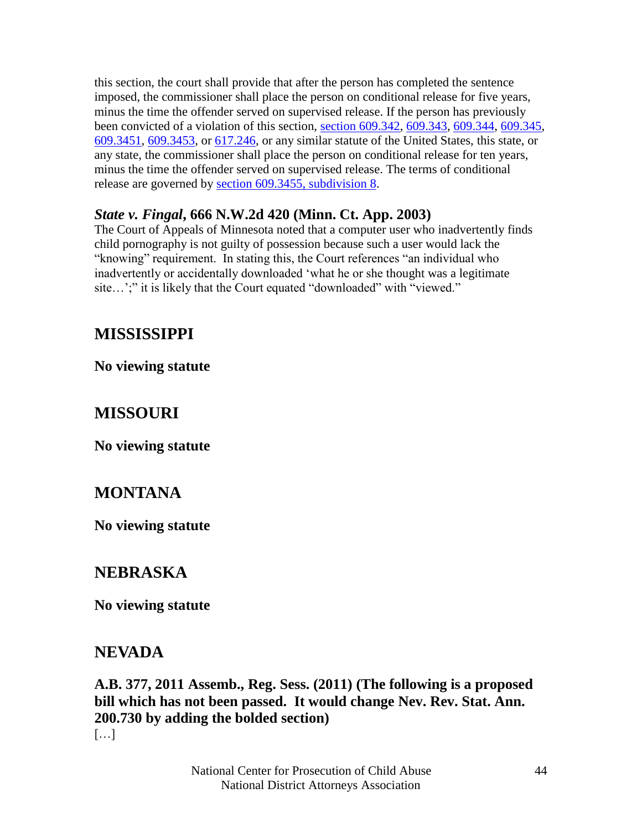this section, the court shall provide that after the person has completed the sentence imposed, the commissioner shall place the person on conditional release for five years, minus the time the offender served on supervised release. If the person has previously been convicted of a violation of this section, [section 609.342,](http://web2.westlaw.com/find/default.wl?mt=WestlawGC&db=1000044&rs=WLW12.04&docname=MNSTS609.342&rp=%2ffind%2fdefault.wl&findtype=L&ordoc=3579288&tc=-1&vr=2.0&fn=_top&sv=Split&tf=-1&pbc=043844C3&utid=%7bF73AE6BA-7B4E-4086-8848-1894C4558E02%7d) [609.343,](http://web2.westlaw.com/find/default.wl?mt=WestlawGC&db=1000044&rs=WLW12.04&docname=MNSTS609.343&rp=%2ffind%2fdefault.wl&findtype=L&ordoc=3579288&tc=-1&vr=2.0&fn=_top&sv=Split&tf=-1&pbc=043844C3&utid=%7bF73AE6BA-7B4E-4086-8848-1894C4558E02%7d) [609.344,](http://web2.westlaw.com/find/default.wl?mt=WestlawGC&db=1000044&rs=WLW12.04&docname=MNSTS609.344&rp=%2ffind%2fdefault.wl&findtype=L&ordoc=3579288&tc=-1&vr=2.0&fn=_top&sv=Split&tf=-1&pbc=043844C3&utid=%7bF73AE6BA-7B4E-4086-8848-1894C4558E02%7d) [609.345,](http://web2.westlaw.com/find/default.wl?mt=WestlawGC&db=1000044&rs=WLW12.04&docname=MNSTS609.345&rp=%2ffind%2fdefault.wl&findtype=L&ordoc=3579288&tc=-1&vr=2.0&fn=_top&sv=Split&tf=-1&pbc=043844C3&utid=%7bF73AE6BA-7B4E-4086-8848-1894C4558E02%7d) [609.3451,](http://web2.westlaw.com/find/default.wl?mt=WestlawGC&db=1000044&rs=WLW12.04&docname=MNSTS609.3451&rp=%2ffind%2fdefault.wl&findtype=L&ordoc=3579288&tc=-1&vr=2.0&fn=_top&sv=Split&tf=-1&pbc=043844C3&utid=%7bF73AE6BA-7B4E-4086-8848-1894C4558E02%7d) [609.3453,](http://web2.westlaw.com/find/default.wl?mt=WestlawGC&db=1000044&rs=WLW12.04&docname=MNSTS609.3453&rp=%2ffind%2fdefault.wl&findtype=L&ordoc=3579288&tc=-1&vr=2.0&fn=_top&sv=Split&tf=-1&pbc=043844C3&utid=%7bF73AE6BA-7B4E-4086-8848-1894C4558E02%7d) or [617.246,](http://web2.westlaw.com/find/default.wl?mt=WestlawGC&db=1000044&rs=WLW12.04&docname=MNSTS617.246&rp=%2ffind%2fdefault.wl&findtype=L&ordoc=3579288&tc=-1&vr=2.0&fn=_top&sv=Split&tf=-1&pbc=043844C3&utid=%7bF73AE6BA-7B4E-4086-8848-1894C4558E02%7d) or any similar statute of the United States, this state, or any state, the commissioner shall place the person on conditional release for ten years, minus the time the offender served on supervised release. The terms of conditional release are governed by [section 609.3455, subdivision 8.](http://web2.westlaw.com/find/default.wl?mt=WestlawGC&db=1000044&rs=WLW12.04&docname=MNSTS609.3455&rp=%2ffind%2fdefault.wl&findtype=L&ordoc=3579288&tc=-1&vr=2.0&fn=_top&sv=Split&tf=-1&referencepositiontype=T&pbc=043844C3&referenceposition=SP%3bbd400000e1673&utid=%7bF73AE6BA-7B4E-4086-8848-1894C4558E02%7d)

#### <span id="page-43-0"></span>*State v. Fingal***, 666 N.W.2d 420 (Minn. Ct. App. 2003)**

The Court of Appeals of Minnesota noted that a computer user who inadvertently finds child pornography is not guilty of possession because such a user would lack the "knowing" requirement. In stating this, the Court references "an individual who inadvertently or accidentally downloaded 'what he or she thought was a legitimate site...';" it is likely that the Court equated "downloaded" with "viewed."

### <span id="page-43-1"></span>**MISSISSIPPI**

<span id="page-43-2"></span>**No viewing statute** 

### <span id="page-43-3"></span>**MISSOURI**

<span id="page-43-4"></span>**No viewing statute** 

### <span id="page-43-5"></span>**MONTANA**

<span id="page-43-6"></span>**No viewing statute** 

### <span id="page-43-7"></span>**NEBRASKA**

<span id="page-43-8"></span>**No viewing statute** 

### <span id="page-43-9"></span>**NEVADA**

<span id="page-43-10"></span>**A.B. 377, 2011 Assemb., Reg. Sess. (2011) (The following is a proposed bill which has not been passed. It would change Nev. Rev. Stat. Ann. 200.730 by adding the bolded section)**  $\lceil \dots \rceil$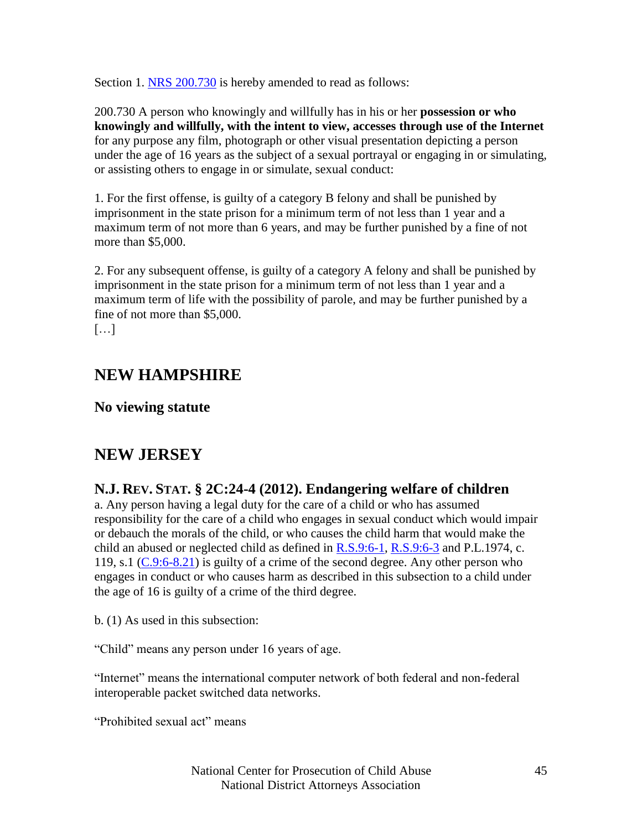Section 1. [NRS 200.730](http://web2.westlaw.com/find/default.wl?mt=WestlawGC&db=1000363&rs=WLW12.04&docname=NVST200.730&rp=%2ffind%2fdefault.wl&findtype=L&ordoc=I19640031557A11E09651F4181436147D&tc=-1&vr=2.0&fn=_top&sv=Split&tf=-1&pbc=FBA70F94&utid=%7bF73AE6BA-7B4E-4086-8848-1894C4558E02%7d) is hereby amended to read as follows:

200.730 A person who knowingly and willfully has in his or her **possession or who knowingly and willfully, with the intent to view, accesses through use of the Internet** for any purpose any film, photograph or other visual presentation depicting a person under the age of 16 years as the subject of a sexual portrayal or engaging in or simulating, or assisting others to engage in or simulate, sexual conduct:

1. For the first offense, is guilty of a category B felony and shall be punished by imprisonment in the state prison for a minimum term of not less than 1 year and a maximum term of not more than 6 years, and may be further punished by a fine of not more than \$5,000.

2. For any subsequent offense, is guilty of a category A felony and shall be punished by imprisonment in the state prison for a minimum term of not less than 1 year and a maximum term of life with the possibility of parole, and may be further punished by a fine of not more than \$5,000.  $[\dots]$ 

### <span id="page-44-0"></span>**NEW HAMPSHIRE**

<span id="page-44-1"></span>**No viewing statute** 

### <span id="page-44-2"></span>**NEW JERSEY**

#### <span id="page-44-3"></span>**N.J. REV. STAT. § 2C:24-4 (2012). Endangering welfare of children**

a. Any person having a legal duty for the care of a child or who has assumed responsibility for the care of a child who engages in sexual conduct which would impair or debauch the morals of the child, or who causes the child harm that would make the child an abused or neglected child as defined in [R.S.9:6-1,](http://web2.westlaw.com/find/default.wl?mt=WestlawGC&db=1000045&rs=WLW12.04&docname=NJST9%3a6-1&rp=%2ffind%2fdefault.wl&findtype=L&ordoc=2462164&tc=-1&vr=2.0&fn=_top&sv=Split&tf=-1&pbc=43609F05&utid=%7bF73AE6BA-7B4E-4086-8848-1894C4558E02%7d) [R.S.9:6-3](http://web2.westlaw.com/find/default.wl?mt=WestlawGC&db=1000045&rs=WLW12.04&docname=NJST9%3a6-3&rp=%2ffind%2fdefault.wl&findtype=L&ordoc=2462164&tc=-1&vr=2.0&fn=_top&sv=Split&tf=-1&pbc=43609F05&utid=%7bF73AE6BA-7B4E-4086-8848-1894C4558E02%7d) and P.L.1974, c. 119, s.1 [\(C.9:6-8.21\)](http://web2.westlaw.com/find/default.wl?mt=WestlawGC&db=1000045&rs=WLW12.04&docname=NJST9%3a6-8.21&rp=%2ffind%2fdefault.wl&findtype=L&ordoc=2462164&tc=-1&vr=2.0&fn=_top&sv=Split&tf=-1&pbc=43609F05&utid=%7bF73AE6BA-7B4E-4086-8848-1894C4558E02%7d) is guilty of a crime of the second degree. Any other person who engages in conduct or who causes harm as described in this subsection to a child under the age of 16 is guilty of a crime of the third degree.

b. (1) As used in this subsection:

"Child" means any person under 16 years of age.

"Internet" means the international computer network of both federal and non-federal interoperable packet switched data networks.

"Prohibited sexual act" means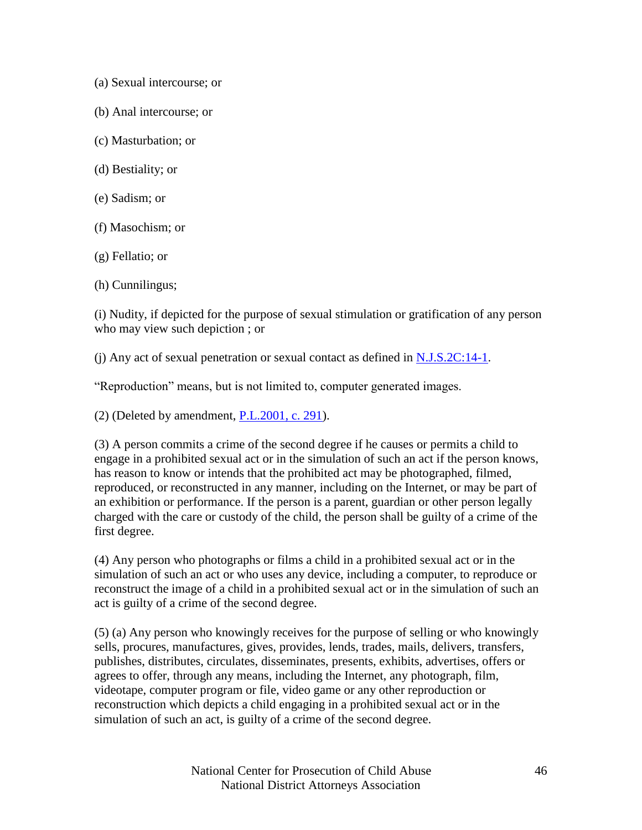- (a) Sexual intercourse; or
- (b) Anal intercourse; or
- (c) Masturbation; or
- (d) Bestiality; or
- (e) Sadism; or
- (f) Masochism; or
- (g) Fellatio; or

(h) Cunnilingus;

(i) Nudity, if depicted for the purpose of sexual stimulation or gratification of any person who may view such depiction ; or

(j) Any act of sexual penetration or sexual contact as defined in  $N.J.S.2C:14-1$ .

"Reproduction" means, but is not limited to, computer generated images.

 $(2)$  (Deleted by amendment, [P.L.2001, c. 291\)](http://web2.westlaw.com/find/default.wl?mt=WestlawGC&db=1077005&rs=WLW12.04&docname=UUID(I17068A4647-C0427CA06BC-001E97EA290)&rp=%2ffind%2fdefault.wl&findtype=l&ordoc=2462164&tc=-1&vr=2.0&fn=_top&sv=Split&tf=-1&pbc=43609F05&utid=%7bF73AE6BA-7B4E-4086-8848-1894C4558E02%7d).

(3) A person commits a crime of the second degree if he causes or permits a child to engage in a prohibited sexual act or in the simulation of such an act if the person knows, has reason to know or intends that the prohibited act may be photographed, filmed, reproduced, or reconstructed in any manner, including on the Internet, or may be part of an exhibition or performance. If the person is a parent, guardian or other person legally charged with the care or custody of the child, the person shall be guilty of a crime of the first degree.

(4) Any person who photographs or films a child in a prohibited sexual act or in the simulation of such an act or who uses any device, including a computer, to reproduce or reconstruct the image of a child in a prohibited sexual act or in the simulation of such an act is guilty of a crime of the second degree.

(5) (a) Any person who knowingly receives for the purpose of selling or who knowingly sells, procures, manufactures, gives, provides, lends, trades, mails, delivers, transfers, publishes, distributes, circulates, disseminates, presents, exhibits, advertises, offers or agrees to offer, through any means, including the Internet, any photograph, film, videotape, computer program or file, video game or any other reproduction or reconstruction which depicts a child engaging in a prohibited sexual act or in the simulation of such an act, is guilty of a crime of the second degree.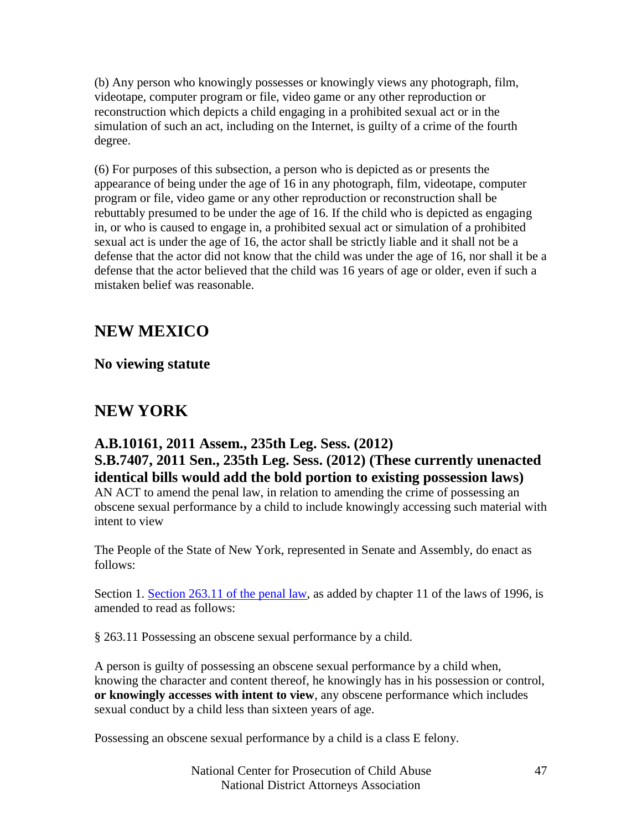(b) Any person who knowingly possesses or knowingly views any photograph, film, videotape, computer program or file, video game or any other reproduction or reconstruction which depicts a child engaging in a prohibited sexual act or in the simulation of such an act, including on the Internet, is guilty of a crime of the fourth degree.

(6) For purposes of this subsection, a person who is depicted as or presents the appearance of being under the age of 16 in any photograph, film, videotape, computer program or file, video game or any other reproduction or reconstruction shall be rebuttably presumed to be under the age of 16. If the child who is depicted as engaging in, or who is caused to engage in, a prohibited sexual act or simulation of a prohibited sexual act is under the age of 16, the actor shall be strictly liable and it shall not be a defense that the actor did not know that the child was under the age of 16, nor shall it be a defense that the actor believed that the child was 16 years of age or older, even if such a mistaken belief was reasonable.

### <span id="page-46-0"></span>**NEW MEXICO**

<span id="page-46-1"></span>**No viewing statute** 

### <span id="page-46-2"></span>**NEW YORK**

### <span id="page-46-4"></span><span id="page-46-3"></span>**A.B.10161, 2011 Assem., 235th Leg. Sess. (2012) S.B.7407, 2011 Sen., 235th Leg. Sess. (2012) (These currently unenacted identical bills would add the bold portion to existing possession laws)**

AN ACT to amend the penal law, in relation to amending the crime of possessing an obscene sexual performance by a child to include knowingly accessing such material with intent to view

The People of the State of New York, represented in Senate and Assembly, do enact as follows:

Section 1. [Section 263.11 of the penal law,](http://web2.westlaw.com/find/default.wl?mt=WestlawGC&db=1000115&rs=WLW12.04&docname=NYPES263.11&rp=%2ffind%2fdefault.wl&findtype=L&ordoc=IF5CE14B19A8F11E181108354662978DB&tc=-1&vr=2.0&fn=_top&sv=Split&tf=-1&pbc=426EC499&utid=%7bF73AE6BA-7B4E-4086-8848-1894C4558E02%7d) as added by chapter 11 of the laws of 1996, is amended to read as follows:

§ 263.11 Possessing an obscene sexual performance by a child.

A person is guilty of possessing an obscene sexual performance by a child when, knowing the character and content thereof, he knowingly has in his possession or control, **or knowingly accesses with intent to view**, any obscene performance which includes sexual conduct by a child less than sixteen years of age.

Possessing an obscene sexual performance by a child is a class E felony.

National Center for Prosecution of Child Abuse National District Attorneys Association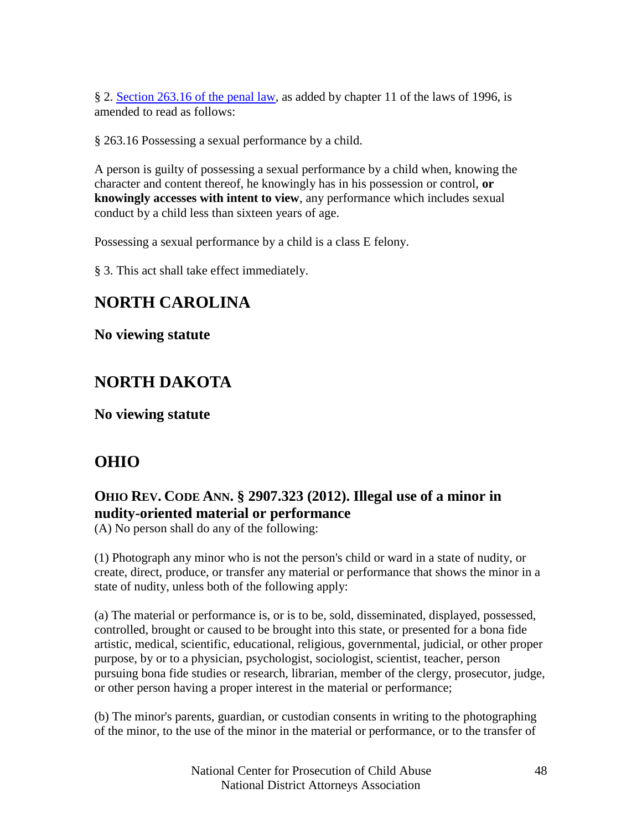§ 2. [Section 263.16 of the penal law,](http://web2.westlaw.com/find/default.wl?mt=WestlawGC&db=1000115&rs=WLW12.04&docname=NYPES263.16&rp=%2ffind%2fdefault.wl&findtype=L&ordoc=IF5CE14B19A8F11E181108354662978DB&tc=-1&vr=2.0&fn=_top&sv=Split&tf=-1&pbc=426EC499&utid=%7bF73AE6BA-7B4E-4086-8848-1894C4558E02%7d) as added by chapter 11 of the laws of 1996, is amended to read as follows:

§ 263.16 Possessing a sexual performance by a child.

A person is guilty of possessing a sexual performance by a child when, knowing the character and content thereof, he knowingly has in his possession or control, **or knowingly accesses with intent to view**, any performance which includes sexual conduct by a child less than sixteen years of age.

Possessing a sexual performance by a child is a class E felony.

§ 3. This act shall take effect immediately.

### <span id="page-47-0"></span>**NORTH CAROLINA**

<span id="page-47-1"></span>**No viewing statute**

### <span id="page-47-2"></span>**NORTH DAKOTA**

<span id="page-47-3"></span>**No viewing statute**

### <span id="page-47-4"></span>**OHIO**

### <span id="page-47-5"></span>**OHIO REV. CODE ANN. § 2907.323 (2012). Illegal use of a minor in nudity-oriented material or performance**

(A) No person shall do any of the following:

(1) Photograph any minor who is not the person's child or ward in a state of nudity, or create, direct, produce, or transfer any material or performance that shows the minor in a state of nudity, unless both of the following apply:

(a) The material or performance is, or is to be, sold, disseminated, displayed, possessed, controlled, brought or caused to be brought into this state, or presented for a bona fide artistic, medical, scientific, educational, religious, governmental, judicial, or other proper purpose, by or to a physician, psychologist, sociologist, scientist, teacher, person pursuing bona fide studies or research, librarian, member of the clergy, prosecutor, judge, or other person having a proper interest in the material or performance;

(b) The minor's parents, guardian, or custodian consents in writing to the photographing of the minor, to the use of the minor in the material or performance, or to the transfer of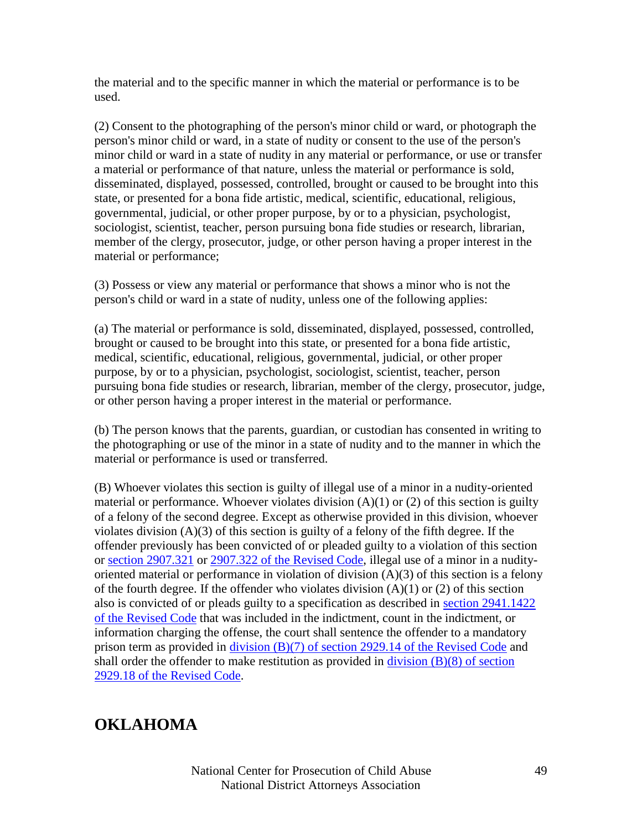the material and to the specific manner in which the material or performance is to be used.

(2) Consent to the photographing of the person's minor child or ward, or photograph the person's minor child or ward, in a state of nudity or consent to the use of the person's minor child or ward in a state of nudity in any material or performance, or use or transfer a material or performance of that nature, unless the material or performance is sold, disseminated, displayed, possessed, controlled, brought or caused to be brought into this state, or presented for a bona fide artistic, medical, scientific, educational, religious, governmental, judicial, or other proper purpose, by or to a physician, psychologist, sociologist, scientist, teacher, person pursuing bona fide studies or research, librarian, member of the clergy, prosecutor, judge, or other person having a proper interest in the material or performance;

(3) Possess or view any material or performance that shows a minor who is not the person's child or ward in a state of nudity, unless one of the following applies:

(a) The material or performance is sold, disseminated, displayed, possessed, controlled, brought or caused to be brought into this state, or presented for a bona fide artistic, medical, scientific, educational, religious, governmental, judicial, or other proper purpose, by or to a physician, psychologist, sociologist, scientist, teacher, person pursuing bona fide studies or research, librarian, member of the clergy, prosecutor, judge, or other person having a proper interest in the material or performance.

(b) The person knows that the parents, guardian, or custodian has consented in writing to the photographing or use of the minor in a state of nudity and to the manner in which the material or performance is used or transferred.

(B) Whoever violates this section is guilty of illegal use of a minor in a nudity-oriented material or performance. Whoever violates division  $(A)(1)$  or  $(2)$  of this section is guilty of a felony of the second degree. Except as otherwise provided in this division, whoever violates division (A)(3) of this section is guilty of a felony of the fifth degree. If the offender previously has been convicted of or pleaded guilty to a violation of this section or [section 2907.321](http://web2.westlaw.com/find/default.wl?mt=WestlawGC&db=1000279&rs=WLW12.04&docname=OHSTS2907.321&rp=%2ffind%2fdefault.wl&findtype=L&ordoc=11335031&tc=-1&vr=2.0&fn=_top&sv=Split&tf=-1&pbc=A3BBB1E0&utid=%7bF73AE6BA-7B4E-4086-8848-1894C4558E02%7d) or [2907.322 of the Revised Code,](http://web2.westlaw.com/find/default.wl?mt=WestlawGC&db=1000279&rs=WLW12.04&docname=OHSTS2907.322&rp=%2ffind%2fdefault.wl&findtype=L&ordoc=11335031&tc=-1&vr=2.0&fn=_top&sv=Split&tf=-1&pbc=A3BBB1E0&utid=%7bF73AE6BA-7B4E-4086-8848-1894C4558E02%7d) illegal use of a minor in a nudityoriented material or performance in violation of division (A)(3) of this section is a felony of the fourth degree. If the offender who violates division  $(A)(1)$  or  $(2)$  of this section also is convicted of or pleads guilty to a specification as described in [section 2941.1422](http://web2.westlaw.com/find/default.wl?mt=WestlawGC&db=1000279&rs=WLW12.04&docname=OHSTS2941.1422&rp=%2ffind%2fdefault.wl&findtype=L&ordoc=11335031&tc=-1&vr=2.0&fn=_top&sv=Split&tf=-1&pbc=A3BBB1E0&utid=%7bF73AE6BA-7B4E-4086-8848-1894C4558E02%7d)  [of the Revised Code](http://web2.westlaw.com/find/default.wl?mt=WestlawGC&db=1000279&rs=WLW12.04&docname=OHSTS2941.1422&rp=%2ffind%2fdefault.wl&findtype=L&ordoc=11335031&tc=-1&vr=2.0&fn=_top&sv=Split&tf=-1&pbc=A3BBB1E0&utid=%7bF73AE6BA-7B4E-4086-8848-1894C4558E02%7d) that was included in the indictment, count in the indictment, or information charging the offense, the court shall sentence the offender to a mandatory prison term as provided in [division \(B\)\(7\) of section 2929.14 of the Revised Code](http://web2.westlaw.com/find/default.wl?mt=WestlawGC&db=1000279&rs=WLW12.04&docname=OHSTS2929.14&rp=%2ffind%2fdefault.wl&findtype=L&ordoc=11335031&tc=-1&vr=2.0&fn=_top&sv=Split&tf=-1&referencepositiontype=T&pbc=A3BBB1E0&referenceposition=SP%3b47dd0000d9ea7&utid=%7bF73AE6BA-7B4E-4086-8848-1894C4558E02%7d) and shall order the offender to make restitution as provided in [division \(B\)\(8\) of section](http://web2.westlaw.com/find/default.wl?mt=WestlawGC&db=1000279&rs=WLW12.04&docname=OHSTS2929.18&rp=%2ffind%2fdefault.wl&findtype=L&ordoc=11335031&tc=-1&vr=2.0&fn=_top&sv=Split&tf=-1&referencepositiontype=T&pbc=A3BBB1E0&referenceposition=SP%3be1c300006f030&utid=%7bF73AE6BA-7B4E-4086-8848-1894C4558E02%7d)  [2929.18 of the Revised Code.](http://web2.westlaw.com/find/default.wl?mt=WestlawGC&db=1000279&rs=WLW12.04&docname=OHSTS2929.18&rp=%2ffind%2fdefault.wl&findtype=L&ordoc=11335031&tc=-1&vr=2.0&fn=_top&sv=Split&tf=-1&referencepositiontype=T&pbc=A3BBB1E0&referenceposition=SP%3be1c300006f030&utid=%7bF73AE6BA-7B4E-4086-8848-1894C4558E02%7d)

# <span id="page-48-0"></span>**OKLAHOMA**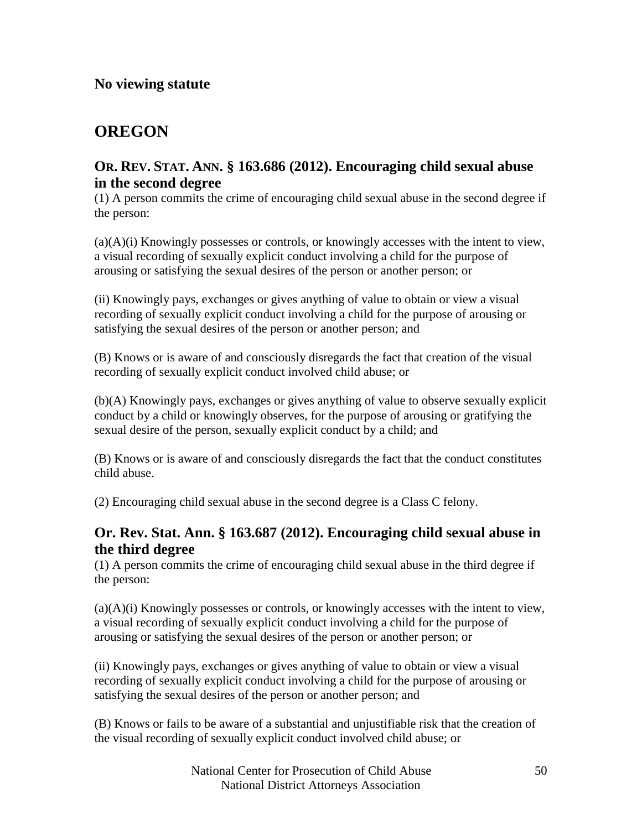#### <span id="page-49-0"></span>**No viewing statute**

## <span id="page-49-1"></span>**OREGON**

#### <span id="page-49-2"></span>**OR. REV. STAT. ANN. § 163.686 (2012). Encouraging child sexual abuse in the second degree**

(1) A person commits the crime of encouraging child sexual abuse in the second degree if the person:

 $(a)(A)(i)$  Knowingly possesses or controls, or knowingly accesses with the intent to view, a visual recording of sexually explicit conduct involving a child for the purpose of arousing or satisfying the sexual desires of the person or another person; or

(ii) Knowingly pays, exchanges or gives anything of value to obtain or view a visual recording of sexually explicit conduct involving a child for the purpose of arousing or satisfying the sexual desires of the person or another person; and

(B) Knows or is aware of and consciously disregards the fact that creation of the visual recording of sexually explicit conduct involved child abuse; or

(b)(A) Knowingly pays, exchanges or gives anything of value to observe sexually explicit conduct by a child or knowingly observes, for the purpose of arousing or gratifying the sexual desire of the person, sexually explicit conduct by a child; and

(B) Knows or is aware of and consciously disregards the fact that the conduct constitutes child abuse.

(2) Encouraging child sexual abuse in the second degree is a Class C felony.

#### <span id="page-49-3"></span>**Or. Rev. Stat. Ann. § 163.687 (2012). Encouraging child sexual abuse in the third degree**

(1) A person commits the crime of encouraging child sexual abuse in the third degree if the person:

 $(a)(A)(i)$  Knowingly possesses or controls, or knowingly accesses with the intent to view, a visual recording of sexually explicit conduct involving a child for the purpose of arousing or satisfying the sexual desires of the person or another person; or

(ii) Knowingly pays, exchanges or gives anything of value to obtain or view a visual recording of sexually explicit conduct involving a child for the purpose of arousing or satisfying the sexual desires of the person or another person; and

(B) Knows or fails to be aware of a substantial and unjustifiable risk that the creation of the visual recording of sexually explicit conduct involved child abuse; or

> National Center for Prosecution of Child Abuse National District Attorneys Association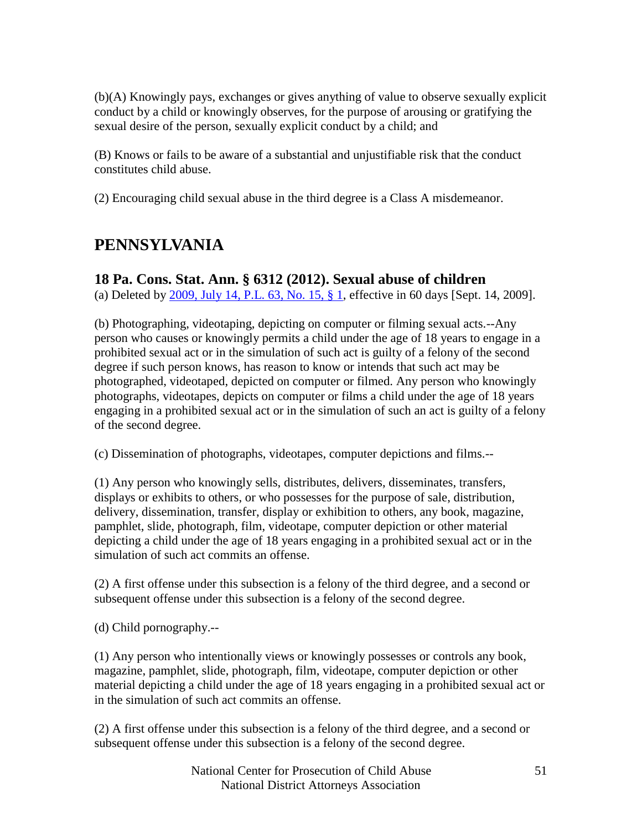(b)(A) Knowingly pays, exchanges or gives anything of value to observe sexually explicit conduct by a child or knowingly observes, for the purpose of arousing or gratifying the sexual desire of the person, sexually explicit conduct by a child; and

(B) Knows or fails to be aware of a substantial and unjustifiable risk that the conduct constitutes child abuse.

(2) Encouraging child sexual abuse in the third degree is a Class A misdemeanor.

## <span id="page-50-0"></span>**PENNSYLVANIA**

#### <span id="page-50-1"></span>**18 Pa. Cons. Stat. Ann. § 6312 (2012). Sexual abuse of children**

(a) Deleted by [2009, July 14, P.L. 63, No. 15, § 1,](http://web2.westlaw.com/find/default.wl?mt=WestlawGC&db=1077005&rs=WLW12.04&docname=UUID(I1CCEBDD076-1711DE8C07D-4372B046D1B)&rp=%2ffind%2fdefault.wl&findtype=l&ordoc=1710937&tc=-1&vr=2.0&fn=_top&sv=Split&tf=-1&pbc=D553E905&utid=%7bF73AE6BA-7B4E-4086-8848-1894C4558E02%7d) effective in 60 days [Sept. 14, 2009].

(b) Photographing, videotaping, depicting on computer or filming sexual acts.--Any person who causes or knowingly permits a child under the age of 18 years to engage in a prohibited sexual act or in the simulation of such act is guilty of a felony of the second degree if such person knows, has reason to know or intends that such act may be photographed, videotaped, depicted on computer or filmed. Any person who knowingly photographs, videotapes, depicts on computer or films a child under the age of 18 years engaging in a prohibited sexual act or in the simulation of such an act is guilty of a felony of the second degree.

(c) Dissemination of photographs, videotapes, computer depictions and films.--

(1) Any person who knowingly sells, distributes, delivers, disseminates, transfers, displays or exhibits to others, or who possesses for the purpose of sale, distribution, delivery, dissemination, transfer, display or exhibition to others, any book, magazine, pamphlet, slide, photograph, film, videotape, computer depiction or other material depicting a child under the age of 18 years engaging in a prohibited sexual act or in the simulation of such act commits an offense.

(2) A first offense under this subsection is a felony of the third degree, and a second or subsequent offense under this subsection is a felony of the second degree.

(d) Child pornography.--

(1) Any person who intentionally views or knowingly possesses or controls any book, magazine, pamphlet, slide, photograph, film, videotape, computer depiction or other material depicting a child under the age of 18 years engaging in a prohibited sexual act or in the simulation of such act commits an offense.

(2) A first offense under this subsection is a felony of the third degree, and a second or subsequent offense under this subsection is a felony of the second degree.

> National Center for Prosecution of Child Abuse National District Attorneys Association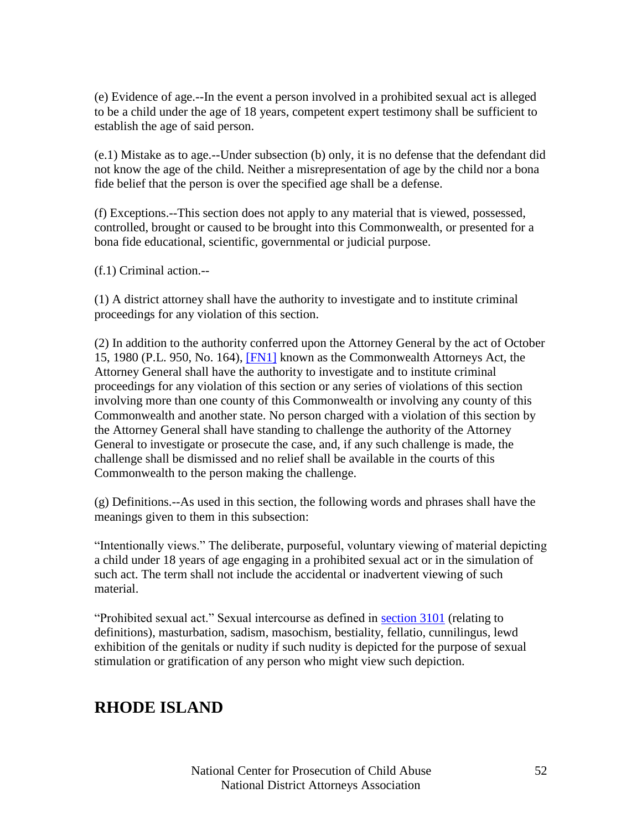(e) Evidence of age.--In the event a person involved in a prohibited sexual act is alleged to be a child under the age of 18 years, competent expert testimony shall be sufficient to establish the age of said person.

(e.1) Mistake as to age.--Under subsection (b) only, it is no defense that the defendant did not know the age of the child. Neither a misrepresentation of age by the child nor a bona fide belief that the person is over the specified age shall be a defense.

(f) Exceptions.--This section does not apply to any material that is viewed, possessed, controlled, brought or caused to be brought into this Commonwealth, or presented for a bona fide educational, scientific, governmental or judicial purpose.

(f.1) Criminal action.--

(1) A district attorney shall have the authority to investigate and to institute criminal proceedings for any violation of this section.

(2) In addition to the authority conferred upon the Attorney General by the act of October 15, 1980 (P.L. 950, No. 164), [\[FN1\]](http://web2.westlaw.com/result/%09%09%09%09%09%09#IF5DE2BD0474111E18F73A0D7DC06CAF9) known as the Commonwealth Attorneys Act, the Attorney General shall have the authority to investigate and to institute criminal proceedings for any violation of this section or any series of violations of this section involving more than one county of this Commonwealth or involving any county of this Commonwealth and another state. No person charged with a violation of this section by the Attorney General shall have standing to challenge the authority of the Attorney General to investigate or prosecute the case, and, if any such challenge is made, the challenge shall be dismissed and no relief shall be available in the courts of this Commonwealth to the person making the challenge.

(g) Definitions.--As used in this section, the following words and phrases shall have the meanings given to them in this subsection:

"Intentionally views." The deliberate, purposeful, voluntary viewing of material depicting a child under 18 years of age engaging in a prohibited sexual act or in the simulation of such act. The term shall not include the accidental or inadvertent viewing of such material.

"Prohibited sexual act." Sexual intercourse as defined in [section 3101](http://web2.westlaw.com/find/default.wl?mt=WestlawGC&db=1000262&rs=WLW12.04&docname=PA18S3101&rp=%2ffind%2fdefault.wl&findtype=L&ordoc=1710937&tc=-1&vr=2.0&fn=_top&sv=Split&tf=-1&pbc=D553E905&utid=%7bF73AE6BA-7B4E-4086-8848-1894C4558E02%7d) (relating to definitions), masturbation, sadism, masochism, bestiality, fellatio, cunnilingus, lewd exhibition of the genitals or nudity if such nudity is depicted for the purpose of sexual stimulation or gratification of any person who might view such depiction.

### <span id="page-51-0"></span>**RHODE ISLAND**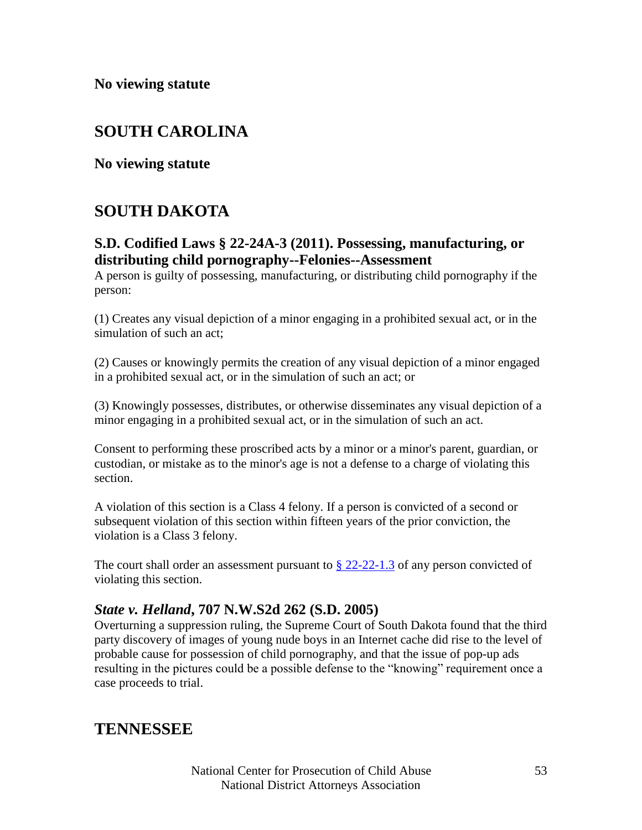<span id="page-52-0"></span>**No viewing statute** 

### <span id="page-52-1"></span>**SOUTH CAROLINA**

<span id="page-52-2"></span>**No viewing statute** 

### <span id="page-52-3"></span>**SOUTH DAKOTA**

#### <span id="page-52-4"></span>**S.D. Codified Laws § 22-24A-3 (2011). Possessing, manufacturing, or distributing child pornography--Felonies--Assessment**

A person is guilty of possessing, manufacturing, or distributing child pornography if the person:

(1) Creates any visual depiction of a minor engaging in a prohibited sexual act, or in the simulation of such an act;

(2) Causes or knowingly permits the creation of any visual depiction of a minor engaged in a prohibited sexual act, or in the simulation of such an act; or

(3) Knowingly possesses, distributes, or otherwise disseminates any visual depiction of a minor engaging in a prohibited sexual act, or in the simulation of such an act.

Consent to performing these proscribed acts by a minor or a minor's parent, guardian, or custodian, or mistake as to the minor's age is not a defense to a charge of violating this section.

A violation of this section is a Class 4 felony. If a person is convicted of a second or subsequent violation of this section within fifteen years of the prior conviction, the violation is a Class 3 felony.

The court shall order an assessment pursuant to  $\S$  22-22-1.3 of any person convicted of violating this section.

#### <span id="page-52-5"></span>*State v. Helland***, 707 N.W.S2d 262 (S.D. 2005)**

Overturning a suppression ruling, the Supreme Court of South Dakota found that the third party discovery of images of young nude boys in an Internet cache did rise to the level of probable cause for possession of child pornography, and that the issue of pop-up ads resulting in the pictures could be a possible defense to the "knowing" requirement once a case proceeds to trial.

### <span id="page-52-6"></span>**TENNESSEE**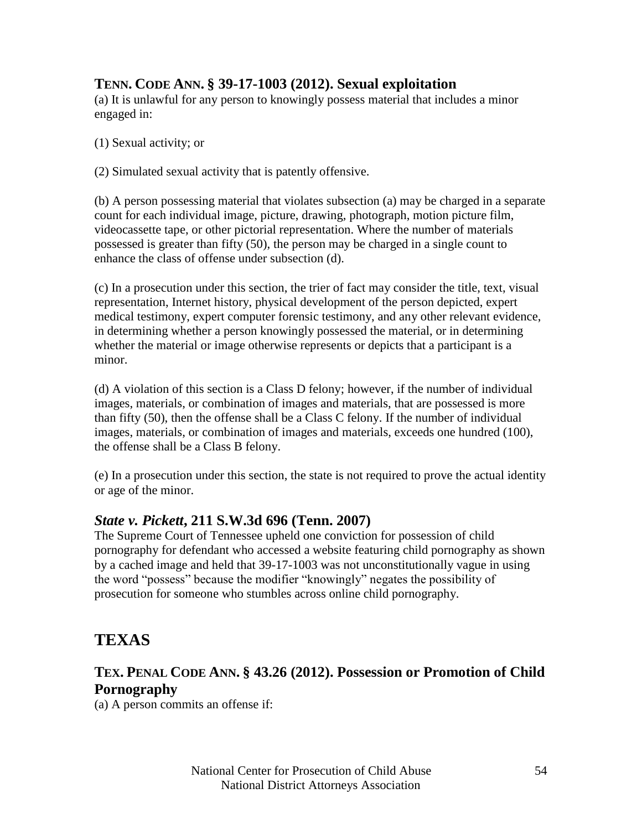#### <span id="page-53-0"></span>**TENN. CODE ANN. § 39-17-1003 (2012). Sexual exploitation**

(a) It is unlawful for any person to knowingly possess material that includes a minor engaged in:

(1) Sexual activity; or

(2) Simulated sexual activity that is patently offensive.

(b) A person possessing material that violates subsection (a) may be charged in a separate count for each individual image, picture, drawing, photograph, motion picture film, videocassette tape, or other pictorial representation. Where the number of materials possessed is greater than fifty (50), the person may be charged in a single count to enhance the class of offense under subsection (d).

(c) In a prosecution under this section, the trier of fact may consider the title, text, visual representation, Internet history, physical development of the person depicted, expert medical testimony, expert computer forensic testimony, and any other relevant evidence, in determining whether a person knowingly possessed the material, or in determining whether the material or image otherwise represents or depicts that a participant is a minor.

(d) A violation of this section is a Class D felony; however, if the number of individual images, materials, or combination of images and materials, that are possessed is more than fifty (50), then the offense shall be a Class C felony. If the number of individual images, materials, or combination of images and materials, exceeds one hundred (100), the offense shall be a Class B felony.

(e) In a prosecution under this section, the state is not required to prove the actual identity or age of the minor.

### <span id="page-53-1"></span>*State v. Pickett***, 211 S.W.3d 696 (Tenn. 2007)**

The Supreme Court of Tennessee upheld one conviction for possession of child pornography for defendant who accessed a website featuring child pornography as shown by a cached image and held that 39-17-1003 was not unconstitutionally vague in using the word "possess" because the modifier "knowingly" negates the possibility of prosecution for someone who stumbles across online child pornography.

### <span id="page-53-2"></span>**TEXAS**

### <span id="page-53-3"></span>**TEX. PENAL CODE ANN. § 43.26 (2012). Possession or Promotion of Child Pornography**

(a) A person commits an offense if: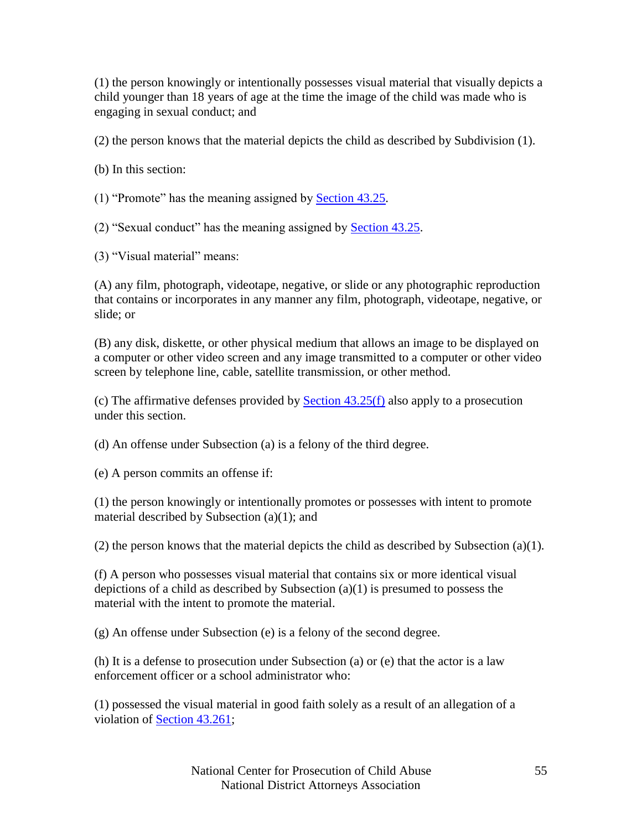(1) the person knowingly or intentionally possesses visual material that visually depicts a child younger than 18 years of age at the time the image of the child was made who is engaging in sexual conduct; and

(2) the person knows that the material depicts the child as described by Subdivision (1).

(b) In this section:

(1) "Promote" has the meaning assigned by [Section 43.25.](http://web2.westlaw.com/find/default.wl?mt=WestlawGC&db=1000182&rs=WLW12.04&docname=TXPES43.25&rp=%2ffind%2fdefault.wl&findtype=L&ordoc=978750&tc=-1&vr=2.0&fn=_top&sv=Split&tf=-1&pbc=DA327D23&utid=%7bF73AE6BA-7B4E-4086-8848-1894C4558E02%7d)

(2) "Sexual conduct" has the meaning assigned by [Section 43.25.](http://web2.westlaw.com/find/default.wl?mt=WestlawGC&db=1000182&rs=WLW12.04&docname=TXPES43.25&rp=%2ffind%2fdefault.wl&findtype=L&ordoc=978750&tc=-1&vr=2.0&fn=_top&sv=Split&tf=-1&pbc=DA327D23&utid=%7bF73AE6BA-7B4E-4086-8848-1894C4558E02%7d)

(3) "Visual material" means:

(A) any film, photograph, videotape, negative, or slide or any photographic reproduction that contains or incorporates in any manner any film, photograph, videotape, negative, or slide; or

(B) any disk, diskette, or other physical medium that allows an image to be displayed on a computer or other video screen and any image transmitted to a computer or other video screen by telephone line, cable, satellite transmission, or other method.

(c) The affirmative defenses provided by **Section 43.25(f)** also apply to a prosecution under this section.

(d) An offense under Subsection (a) is a felony of the third degree.

(e) A person commits an offense if:

(1) the person knowingly or intentionally promotes or possesses with intent to promote material described by Subsection (a)(1); and

(2) the person knows that the material depicts the child as described by Subsection (a)(1).

(f) A person who possesses visual material that contains six or more identical visual depictions of a child as described by Subsection (a)(1) is presumed to possess the material with the intent to promote the material.

(g) An offense under Subsection (e) is a felony of the second degree.

(h) It is a defense to prosecution under Subsection (a) or (e) that the actor is a law enforcement officer or a school administrator who:

(1) possessed the visual material in good faith solely as a result of an allegation of a violation of [Section 43.261;](http://web2.westlaw.com/find/default.wl?mt=WestlawGC&db=1000182&rs=WLW12.04&docname=TXPES43.261&rp=%2ffind%2fdefault.wl&findtype=L&ordoc=978750&tc=-1&vr=2.0&fn=_top&sv=Split&tf=-1&pbc=DA327D23&utid=%7bF73AE6BA-7B4E-4086-8848-1894C4558E02%7d)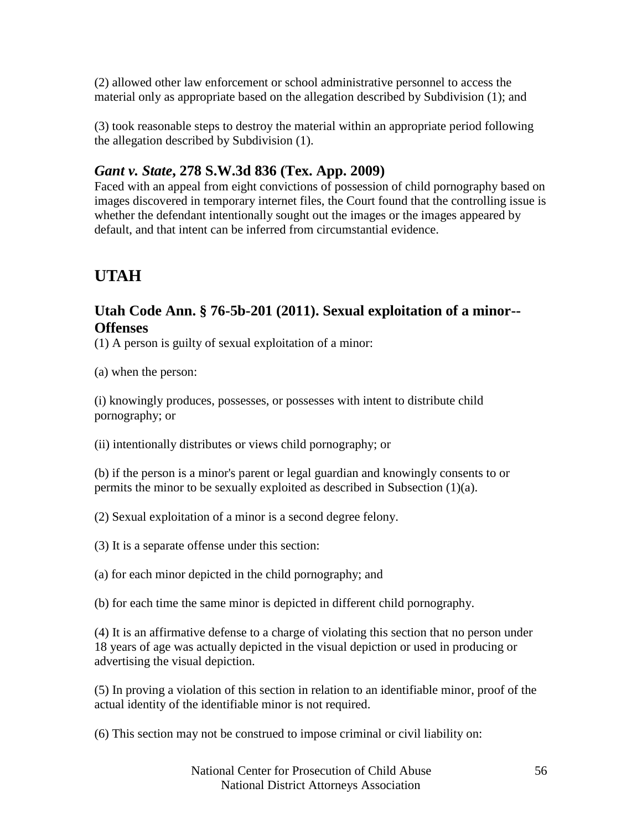(2) allowed other law enforcement or school administrative personnel to access the material only as appropriate based on the allegation described by Subdivision (1); and

(3) took reasonable steps to destroy the material within an appropriate period following the allegation described by Subdivision (1).

### <span id="page-55-0"></span>*Gant v. State***, 278 S.W.3d 836 (Tex. App. 2009)**

Faced with an appeal from eight convictions of possession of child pornography based on images discovered in temporary internet files, the Court found that the controlling issue is whether the defendant intentionally sought out the images or the images appeared by default, and that intent can be inferred from circumstantial evidence.

# <span id="page-55-1"></span>**UTAH**

#### <span id="page-55-2"></span>**Utah Code Ann. § 76-5b-201 (2011). Sexual exploitation of a minor-- Offenses**

(1) A person is guilty of sexual exploitation of a minor:

(a) when the person:

(i) knowingly produces, possesses, or possesses with intent to distribute child pornography; or

(ii) intentionally distributes or views child pornography; or

(b) if the person is a minor's parent or legal guardian and knowingly consents to or permits the minor to be sexually exploited as described in Subsection (1)(a).

(2) Sexual exploitation of a minor is a second degree felony.

(3) It is a separate offense under this section:

(a) for each minor depicted in the child pornography; and

(b) for each time the same minor is depicted in different child pornography.

(4) It is an affirmative defense to a charge of violating this section that no person under 18 years of age was actually depicted in the visual depiction or used in producing or advertising the visual depiction.

(5) In proving a violation of this section in relation to an identifiable minor, proof of the actual identity of the identifiable minor is not required.

(6) This section may not be construed to impose criminal or civil liability on:

National Center for Prosecution of Child Abuse National District Attorneys Association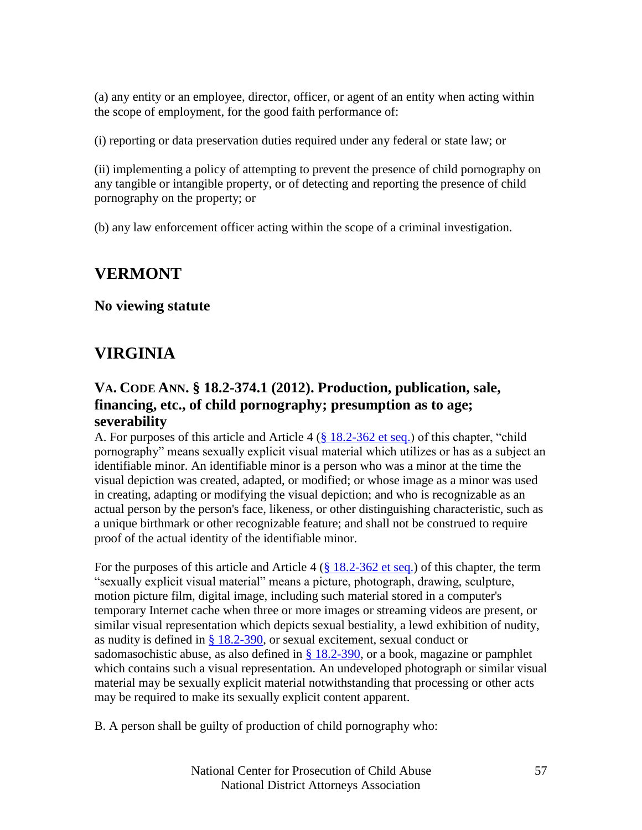(a) any entity or an employee, director, officer, or agent of an entity when acting within the scope of employment, for the good faith performance of:

(i) reporting or data preservation duties required under any federal or state law; or

(ii) implementing a policy of attempting to prevent the presence of child pornography on any tangible or intangible property, or of detecting and reporting the presence of child pornography on the property; or

(b) any law enforcement officer acting within the scope of a criminal investigation.

### <span id="page-56-0"></span>**VERMONT**

#### <span id="page-56-1"></span>**No viewing statute**

## <span id="page-56-2"></span>**VIRGINIA**

#### <span id="page-56-3"></span>**VA. CODE ANN. § 18.2-374.1 (2012). Production, publication, sale, financing, etc., of child pornography; presumption as to age; severability**

A. For purposes of this article and Article 4 [\(§ 18.2-362 et seq.\)](http://web2.westlaw.com/find/default.wl?mt=WestlawGC&db=1000040&rs=WLW12.04&docname=VASTS18.2-362&rp=%2ffind%2fdefault.wl&findtype=L&ordoc=9153193&tc=-1&vr=2.0&fn=_top&sv=Split&tf=-1&pbc=8705C719&utid=%7bF73AE6BA-7B4E-4086-8848-1894C4558E02%7d) of this chapter, "child pornography" means sexually explicit visual material which utilizes or has as a subject an identifiable minor. An identifiable minor is a person who was a minor at the time the visual depiction was created, adapted, or modified; or whose image as a minor was used in creating, adapting or modifying the visual depiction; and who is recognizable as an actual person by the person's face, likeness, or other distinguishing characteristic, such as a unique birthmark or other recognizable feature; and shall not be construed to require proof of the actual identity of the identifiable minor.

For the purposes of this article and Article 4 ( $\S$  18.2-362 et seq.) of this chapter, the term "sexually explicit visual material" means a picture, photograph, drawing, sculpture, motion picture film, digital image, including such material stored in a computer's temporary Internet cache when three or more images or streaming videos are present, or similar visual representation which depicts sexual bestiality, a lewd exhibition of nudity, as nudity is defined in  $\S$  18.2-390, or sexual excitement, sexual conduct or sadomasochistic abuse, as also defined in  $\S$  18.2-390, or a book, magazine or pamphlet which contains such a visual representation. An undeveloped photograph or similar visual material may be sexually explicit material notwithstanding that processing or other acts may be required to make its sexually explicit content apparent.

B. A person shall be guilty of production of child pornography who: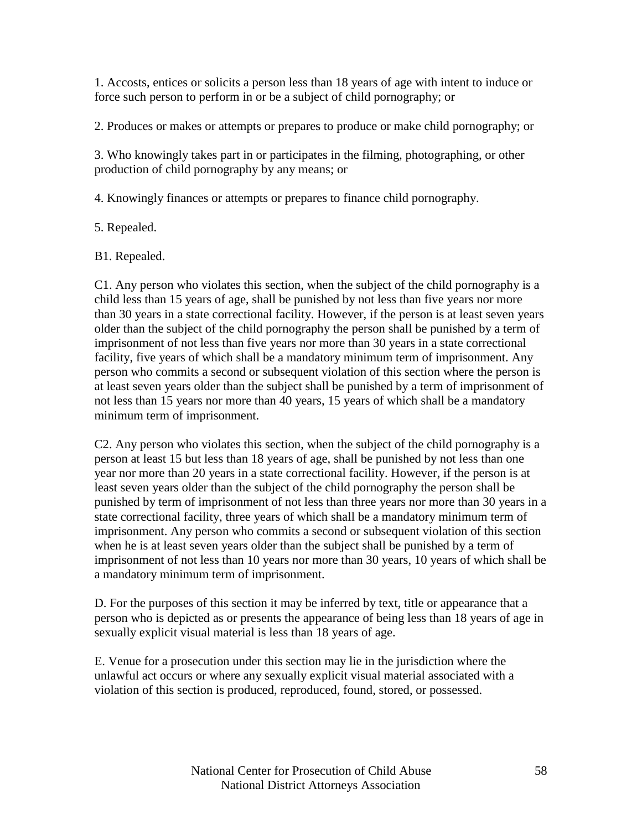1. Accosts, entices or solicits a person less than 18 years of age with intent to induce or force such person to perform in or be a subject of child pornography; or

2. Produces or makes or attempts or prepares to produce or make child pornography; or

3. Who knowingly takes part in or participates in the filming, photographing, or other production of child pornography by any means; or

4. Knowingly finances or attempts or prepares to finance child pornography.

5. Repealed.

B1. Repealed.

C1. Any person who violates this section, when the subject of the child pornography is a child less than 15 years of age, shall be punished by not less than five years nor more than 30 years in a state correctional facility. However, if the person is at least seven years older than the subject of the child pornography the person shall be punished by a term of imprisonment of not less than five years nor more than 30 years in a state correctional facility, five years of which shall be a mandatory minimum term of imprisonment. Any person who commits a second or subsequent violation of this section where the person is at least seven years older than the subject shall be punished by a term of imprisonment of not less than 15 years nor more than 40 years, 15 years of which shall be a mandatory minimum term of imprisonment.

C2. Any person who violates this section, when the subject of the child pornography is a person at least 15 but less than 18 years of age, shall be punished by not less than one year nor more than 20 years in a state correctional facility. However, if the person is at least seven years older than the subject of the child pornography the person shall be punished by term of imprisonment of not less than three years nor more than 30 years in a state correctional facility, three years of which shall be a mandatory minimum term of imprisonment. Any person who commits a second or subsequent violation of this section when he is at least seven years older than the subject shall be punished by a term of imprisonment of not less than 10 years nor more than 30 years, 10 years of which shall be a mandatory minimum term of imprisonment.

D. For the purposes of this section it may be inferred by text, title or appearance that a person who is depicted as or presents the appearance of being less than 18 years of age in sexually explicit visual material is less than 18 years of age.

E. Venue for a prosecution under this section may lie in the jurisdiction where the unlawful act occurs or where any sexually explicit visual material associated with a violation of this section is produced, reproduced, found, stored, or possessed.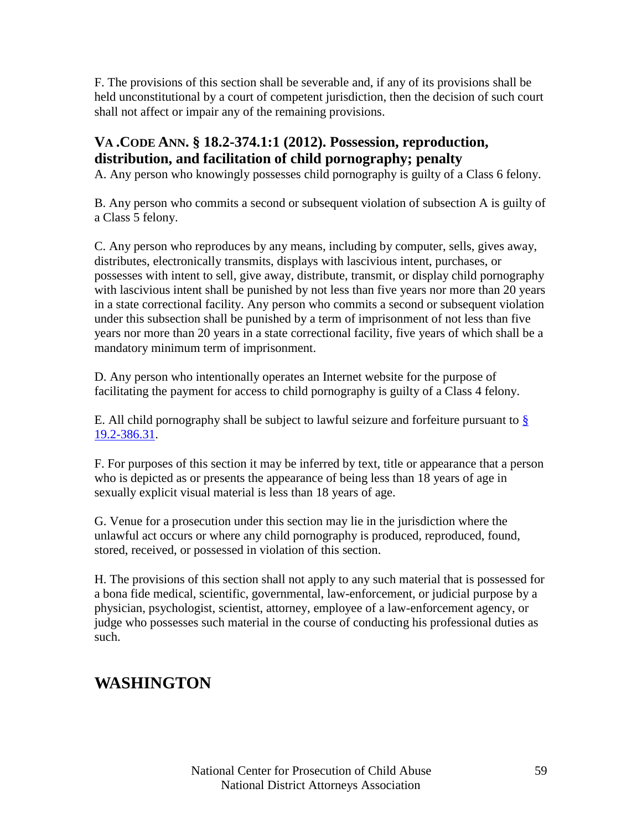F. The provisions of this section shall be severable and, if any of its provisions shall be held unconstitutional by a court of competent jurisdiction, then the decision of such court shall not affect or impair any of the remaining provisions.

### <span id="page-58-0"></span>**VA .CODE ANN. § 18.2-374.1:1 (2012). Possession, reproduction, distribution, and facilitation of child pornography; penalty**

A. Any person who knowingly possesses child pornography is guilty of a Class 6 felony.

B. Any person who commits a second or subsequent violation of subsection A is guilty of a Class 5 felony.

C. Any person who reproduces by any means, including by computer, sells, gives away, distributes, electronically transmits, displays with lascivious intent, purchases, or possesses with intent to sell, give away, distribute, transmit, or display child pornography with lascivious intent shall be punished by not less than five years nor more than 20 years in a state correctional facility. Any person who commits a second or subsequent violation under this subsection shall be punished by a term of imprisonment of not less than five years nor more than 20 years in a state correctional facility, five years of which shall be a mandatory minimum term of imprisonment.

D. Any person who intentionally operates an Internet website for the purpose of facilitating the payment for access to child pornography is guilty of a Class 4 felony.

E. All child pornography shall be subject to lawful seizure and forfeiture pursuant to  $\frac{8}{9}$ [19.2-386.31.](http://web2.westlaw.com/find/default.wl?mt=WestlawGC&db=1000040&rs=WLW12.04&docname=VASTS19.2-386.31&rp=%2ffind%2fdefault.wl&findtype=L&ordoc=9153194&tc=-1&vr=2.0&fn=_top&sv=Split&tf=-1&pbc=563F57C1&utid=%7bF73AE6BA-7B4E-4086-8848-1894C4558E02%7d)

F. For purposes of this section it may be inferred by text, title or appearance that a person who is depicted as or presents the appearance of being less than 18 years of age in sexually explicit visual material is less than 18 years of age.

G. Venue for a prosecution under this section may lie in the jurisdiction where the unlawful act occurs or where any child pornography is produced, reproduced, found, stored, received, or possessed in violation of this section.

H. The provisions of this section shall not apply to any such material that is possessed for a bona fide medical, scientific, governmental, law-enforcement, or judicial purpose by a physician, psychologist, scientist, attorney, employee of a law-enforcement agency, or judge who possesses such material in the course of conducting his professional duties as such.

# <span id="page-58-1"></span>**WASHINGTON**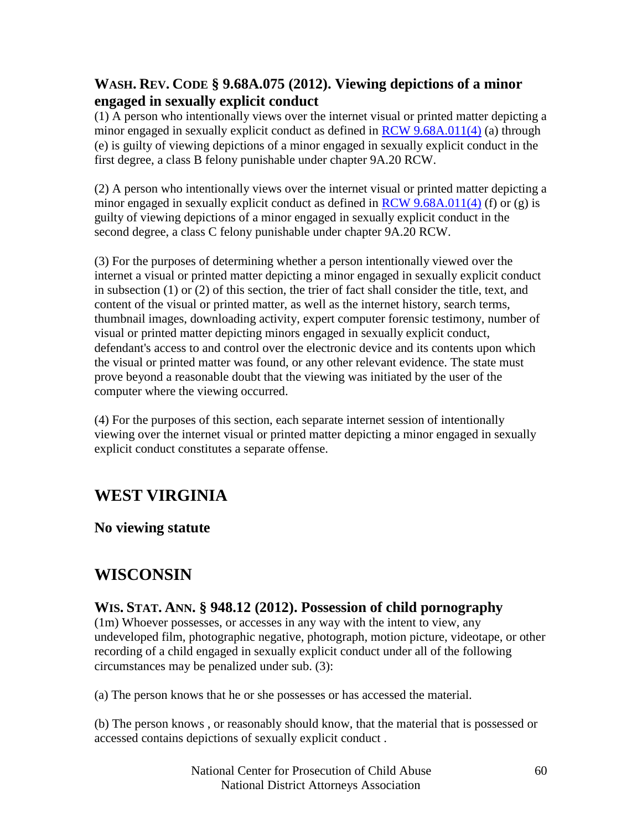### <span id="page-59-0"></span>**WASH. REV. CODE § 9.68A.075 (2012). Viewing depictions of a minor engaged in sexually explicit conduct**

(1) A person who intentionally views over the internet visual or printed matter depicting a minor engaged in sexually explicit conduct as defined in [RCW 9.68A.011\(4\)](http://web2.westlaw.com/find/default.wl?mt=WestlawGC&db=1000259&rs=WLW12.04&docname=WAST9.68A.011&rp=%2ffind%2fdefault.wl&findtype=L&ordoc=996454705&tc=-1&vr=2.0&fn=_top&sv=Split&tf=-1&referencepositiontype=T&pbc=0FB1B87E&referenceposition=SP%3b0bd500007a412&utid=%7bF73AE6BA-7B4E-4086-8848-1894C4558E02%7d) (a) through (e) is guilty of viewing depictions of a minor engaged in sexually explicit conduct in the first degree, a class B felony punishable under chapter 9A.20 RCW.

(2) A person who intentionally views over the internet visual or printed matter depicting a minor engaged in sexually explicit conduct as defined in [RCW 9.68A.011\(4\)](http://web2.westlaw.com/find/default.wl?mt=WestlawGC&db=1000259&rs=WLW12.04&docname=WAST9.68A.011&rp=%2ffind%2fdefault.wl&findtype=L&ordoc=996454705&tc=-1&vr=2.0&fn=_top&sv=Split&tf=-1&referencepositiontype=T&pbc=0FB1B87E&referenceposition=SP%3b0bd500007a412&utid=%7bF73AE6BA-7B4E-4086-8848-1894C4558E02%7d) (f) or (g) is guilty of viewing depictions of a minor engaged in sexually explicit conduct in the second degree, a class C felony punishable under chapter 9A.20 RCW.

(3) For the purposes of determining whether a person intentionally viewed over the internet a visual or printed matter depicting a minor engaged in sexually explicit conduct in subsection (1) or (2) of this section, the trier of fact shall consider the title, text, and content of the visual or printed matter, as well as the internet history, search terms, thumbnail images, downloading activity, expert computer forensic testimony, number of visual or printed matter depicting minors engaged in sexually explicit conduct, defendant's access to and control over the electronic device and its contents upon which the visual or printed matter was found, or any other relevant evidence. The state must prove beyond a reasonable doubt that the viewing was initiated by the user of the computer where the viewing occurred.

(4) For the purposes of this section, each separate internet session of intentionally viewing over the internet visual or printed matter depicting a minor engaged in sexually explicit conduct constitutes a separate offense.

## <span id="page-59-1"></span>**WEST VIRGINIA**

### <span id="page-59-2"></span>**No viewing statute**

### <span id="page-59-3"></span>**WISCONSIN**

### <span id="page-59-4"></span>**WIS. STAT. ANN. § 948.12 (2012). Possession of child pornography**

(1m) Whoever possesses, or accesses in any way with the intent to view, any undeveloped film, photographic negative, photograph, motion picture, videotape, or other recording of a child engaged in sexually explicit conduct under all of the following circumstances may be penalized under sub. (3):

(a) The person knows that he or she possesses or has accessed the material.

(b) The person knows , or reasonably should know, that the material that is possessed or accessed contains depictions of sexually explicit conduct .

> National Center for Prosecution of Child Abuse National District Attorneys Association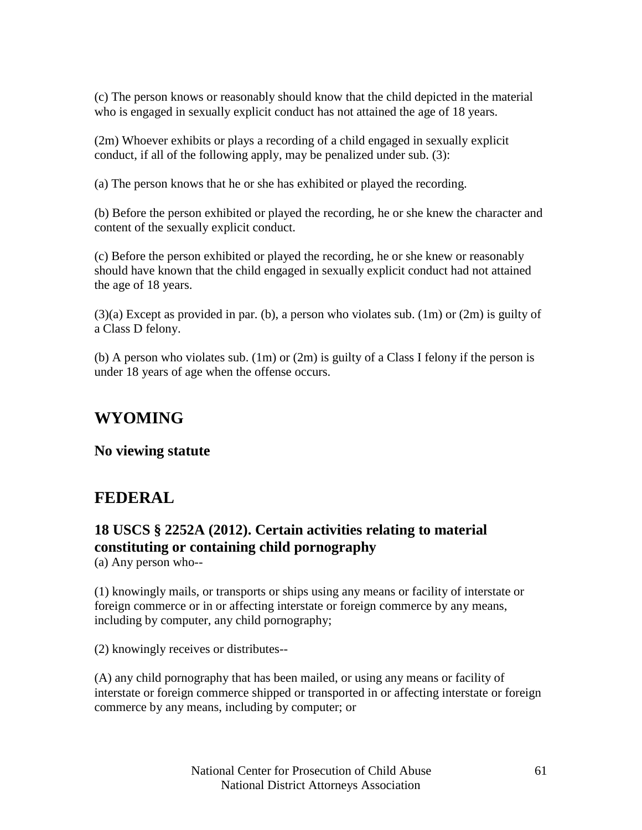(c) The person knows or reasonably should know that the child depicted in the material who is engaged in sexually explicit conduct has not attained the age of 18 years.

(2m) Whoever exhibits or plays a recording of a child engaged in sexually explicit conduct, if all of the following apply, may be penalized under sub. (3):

(a) The person knows that he or she has exhibited or played the recording.

(b) Before the person exhibited or played the recording, he or she knew the character and content of the sexually explicit conduct.

(c) Before the person exhibited or played the recording, he or she knew or reasonably should have known that the child engaged in sexually explicit conduct had not attained the age of 18 years.

(3)(a) Except as provided in par. (b), a person who violates sub. (1m) or (2m) is guilty of a Class D felony.

(b) A person who violates sub. (1m) or (2m) is guilty of a Class I felony if the person is under 18 years of age when the offense occurs.

### <span id="page-60-0"></span>**WYOMING**

#### <span id="page-60-1"></span>**No viewing statute**

### <span id="page-60-2"></span>**FEDERAL**

### <span id="page-60-3"></span>**18 USCS § 2252A (2012). Certain activities relating to material constituting or containing child pornography**

(a) Any person who--

(1) knowingly mails, or transports or ships using any means or facility of interstate or foreign commerce or in or affecting interstate or foreign commerce by any means, including by computer, any child pornography;

(2) knowingly receives or distributes--

(A) any child pornography that has been mailed, or using any means or facility of interstate or foreign commerce shipped or transported in or affecting interstate or foreign commerce by any means, including by computer; or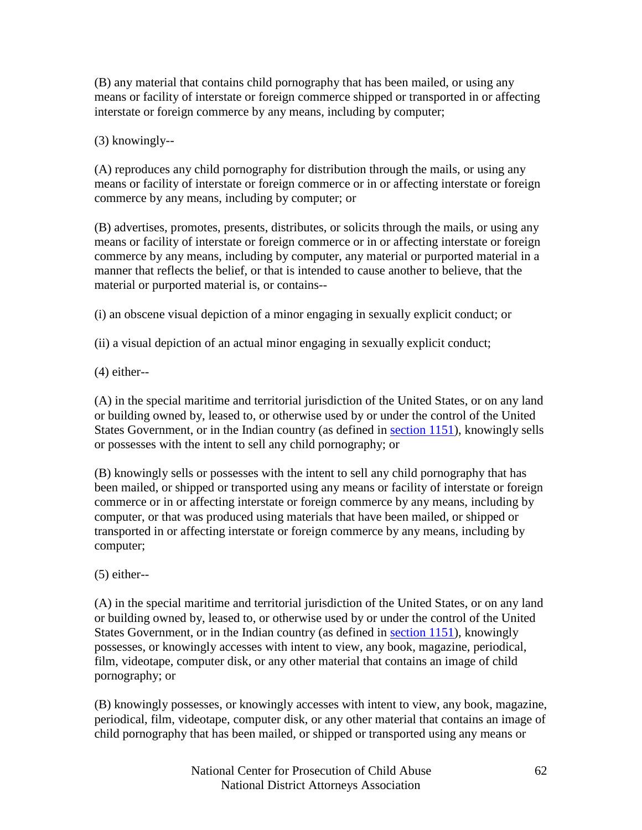(B) any material that contains child pornography that has been mailed, or using any means or facility of interstate or foreign commerce shipped or transported in or affecting interstate or foreign commerce by any means, including by computer;

(3) knowingly--

(A) reproduces any child pornography for distribution through the mails, or using any means or facility of interstate or foreign commerce or in or affecting interstate or foreign commerce by any means, including by computer; or

(B) advertises, promotes, presents, distributes, or solicits through the mails, or using any means or facility of interstate or foreign commerce or in or affecting interstate or foreign commerce by any means, including by computer, any material or purported material in a manner that reflects the belief, or that is intended to cause another to believe, that the material or purported material is, or contains--

(i) an obscene visual depiction of a minor engaging in sexually explicit conduct; or

(ii) a visual depiction of an actual minor engaging in sexually explicit conduct;

(4) either--

(A) in the special maritime and territorial jurisdiction of the United States, or on any land or building owned by, leased to, or otherwise used by or under the control of the United States Government, or in the Indian country (as defined in [section 1151\)](http://web2.westlaw.com/find/default.wl?mt=WestlawGC&db=1000546&rs=WLW12.04&docname=18USCAS1151&rp=%2ffind%2fdefault.wl&findtype=L&ordoc=7974473&tc=-1&vr=2.0&fn=_top&sv=Split&tf=-1&pbc=C33D8797&utid=%7bF73AE6BA-7B4E-4086-8848-1894C4558E02%7d), knowingly sells or possesses with the intent to sell any child pornography; or

(B) knowingly sells or possesses with the intent to sell any child pornography that has been mailed, or shipped or transported using any means or facility of interstate or foreign commerce or in or affecting interstate or foreign commerce by any means, including by computer, or that was produced using materials that have been mailed, or shipped or transported in or affecting interstate or foreign commerce by any means, including by computer;

 $(5)$  either--

(A) in the special maritime and territorial jurisdiction of the United States, or on any land or building owned by, leased to, or otherwise used by or under the control of the United States Government, or in the Indian country (as defined in [section 1151\)](http://web2.westlaw.com/find/default.wl?mt=WestlawGC&db=1000546&rs=WLW12.04&docname=18USCAS1151&rp=%2ffind%2fdefault.wl&findtype=L&ordoc=7974473&tc=-1&vr=2.0&fn=_top&sv=Split&tf=-1&pbc=C33D8797&utid=%7bF73AE6BA-7B4E-4086-8848-1894C4558E02%7d), knowingly possesses, or knowingly accesses with intent to view, any book, magazine, periodical, film, videotape, computer disk, or any other material that contains an image of child pornography; or

(B) knowingly possesses, or knowingly accesses with intent to view, any book, magazine, periodical, film, videotape, computer disk, or any other material that contains an image of child pornography that has been mailed, or shipped or transported using any means or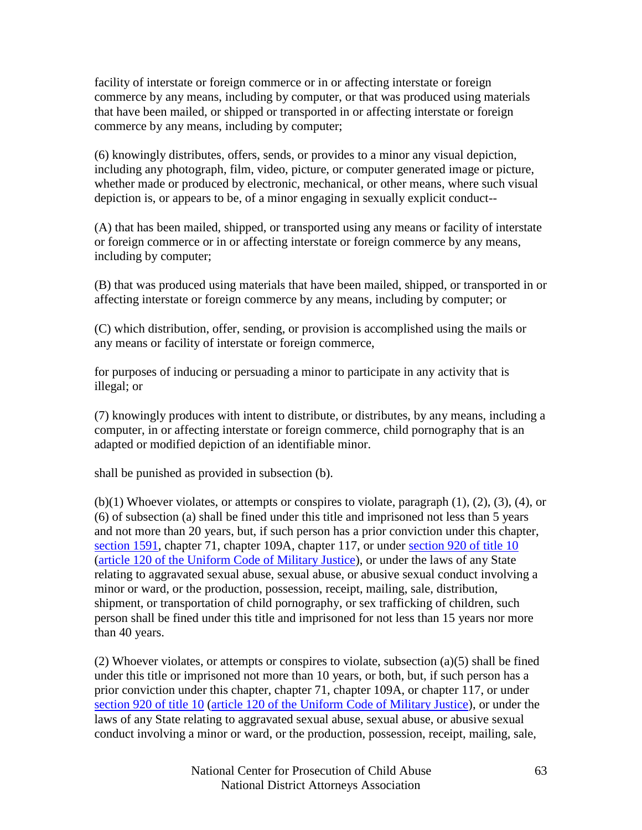facility of interstate or foreign commerce or in or affecting interstate or foreign commerce by any means, including by computer, or that was produced using materials that have been mailed, or shipped or transported in or affecting interstate or foreign commerce by any means, including by computer;

(6) knowingly distributes, offers, sends, or provides to a minor any visual depiction, including any photograph, film, video, picture, or computer generated image or picture, whether made or produced by electronic, mechanical, or other means, where such visual depiction is, or appears to be, of a minor engaging in sexually explicit conduct--

(A) that has been mailed, shipped, or transported using any means or facility of interstate or foreign commerce or in or affecting interstate or foreign commerce by any means, including by computer;

(B) that was produced using materials that have been mailed, shipped, or transported in or affecting interstate or foreign commerce by any means, including by computer; or

(C) which distribution, offer, sending, or provision is accomplished using the mails or any means or facility of interstate or foreign commerce,

for purposes of inducing or persuading a minor to participate in any activity that is illegal; or

(7) knowingly produces with intent to distribute, or distributes, by any means, including a computer, in or affecting interstate or foreign commerce, child pornography that is an adapted or modified depiction of an identifiable minor.

shall be punished as provided in subsection (b).

 $(b)(1)$  Whoever violates, or attempts or conspires to violate, paragraph  $(1)$ ,  $(2)$ ,  $(3)$ ,  $(4)$ , or (6) of subsection (a) shall be fined under this title and imprisoned not less than 5 years and not more than 20 years, but, if such person has a prior conviction under this chapter, [section 1591,](http://web2.westlaw.com/find/default.wl?mt=WestlawGC&db=1000546&rs=WLW12.04&docname=18USCAS1591&rp=%2ffind%2fdefault.wl&findtype=L&ordoc=7974473&tc=-1&vr=2.0&fn=_top&sv=Split&tf=-1&pbc=C33D8797&utid=%7bF73AE6BA-7B4E-4086-8848-1894C4558E02%7d) chapter 71, chapter 109A, chapter 117, or under [section 920 of title 10](http://web2.westlaw.com/find/default.wl?mt=WestlawGC&db=1000546&rs=WLW12.04&docname=10USCAS920&rp=%2ffind%2fdefault.wl&findtype=L&ordoc=7974473&tc=-1&vr=2.0&fn=_top&sv=Split&tf=-1&pbc=C33D8797&utid=%7bF73AE6BA-7B4E-4086-8848-1894C4558E02%7d) [\(article 120 of the Uniform Code of Military Justice\)](http://web2.westlaw.com/find/default.wl?mt=WestlawGC&db=1093470&rs=WLW12.04&docname=UCMJART120&rp=%2ffind%2fdefault.wl&findtype=L&ordoc=7974473&tc=-1&vr=2.0&fn=_top&sv=Split&tf=-1&pbc=C33D8797&utid=%7bF73AE6BA-7B4E-4086-8848-1894C4558E02%7d), or under the laws of any State relating to aggravated sexual abuse, sexual abuse, or abusive sexual conduct involving a minor or ward, or the production, possession, receipt, mailing, sale, distribution, shipment, or transportation of child pornography, or sex trafficking of children, such person shall be fined under this title and imprisoned for not less than 15 years nor more than 40 years.

(2) Whoever violates, or attempts or conspires to violate, subsection (a)(5) shall be fined under this title or imprisoned not more than 10 years, or both, but, if such person has a prior conviction under this chapter, chapter 71, chapter 109A, or chapter 117, or under [section 920 of title 10](http://web2.westlaw.com/find/default.wl?mt=WestlawGC&db=1000546&rs=WLW12.04&docname=10USCAS920&rp=%2ffind%2fdefault.wl&findtype=L&ordoc=7974473&tc=-1&vr=2.0&fn=_top&sv=Split&tf=-1&pbc=C33D8797&utid=%7bF73AE6BA-7B4E-4086-8848-1894C4558E02%7d) [\(article 120 of the Uniform Code of Military Justice\)](http://web2.westlaw.com/find/default.wl?mt=WestlawGC&db=1093470&rs=WLW12.04&docname=UCMJART120&rp=%2ffind%2fdefault.wl&findtype=L&ordoc=7974473&tc=-1&vr=2.0&fn=_top&sv=Split&tf=-1&pbc=C33D8797&utid=%7bF73AE6BA-7B4E-4086-8848-1894C4558E02%7d), or under the laws of any State relating to aggravated sexual abuse, sexual abuse, or abusive sexual conduct involving a minor or ward, or the production, possession, receipt, mailing, sale,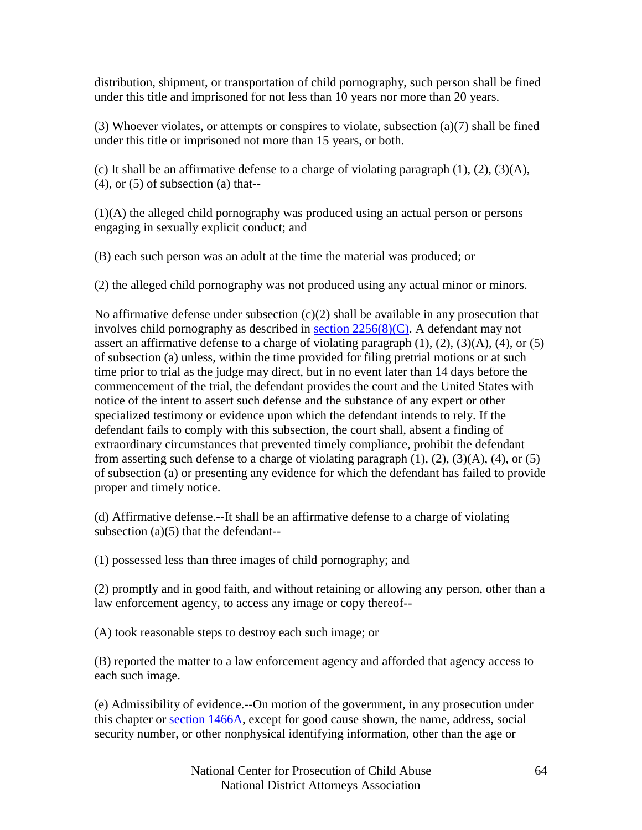distribution, shipment, or transportation of child pornography, such person shall be fined under this title and imprisoned for not less than 10 years nor more than 20 years.

(3) Whoever violates, or attempts or conspires to violate, subsection (a)(7) shall be fined under this title or imprisoned not more than 15 years, or both.

(c) It shall be an affirmative defense to a charge of violating paragraph  $(1)$ ,  $(2)$ ,  $(3)(A)$ ,  $(4)$ , or  $(5)$  of subsection  $(a)$  that--

(1)(A) the alleged child pornography was produced using an actual person or persons engaging in sexually explicit conduct; and

(B) each such person was an adult at the time the material was produced; or

(2) the alleged child pornography was not produced using any actual minor or minors.

No affirmative defense under subsection  $(c)(2)$  shall be available in any prosecution that involves child pornography as described in section  $2256(8)(C)$ . A defendant may not assert an affirmative defense to a charge of violating paragraph  $(1)$ ,  $(2)$ ,  $(3)(A)$ ,  $(4)$ , or  $(5)$ of subsection (a) unless, within the time provided for filing pretrial motions or at such time prior to trial as the judge may direct, but in no event later than 14 days before the commencement of the trial, the defendant provides the court and the United States with notice of the intent to assert such defense and the substance of any expert or other specialized testimony or evidence upon which the defendant intends to rely. If the defendant fails to comply with this subsection, the court shall, absent a finding of extraordinary circumstances that prevented timely compliance, prohibit the defendant from asserting such defense to a charge of violating paragraph  $(1)$ ,  $(2)$ ,  $(3)(A)$ ,  $(4)$ , or  $(5)$ of subsection (a) or presenting any evidence for which the defendant has failed to provide proper and timely notice.

(d) Affirmative defense.--It shall be an affirmative defense to a charge of violating subsection  $(a)(5)$  that the defendant--

(1) possessed less than three images of child pornography; and

(2) promptly and in good faith, and without retaining or allowing any person, other than a law enforcement agency, to access any image or copy thereof--

(A) took reasonable steps to destroy each such image; or

(B) reported the matter to a law enforcement agency and afforded that agency access to each such image.

(e) Admissibility of evidence.--On motion of the government, in any prosecution under this chapter or [section 1466A,](http://web2.westlaw.com/find/default.wl?mt=WestlawGC&db=1000546&rs=WLW12.04&docname=18USCAS1466A&rp=%2ffind%2fdefault.wl&findtype=L&ordoc=7974473&tc=-1&vr=2.0&fn=_top&sv=Split&tf=-1&pbc=C33D8797&utid=%7bF73AE6BA-7B4E-4086-8848-1894C4558E02%7d) except for good cause shown, the name, address, social security number, or other nonphysical identifying information, other than the age or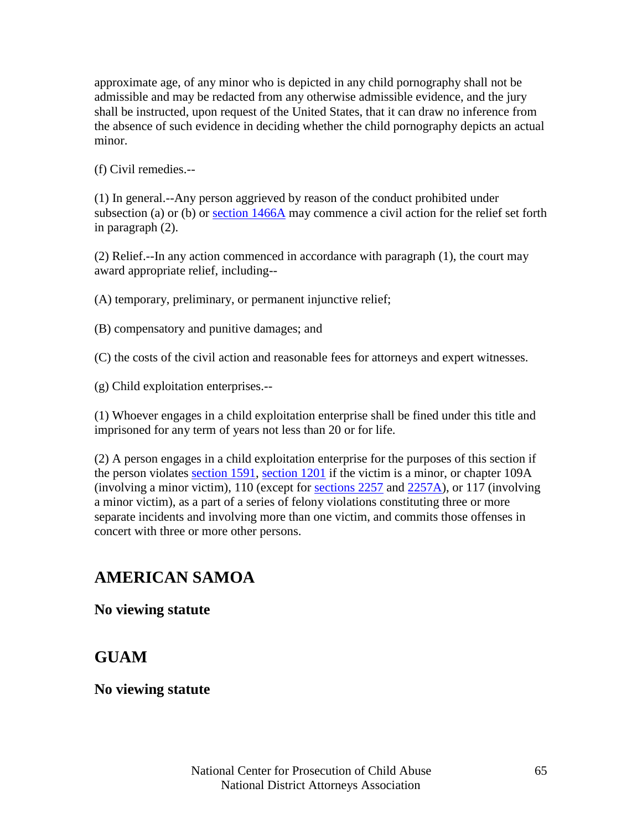approximate age, of any minor who is depicted in any child pornography shall not be admissible and may be redacted from any otherwise admissible evidence, and the jury shall be instructed, upon request of the United States, that it can draw no inference from the absence of such evidence in deciding whether the child pornography depicts an actual minor.

(f) Civil remedies.--

(1) In general.--Any person aggrieved by reason of the conduct prohibited under subsection (a) or (b) or section  $1466A$  may commence a civil action for the relief set forth in paragraph (2).

(2) Relief.--In any action commenced in accordance with paragraph (1), the court may award appropriate relief, including--

(A) temporary, preliminary, or permanent injunctive relief;

- (B) compensatory and punitive damages; and
- (C) the costs of the civil action and reasonable fees for attorneys and expert witnesses.

(g) Child exploitation enterprises.--

(1) Whoever engages in a child exploitation enterprise shall be fined under this title and imprisoned for any term of years not less than 20 or for life.

(2) A person engages in a child exploitation enterprise for the purposes of this section if the person violates [section 1591,](http://web2.westlaw.com/find/default.wl?mt=WestlawGC&db=1000546&rs=WLW12.04&docname=18USCAS1591&rp=%2ffind%2fdefault.wl&findtype=L&ordoc=7974473&tc=-1&vr=2.0&fn=_top&sv=Split&tf=-1&pbc=C33D8797&utid=%7bF73AE6BA-7B4E-4086-8848-1894C4558E02%7d) [section 1201](http://web2.westlaw.com/find/default.wl?mt=WestlawGC&db=1000546&rs=WLW12.04&docname=18USCAS1201&rp=%2ffind%2fdefault.wl&findtype=L&ordoc=7974473&tc=-1&vr=2.0&fn=_top&sv=Split&tf=-1&pbc=C33D8797&utid=%7bF73AE6BA-7B4E-4086-8848-1894C4558E02%7d) if the victim is a minor, or chapter 109A (involving a minor victim), 110 (except for [sections 2257](http://web2.westlaw.com/find/default.wl?mt=WestlawGC&db=1000546&rs=WLW12.04&docname=18USCAS2257&rp=%2ffind%2fdefault.wl&findtype=L&ordoc=7974473&tc=-1&vr=2.0&fn=_top&sv=Split&tf=-1&pbc=C33D8797&utid=%7bF73AE6BA-7B4E-4086-8848-1894C4558E02%7d) and [2257A\)](http://web2.westlaw.com/find/default.wl?mt=WestlawGC&db=1000546&rs=WLW12.04&docname=18USCAS2257A&rp=%2ffind%2fdefault.wl&findtype=L&ordoc=7974473&tc=-1&vr=2.0&fn=_top&sv=Split&tf=-1&pbc=C33D8797&utid=%7bF73AE6BA-7B4E-4086-8848-1894C4558E02%7d), or 117 (involving a minor victim), as a part of a series of felony violations constituting three or more separate incidents and involving more than one victim, and commits those offenses in concert with three or more other persons.

# <span id="page-64-0"></span>**AMERICAN SAMOA**

<span id="page-64-1"></span>**No viewing statute** 

### <span id="page-64-2"></span>**GUAM**

<span id="page-64-3"></span>**No viewing statute**